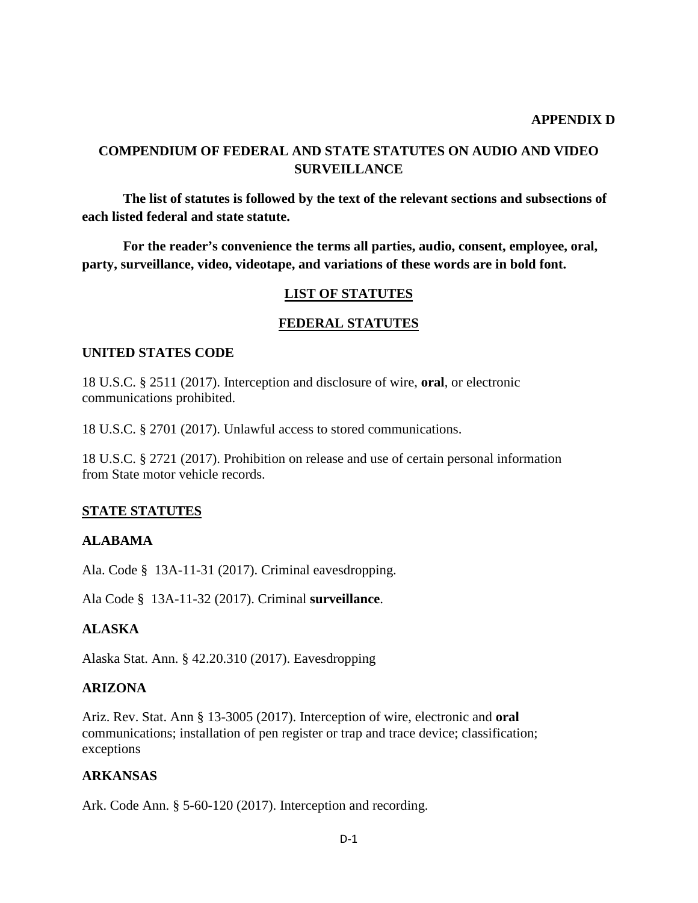# **COMPENDIUM OF FEDERAL AND STATE STATUTES ON AUDIO AND VIDEO SURVEILLANCE**

**The list of statutes is followed by the text of the relevant sections and subsections of each listed federal and state statute.**

**For the reader's convenience the terms all parties, audio, consent, employee, oral, party, surveillance, video, videotape, and variations of these words are in bold font.** 

## **LIST OF STATUTES**

### **FEDERAL STATUTES**

#### **UNITED STATES CODE**

18 U.S.C. § 2511 (2017). Interception and disclosure of wire, **oral**, or electronic communications prohibited.

18 U.S.C. § 2701 (2017). Unlawful access to stored communications.

18 U.S.C. § 2721 (2017). Prohibition on release and use of certain personal information from State motor vehicle records.

#### **STATE STATUTES**

#### **[ALABAMA](#page-11-0)**

Ala. Code § 13A-11-31 (2017). Criminal eavesdropping.

Ala Code § 13A-11-32 (2017). Criminal **surveillance**.

## **[ALASKA](#page-11-0)**

Alaska Stat. Ann. § 42.20.310 (2017). Eavesdropping

#### **[ARIZONA](#page-12-0)**

Ariz. Rev. Stat. Ann § 13-3005 (2017). Interception of wire, electronic and **oral** communications; installation of pen register or trap and trace device; classification; exceptions

#### **[ARKANSAS](#page-12-0)**

Ark. Code Ann. § 5-60-120 (2017). Interception and recording.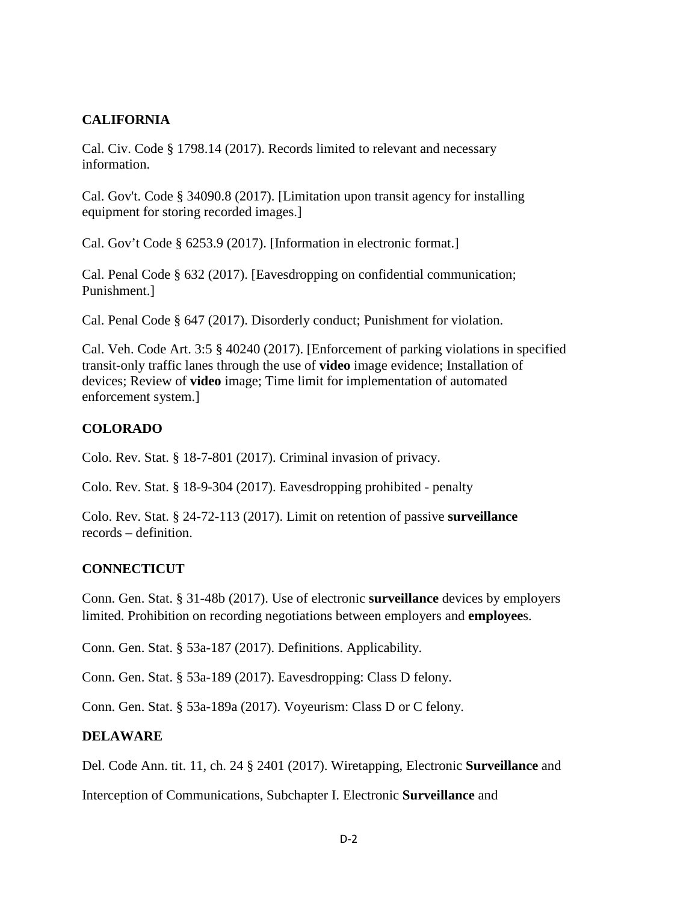## **[CALIFORNIA](#page-12-0)**

Cal. Civ. Code § 1798.14 (2017). Records limited to relevant and necessary information.

Cal. Gov't. Code § 34090.8 (2017). [Limitation upon transit agency for installing equipment for storing recorded images.]

Cal. Gov't Code § 6253.9 (2017). [Information in electronic format.]

Cal. Penal Code § 632 (2017). [Eavesdropping on confidential communication; Punishment.]

Cal. Penal Code § 647 (2017). Disorderly conduct; Punishment for violation.

Cal. Veh. Code Art. 3:5 § 40240 (2017). [Enforcement of parking violations in specified transit-only traffic lanes through the use of **video** image evidence; Installation of devices; Review of **video** image; Time limit for implementation of automated enforcement system.]

## **[COLORADO](#page-16-0)**

Colo. Rev. Stat. § 18-7-801 (2017). Criminal invasion of privacy.

Colo. Rev. Stat. § 18-9-304 (2017). Eavesdropping prohibited - penalty

Colo. Rev. Stat. § 24-72-113 (2017). Limit on retention of passive **surveillance** records – definition.

## **[CONNECTICUT](#page-17-0)**

Conn. Gen. Stat. § 31-48b (2017). Use of electronic **surveillance** devices by employers limited. Prohibition on recording negotiations between employers and **employee**s.

Conn. Gen. Stat. § 53a-187 (2017). Definitions. Applicability.

Conn. Gen. Stat. § 53a-189 (2017). Eavesdropping: Class D felony.

Conn. Gen. Stat. § 53a-189a (2017). Voyeurism: Class D or C felony.

## **[DELAWARE](#page-19-0)**

Del. Code Ann. tit. 11, ch. 24 § 2401 (2017). Wiretapping, Electronic **Surveillance** and

Interception of Communications, Subchapter I. Electronic **Surveillance** and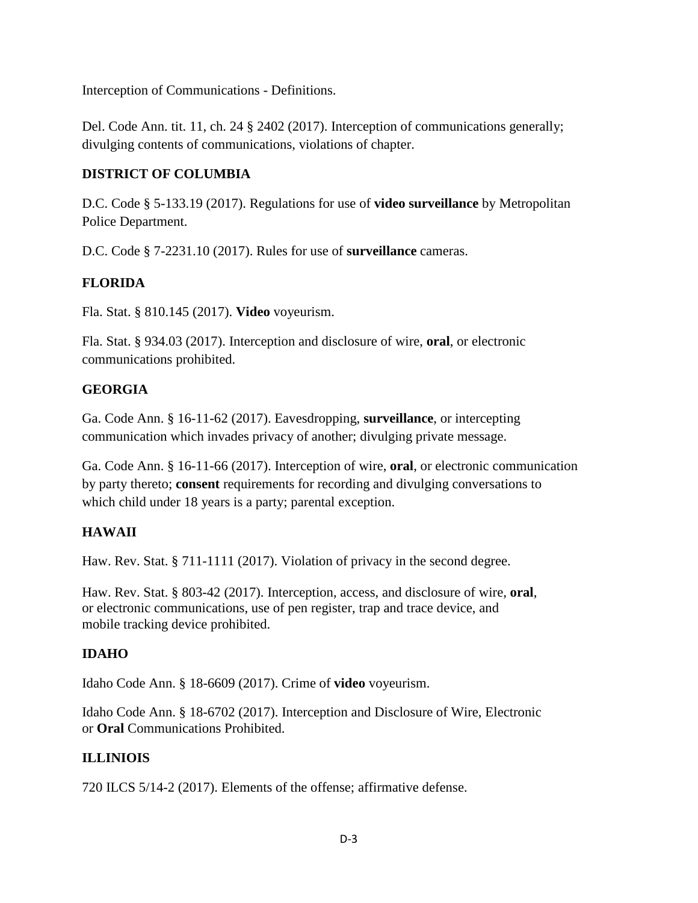Interception of Communications - Definitions.

Del. Code Ann. tit. 11, ch. 24 § 2402 (2017). Interception of communications generally; divulging contents of communications, violations of chapter.

# **[DISTRICT OF COLUMBIA](#page-22-0)**

D.C. Code § 5-133.19 (2017). Regulations for use of **video surveillance** by Metropolitan Police Department.

D.C. Code § 7-2231.10 (2017). Rules for use of **surveillance** cameras.

# **[FLORIDA](#page-22-0)**

Fla. Stat. § 810.145 (2017). **Video** voyeurism.

Fla. Stat. § 934.03 (2017). Interception and disclosure of wire, **oral**, or electronic communications prohibited.

## **[GEORGIA](#page-25-0)**

Ga. Code Ann. § 16-11-62 (2017). Eavesdropping, **surveillance**, or intercepting communication which invades privacy of another; divulging private message.

Ga. Code Ann. § 16-11-66 (2017). Interception of wire, **oral**, or electronic communication by party thereto; **consent** requirements for recording and divulging conversations to which child under 18 years is a party; parental exception.

## **[HAWAII](#page-26-0)**

Haw. Rev. Stat. § 711-1111 (2017). Violation of privacy in the second degree.

Haw. Rev. Stat. § 803-42 (2017). Interception, access, and disclosure of wire, **oral**, or electronic communications, use of pen register, trap and trace device, and mobile tracking device prohibited.

## **[IDAHO](#page-29-0)**

Idaho Code Ann. § 18-6609 (2017). Crime of **video** voyeurism.

Idaho Code Ann. § 18-6702 (2017). Interception and Disclosure of Wire, Electronic or **Oral** Communications Prohibited.

# **[ILLINIOIS](#page-30-0)**

720 ILCS 5/14-2 (2017). Elements of the offense; affirmative defense.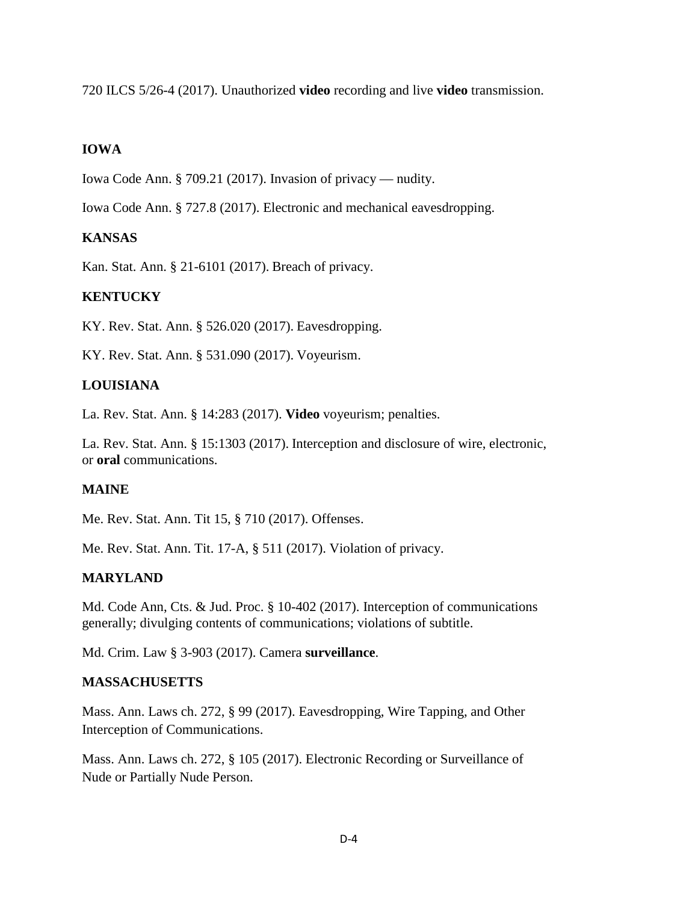720 ILCS 5/26-4 (2017). Unauthorized **video** recording and live **video** transmission.

## **[IOWA](#page-31-0)**

Iowa Code Ann. § 709.21 (2017). Invasion of privacy — nudity.

Iowa Code Ann. § 727.8 (2017). Electronic and mechanical eavesdropping.

# **[KANSAS](#page-32-0)**

Kan. Stat. Ann. § 21-6101 (2017). Breach of privacy.

# **[KENTUCKY](#page-33-0)**

KY. Rev. Stat. Ann. § 526.020 (2017). Eavesdropping.

KY. Rev. Stat. Ann. § 531.090 (2017). Voyeurism.

## **[LOUISIANA](#page-34-0)**

La. Rev. Stat. Ann. § 14:283 (2017). **Video** voyeurism; penalties.

La. Rev. Stat. Ann. § 15:1303 (2017). Interception and disclosure of wire, electronic, or **oral** communications.

## **[MAINE](#page-35-0)**

Me. Rev. Stat. Ann. Tit 15, § 710 (2017). Offenses.

Me. Rev. Stat. Ann. Tit. 17-A, § 511 (2017). Violation of privacy.

## **[MARYLAND](#page-36-0)**

Md. Code Ann, Cts. & Jud. Proc. § 10-402 (2017). Interception of communications generally; divulging contents of communications; violations of subtitle.

Md. Crim. Law § 3-903 (2017). Camera **surveillance**.

## **[MASSACHUSETTS](#page-37-0)**

Mass. Ann. Laws ch. 272, § 99 (2017). Eavesdropping, Wire Tapping, and Other Interception of Communications.

Mass. Ann. Laws ch. 272, § 105 (2017). Electronic Recording or Surveillance of Nude or Partially Nude Person.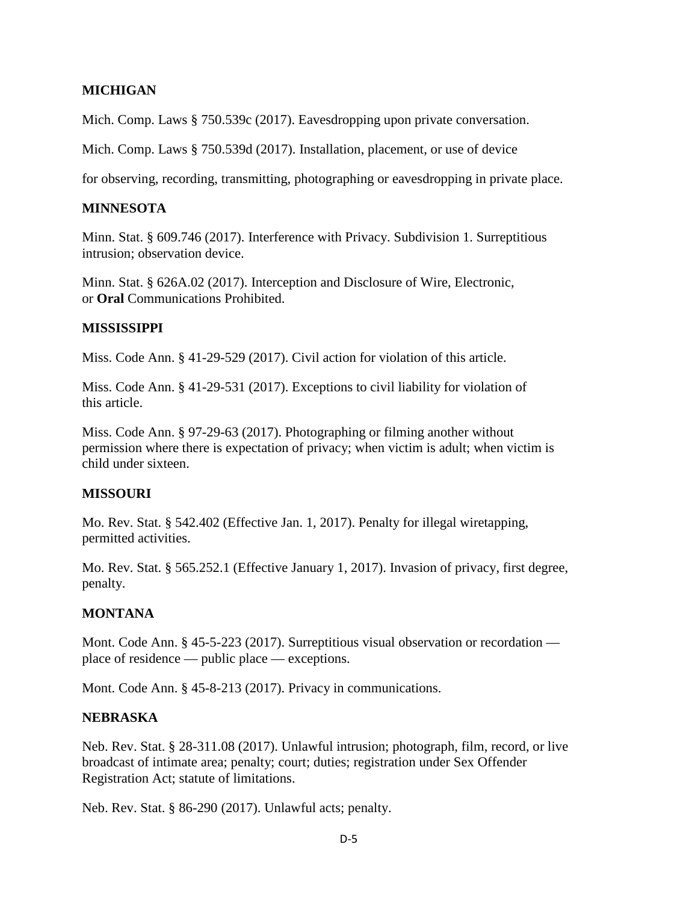## **[MICHIGAN](#page-41-0)**

Mich. Comp. Laws § 750.539c (2017). Eavesdropping upon private conversation.

Mich. Comp. Laws § 750.539d (2017). Installation, placement, or use of device

for observing, recording, transmitting, photographing or eavesdropping in private place.

### **[MINNESOTA](#page-42-0)**

Minn. Stat. § 609.746 (2017). Interference with Privacy. Subdivision 1. Surreptitious intrusion; observation device.

Minn. Stat. § 626A.02 (2017). Interception and Disclosure of Wire, Electronic, or **Oral** Communications Prohibited.

### **[MISSISSIPPI](#page-43-0)**

Miss. Code Ann. § 41-29-529 (2017). Civil action for violation of this article.

Miss. Code Ann. § 41-29-531 (2017). Exceptions to civil liability for violation of this article.

Miss. Code Ann. § 97-29-63 (2017). Photographing or filming another without permission where there is expectation of privacy; when victim is adult; when victim is child under sixteen.

## **[MISSOURI](#page-44-0)**

Mo. Rev. Stat. § 542.402 (Effective Jan. 1, 2017). Penalty for illegal wiretapping, permitted activities.

Mo. Rev. Stat. § 565.252.1 (Effective January 1, 2017). Invasion of privacy, first degree, penalty.

## **[MONTANA](#page-45-0)**

Mont. Code Ann. § 45-5-223 (2017). Surreptitious visual observation or recordation place of residence — public place — exceptions.

Mont. Code Ann. § 45-8-213 (2017). Privacy in communications.

## **[NEBRASKA](#page-46-0)**

Neb. Rev. Stat. § 28-311.08 (2017). Unlawful intrusion; photograph, film, record, or live broadcast of intimate area; penalty; court; duties; registration under Sex Offender Registration Act; statute of limitations.

Neb. Rev. Stat. § 86-290 (2017). Unlawful acts; penalty.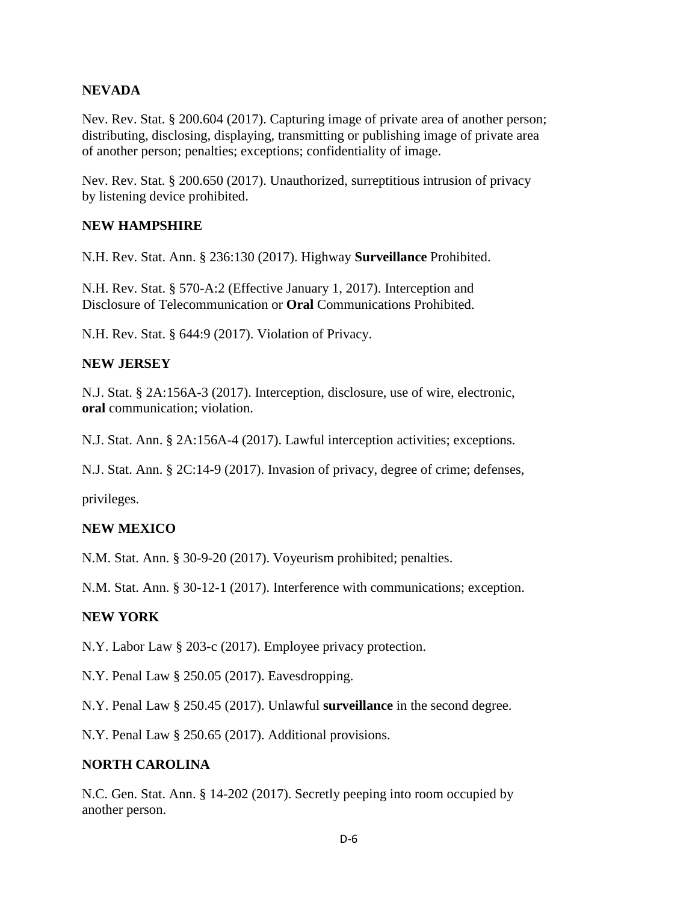### **[NEVADA](#page-48-0)**

Nev. Rev. Stat. § 200.604 (2017). Capturing image of private area of another person; distributing, disclosing, displaying, transmitting or publishing image of private area of another person; penalties; exceptions; confidentiality of image.

Nev. Rev. Stat. § 200.650 (2017). Unauthorized, surreptitious intrusion of privacy by listening device prohibited.

### **[NEW HAMPSHIRE](#page-49-0)**

N.H. Rev. Stat. Ann. § 236:130 (2017). Highway **Surveillance** Prohibited.

N.H. Rev. Stat. § 570-A:2 (Effective January 1, 2017). Interception and Disclosure of Telecommunication or **Oral** Communications Prohibited.

N.H. Rev. Stat. § 644:9 (2017). Violation of Privacy.

### **[NEW JERSEY](#page-50-0)**

N.J. Stat. § 2A:156A-3 (2017). Interception, disclosure, use of wire, electronic, **oral** communication; violation.

N.J. Stat. Ann. § 2A:156A-4 (2017). Lawful interception activities; exceptions.

N.J. Stat. Ann. § 2C:14-9 (2017). Invasion of privacy, degree of crime; defenses,

privileges.

## **[NEW MEXICO](#page-52-0)**

N.M. Stat. Ann. § 30-9-20 (2017). Voyeurism prohibited; penalties.

N.M. Stat. Ann. § 30-12-1 (2017). Interference with communications; exception.

## **[NEW YORK](#page-53-0)**

N.Y. Labor Law § 203-c (2017). Employee privacy protection.

N.Y. Penal Law § 250.05 (2017). Eavesdropping.

N.Y. Penal Law § 250.45 (2017). Unlawful **surveillance** in the second degree.

N.Y. Penal Law § 250.65 (2017). Additional provisions.

## **[NORTH CAROLINA](#page-55-0)**

N.C. Gen. Stat. Ann. § 14-202 (2017). Secretly peeping into room occupied by another person.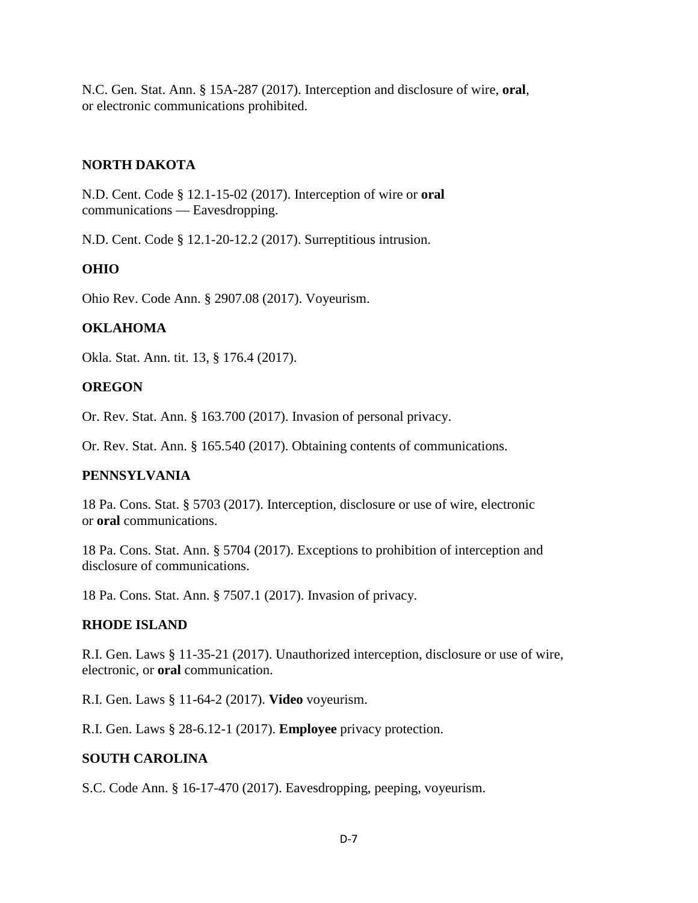N.C. Gen. Stat. Ann. § 15A-287 (2017). Interception and disclosure of wire, **oral**, or electronic communications prohibited.

#### **[NORTH DAKOTA](#page-57-0)**

N.D. Cent. Code § 12.1-15-02 (2017). Interception of wire or **oral** communications — Eavesdropping.

N.D. Cent. Code § 12.1-20-12.2 (2017). Surreptitious intrusion.

## **[OHIO](#page-58-0)**

Ohio Rev. Code Ann. § 2907.08 (2017). Voyeurism.

### **[OKLAHOMA](#page-59-0)**

Okla. Stat. Ann. tit. 13, § 176.4 (2017).

#### **[OREGON](#page-59-0)**

Or. Rev. Stat. Ann. § 163.700 (2017). Invasion of personal privacy.

Or. Rev. Stat. Ann. § 165.540 (2017). Obtaining contents of communications.

#### **[PENNSYLVANIA](#page-61-0)**

18 Pa. Cons. Stat. § 5703 (2017). Interception, disclosure or use of wire, electronic or **oral** communications.

18 Pa. Cons. Stat. Ann. § 5704 (2017). Exceptions to prohibition of interception and disclosure of communications.

18 Pa. Cons. Stat. Ann. § 7507.1 (2017). Invasion of privacy.

#### **[RHODE ISLAND](#page-62-0)**

R.I. Gen. Laws § 11-35-21 (2017). Unauthorized interception, disclosure or use of wire, electronic, or **oral** communication.

R.I. Gen. Laws § 11-64-2 (2017). **Video** voyeurism.

R.I. Gen. Laws § 28-6.12-1 (2017). **Employee** privacy protection.

## **[SOUTH CAROLINA](#page-64-0)**

S.C. Code Ann. § 16-17-470 (2017). Eavesdropping, peeping, voyeurism.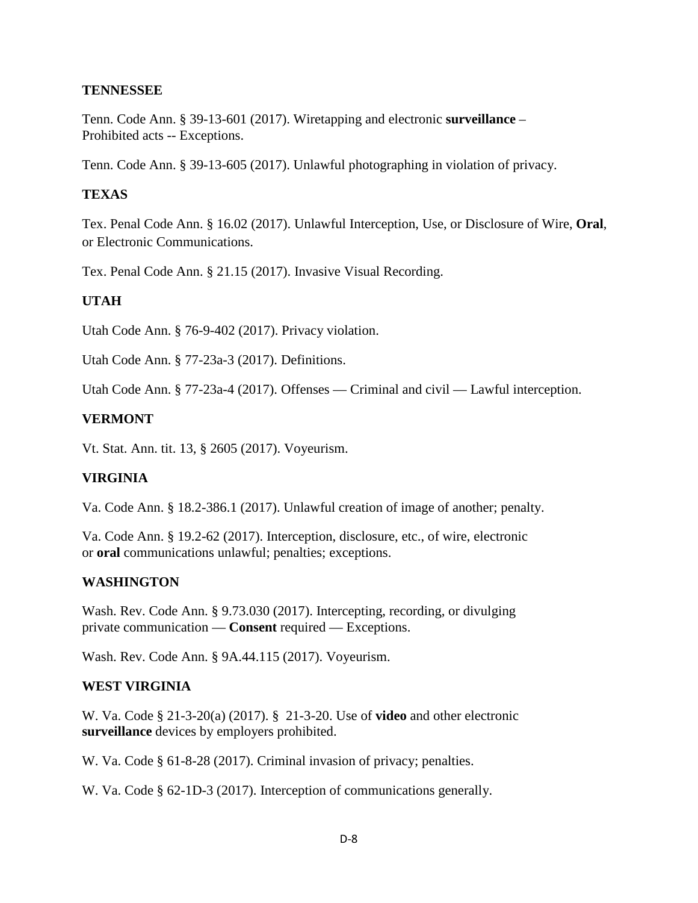#### **[TENNESSEE](#page-65-0)**

Tenn. Code Ann. § 39-13-601 (2017). Wiretapping and electronic **surveillance** – Prohibited acts -- Exceptions.

Tenn. Code Ann. § 39-13-605 (2017). Unlawful photographing in violation of privacy.

### **[TEXAS](#page-66-0)**

Tex. Penal Code Ann. § 16.02 (2017). Unlawful Interception, Use, or Disclosure of Wire, **Oral**, or Electronic Communications.

Tex. Penal Code Ann. § 21.15 (2017). Invasive Visual Recording.

## **[UTAH](#page-69-0)**

Utah Code Ann. § 76-9-402 (2017). Privacy violation.

Utah Code Ann. § 77-23a-3 (2017). Definitions.

Utah Code Ann. § 77-23a-4 (2017). Offenses — Criminal and civil — Lawful interception.

### **[VERMONT](#page-71-0)**

Vt. Stat. Ann. tit. 13, § 2605 (2017). Voyeurism.

## **[VIRGINIA](#page-72-0)**

Va. Code Ann. § 18.2-386.1 (2017). Unlawful creation of image of another; penalty.

Va. Code Ann. § 19.2-62 (2017). Interception, disclosure, etc., of wire, electronic or **oral** communications unlawful; penalties; exceptions.

#### **[WASHINGTON](#page-73-0)**

Wash. Rev. Code Ann. § 9.73.030 (2017). Intercepting, recording, or divulging private communication — **Consent** required — Exceptions.

Wash. Rev. Code Ann. § 9A.44.115 (2017). Voyeurism.

#### **[WEST VIRGINIA](#page-75-0)**

W. Va. Code § 21-3-20(a) (2017). § 21-3-20. Use of **video** and other electronic **surveillance** devices by employers prohibited.

W. Va. Code § 61-8-28 (2017). Criminal invasion of privacy; penalties.

W. Va. Code § 62-1D-3 (2017). Interception of communications generally.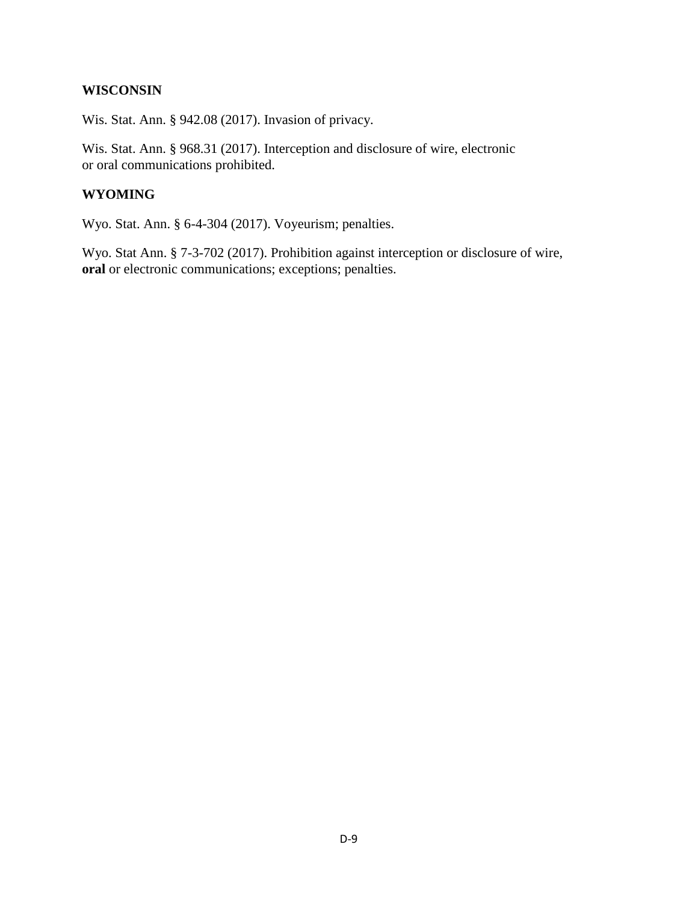#### **[WISCONSIN](#page-77-0)**

Wis. Stat. Ann. § 942.08 (2017). Invasion of privacy.

Wis. Stat. Ann. § 968.31 (2017). Interception and disclosure of wire, electronic or oral communications prohibited.

#### **[WYOMING](#page-78-0)**

Wyo. Stat. Ann. § 6-4-304 (2017). Voyeurism; penalties.

Wyo. Stat Ann. § 7-3-702 (2017). Prohibition against interception or disclosure of wire, **oral** or electronic communications; exceptions; penalties.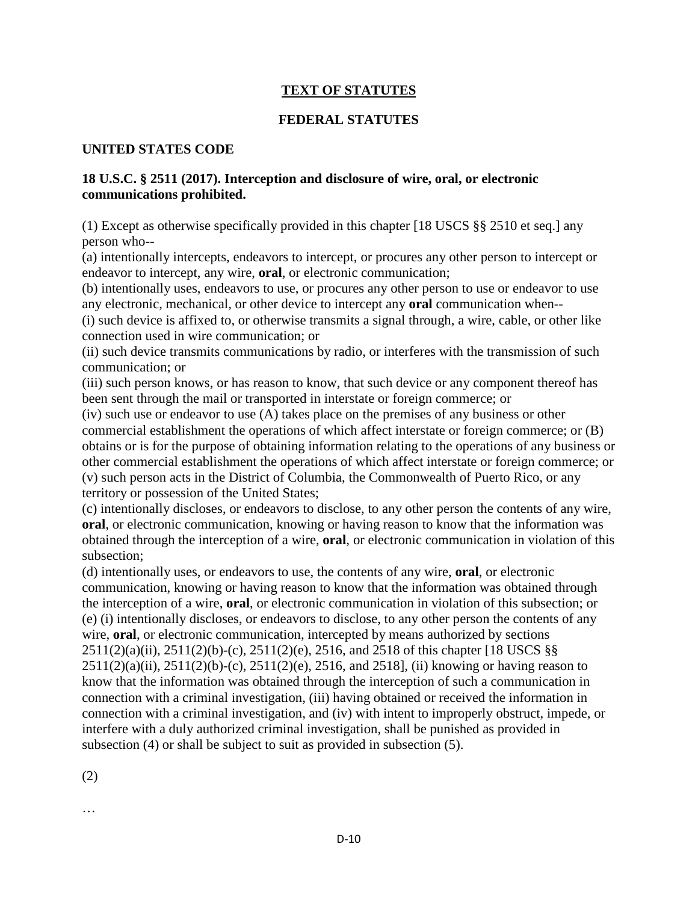# **TEXT OF STATUTES**

## **FEDERAL STATUTES**

#### **UNITED STATES CODE**

#### **18 U.S.C. § 2511 (2017). Interception and disclosure of wire, oral, or electronic communications prohibited.**

(1) Except as otherwise specifically provided in this chapter [18 USCS §§ 2510 et seq.] any person who--

(a) intentionally intercepts, endeavors to intercept, or procures any other person to intercept or endeavor to intercept, any wire, **oral**, or electronic communication;

(b) intentionally uses, endeavors to use, or procures any other person to use or endeavor to use any electronic, mechanical, or other device to intercept any **oral** communication when--

(i) such device is affixed to, or otherwise transmits a signal through, a wire, cable, or other like connection used in wire communication; or

(ii) such device transmits communications by radio, or interferes with the transmission of such communication; or

(iii) such person knows, or has reason to know, that such device or any component thereof has been sent through the mail or transported in interstate or foreign commerce; or

(iv) such use or endeavor to use (A) takes place on the premises of any business or other commercial establishment the operations of which affect interstate or foreign commerce; or (B) obtains or is for the purpose of obtaining information relating to the operations of any business or other commercial establishment the operations of which affect interstate or foreign commerce; or (v) such person acts in the District of Columbia, the Commonwealth of Puerto Rico, or any territory or possession of the United States;

(c) intentionally discloses, or endeavors to disclose, to any other person the contents of any wire, **oral**, or electronic communication, knowing or having reason to know that the information was obtained through the interception of a wire, **oral**, or electronic communication in violation of this subsection;

(d) intentionally uses, or endeavors to use, the contents of any wire, **oral**, or electronic communication, knowing or having reason to know that the information was obtained through the interception of a wire, **oral**, or electronic communication in violation of this subsection; or (e) (i) intentionally discloses, or endeavors to disclose, to any other person the contents of any wire, **oral**, or electronic communication, intercepted by means authorized by sections 2511(2)(a)(ii), 2511(2)(b)-(c), 2511(2)(e), 2516, and 2518 of this chapter [18 USCS §§ 2511(2)(a)(ii), 2511(2)(b)-(c), 2511(2)(e), 2516, and 2518], (ii) knowing or having reason to know that the information was obtained through the interception of such a communication in connection with a criminal investigation, (iii) having obtained or received the information in connection with a criminal investigation, and (iv) with intent to improperly obstruct, impede, or interfere with a duly authorized criminal investigation, shall be punished as provided in subsection (4) or shall be subject to suit as provided in subsection (5).

(2)

…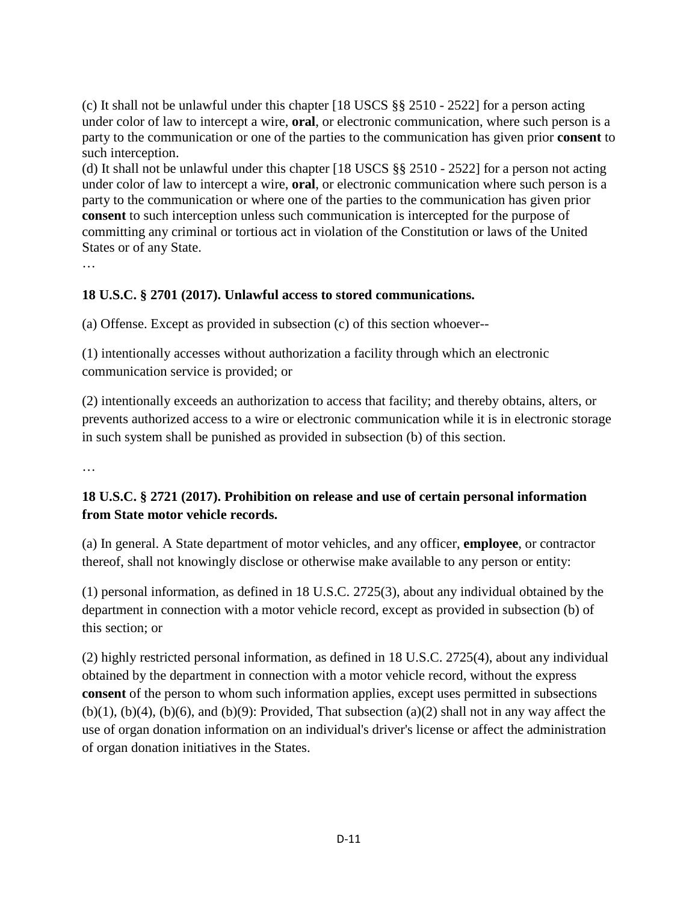(c) It shall not be unlawful under this chapter [18 USCS §§ 2510 - 2522] for a person acting under color of law to intercept a wire, **oral**, or electronic communication, where such person is a party to the communication or one of the parties to the communication has given prior **consent** to such interception.

(d) It shall not be unlawful under this chapter [18 USCS §§ 2510 - 2522] for a person not acting under color of law to intercept a wire, **oral**, or electronic communication where such person is a party to the communication or where one of the parties to the communication has given prior **consent** to such interception unless such communication is intercepted for the purpose of committing any criminal or tortious act in violation of the Constitution or laws of the United States or of any State.

…

# **18 U.S.C. § 2701 (2017). Unlawful access to stored communications.**

(a) Offense. Except as provided in subsection (c) of this section whoever--

(1) intentionally accesses without authorization a facility through which an electronic communication service is provided; or

(2) intentionally exceeds an authorization to access that facility; and thereby obtains, alters, or prevents authorized access to a wire or electronic communication while it is in electronic storage in such system shall be punished as provided in subsection (b) of this section.

…

# **18 U.S.C. § 2721 (2017). Prohibition on release and use of certain personal information from State motor vehicle records.**

(a) In general. A State department of motor vehicles, and any officer, **employee**, or contractor thereof, shall not knowingly disclose or otherwise make available to any person or entity:

(1) personal information, as defined in 18 U.S.C. 2725(3), about any individual obtained by the department in connection with a motor vehicle record, except as provided in subsection (b) of this section; or

(2) highly restricted personal information, as defined in 18 U.S.C. 2725(4), about any individual obtained by the department in connection with a motor vehicle record, without the express **consent** of the person to whom such information applies, except uses permitted in subsections  $(b)(1)$ ,  $(b)(4)$ ,  $(b)(6)$ , and  $(b)(9)$ : Provided, That subsection  $(a)(2)$  shall not in any way affect the use of organ donation information on an individual's driver's license or affect the administration of organ donation initiatives in the States.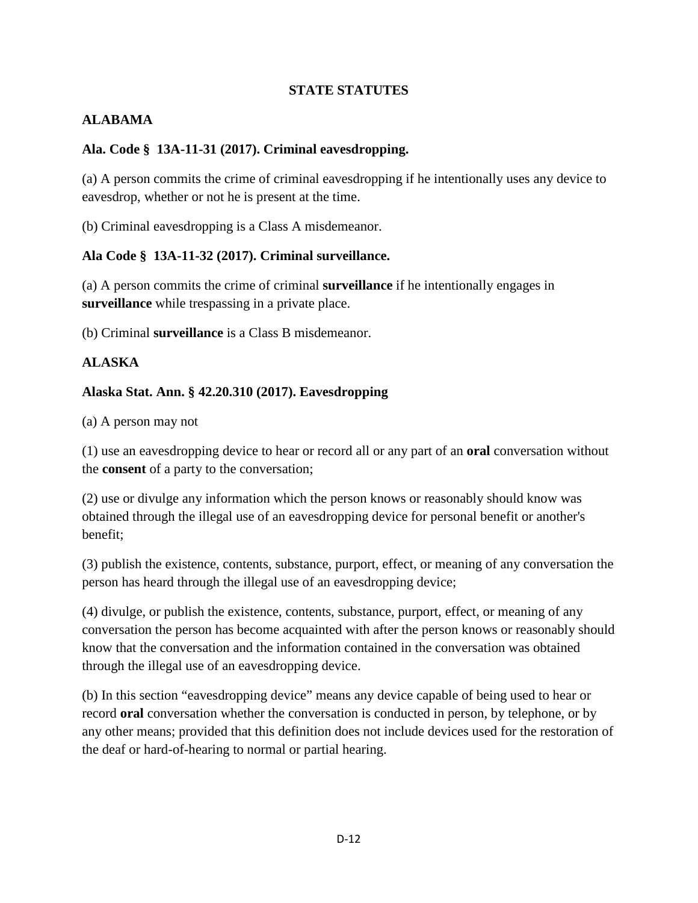# **STATE STATUTES**

# <span id="page-11-0"></span>**ALABAMA**

## **Ala. Code § 13A-11-31 (2017). Criminal eavesdropping.**

(a) A person commits the crime of criminal eavesdropping if he intentionally uses any device to eavesdrop, whether or not he is present at the time.

(b) Criminal eavesdropping is a Class A misdemeanor.

## **Ala Code § 13A-11-32 (2017). Criminal surveillance.**

(a) A person commits the crime of criminal **surveillance** if he intentionally engages in **surveillance** while trespassing in a private place.

(b) Criminal **surveillance** is a Class B misdemeanor.

# **ALASKA**

## **Alaska Stat. Ann. § 42.20.310 (2017). Eavesdropping**

(a) A person may not

(1) use an eavesdropping device to hear or record all or any part of an **oral** conversation without the **consent** of a party to the conversation;

(2) use or divulge any information which the person knows or reasonably should know was obtained through the illegal use of an eavesdropping device for personal benefit or another's benefit;

(3) publish the existence, contents, substance, purport, effect, or meaning of any conversation the person has heard through the illegal use of an eavesdropping device;

(4) divulge, or publish the existence, contents, substance, purport, effect, or meaning of any conversation the person has become acquainted with after the person knows or reasonably should know that the conversation and the information contained in the conversation was obtained through the illegal use of an eavesdropping device.

(b) In this section "eavesdropping device" means any device capable of being used to hear or record **oral** conversation whether the conversation is conducted in person, by telephone, or by any other means; provided that this definition does not include devices used for the restoration of the deaf or hard-of-hearing to normal or partial hearing.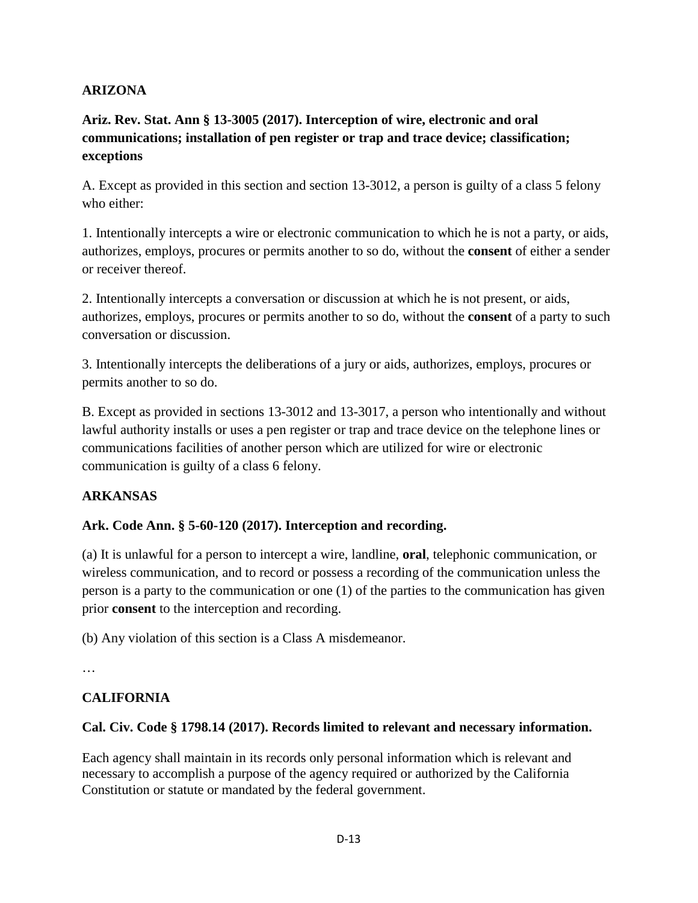# <span id="page-12-0"></span>**ARIZONA**

# **Ariz. Rev. Stat. Ann § 13-3005 (2017). Interception of wire, electronic and oral communications; installation of pen register or trap and trace device; classification; exceptions**

A. Except as provided in this section and section 13-3012, a person is guilty of a class 5 felony who either:

1. Intentionally intercepts a wire or electronic communication to which he is not a party, or aids, authorizes, employs, procures or permits another to so do, without the **consent** of either a sender or receiver thereof.

2. Intentionally intercepts a conversation or discussion at which he is not present, or aids, authorizes, employs, procures or permits another to so do, without the **consent** of a party to such conversation or discussion.

3. Intentionally intercepts the deliberations of a jury or aids, authorizes, employs, procures or permits another to so do.

B. Except as provided in sections 13-3012 and 13-3017, a person who intentionally and without lawful authority installs or uses a pen register or trap and trace device on the telephone lines or communications facilities of another person which are utilized for wire or electronic communication is guilty of a class 6 felony.

## **ARKANSAS**

## **Ark. Code Ann. § 5-60-120 (2017). Interception and recording.**

(a) It is unlawful for a person to intercept a wire, landline, **oral**, telephonic communication, or wireless communication, and to record or possess a recording of the communication unless the person is a party to the communication or one (1) of the parties to the communication has given prior **consent** to the interception and recording.

(b) Any violation of this section is a Class A misdemeanor.

…

## **CALIFORNIA**

## **Cal. Civ. Code § 1798.14 (2017). Records limited to relevant and necessary information.**

Each agency shall maintain in its records only personal information which is relevant and necessary to accomplish a purpose of the agency required or authorized by the California Constitution or statute or mandated by the federal government.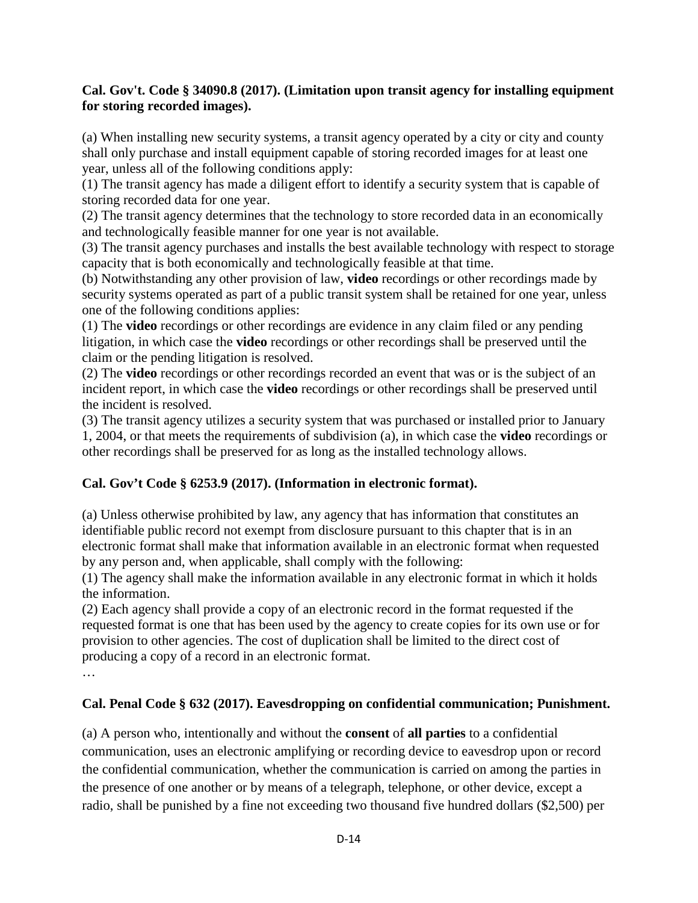## **Cal. Gov't. Code § 34090.8 (2017). (Limitation upon transit agency for installing equipment for storing recorded images).**

(a) When installing new security systems, a transit agency operated by a city or city and county shall only purchase and install equipment capable of storing recorded images for at least one year, unless all of the following conditions apply:

(1) The transit agency has made a diligent effort to identify a security system that is capable of storing recorded data for one year.

(2) The transit agency determines that the technology to store recorded data in an economically and technologically feasible manner for one year is not available.

(3) The transit agency purchases and installs the best available technology with respect to storage capacity that is both economically and technologically feasible at that time.

(b) Notwithstanding any other provision of law, **video** recordings or other recordings made by security systems operated as part of a public transit system shall be retained for one year, unless one of the following conditions applies:

(1) The **video** recordings or other recordings are evidence in any claim filed or any pending litigation, in which case the **video** recordings or other recordings shall be preserved until the claim or the pending litigation is resolved.

(2) The **video** recordings or other recordings recorded an event that was or is the subject of an incident report, in which case the **video** recordings or other recordings shall be preserved until the incident is resolved.

(3) The transit agency utilizes a security system that was purchased or installed prior to January 1, 2004, or that meets the requirements of subdivision (a), in which case the **video** recordings or other recordings shall be preserved for as long as the installed technology allows.

# **Cal. Gov't Code § 6253.9 (2017). (Information in electronic format).**

(a) Unless otherwise prohibited by law, any agency that has information that constitutes an identifiable public record not exempt from disclosure pursuant to this chapter that is in an electronic format shall make that information available in an electronic format when requested by any person and, when applicable, shall comply with the following:

(1) The agency shall make the information available in any electronic format in which it holds the information.

(2) Each agency shall provide a copy of an electronic record in the format requested if the requested format is one that has been used by the agency to create copies for its own use or for provision to other agencies. The cost of duplication shall be limited to the direct cost of producing a copy of a record in an electronic format.

…

# **Cal. Penal Code § 632 (2017). Eavesdropping on confidential communication; Punishment.**

(a) A person who, intentionally and without the **consent** of **all parties** to a confidential communication, uses an electronic amplifying or recording device to eavesdrop upon or record the confidential communication, whether the communication is carried on among the parties in the presence of one another or by means of a telegraph, telephone, or other device, except a radio, shall be punished by a fine not exceeding two thousand five hundred dollars (\$2,500) per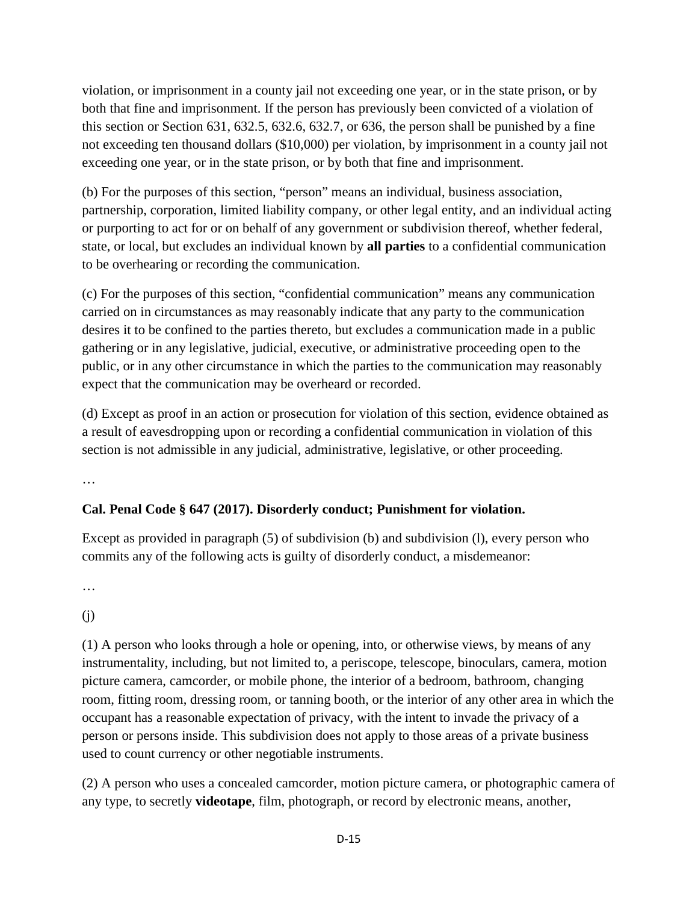violation, or imprisonment in a county jail not exceeding one year, or in the state prison, or by both that fine and imprisonment. If the person has previously been convicted of a violation of this section or Section 631, 632.5, 632.6, 632.7, or 636, the person shall be punished by a fine not exceeding ten thousand dollars (\$10,000) per violation, by imprisonment in a county jail not exceeding one year, or in the state prison, or by both that fine and imprisonment.

(b) For the purposes of this section, "person" means an individual, business association, partnership, corporation, limited liability company, or other legal entity, and an individual acting or purporting to act for or on behalf of any government or subdivision thereof, whether federal, state, or local, but excludes an individual known by **all parties** to a confidential communication to be overhearing or recording the communication.

(c) For the purposes of this section, "confidential communication" means any communication carried on in circumstances as may reasonably indicate that any party to the communication desires it to be confined to the parties thereto, but excludes a communication made in a public gathering or in any legislative, judicial, executive, or administrative proceeding open to the public, or in any other circumstance in which the parties to the communication may reasonably expect that the communication may be overheard or recorded.

(d) Except as proof in an action or prosecution for violation of this section, evidence obtained as a result of eavesdropping upon or recording a confidential communication in violation of this section is not admissible in any judicial, administrative, legislative, or other proceeding.

…

# **Cal. Penal Code § 647 (2017). Disorderly conduct; Punishment for violation.**

Except as provided in paragraph (5) of subdivision (b) and subdivision (l), every person who commits any of the following acts is guilty of disorderly conduct, a misdemeanor:

…

(j)

(1) A person who looks through a hole or opening, into, or otherwise views, by means of any instrumentality, including, but not limited to, a periscope, telescope, binoculars, camera, motion picture camera, camcorder, or mobile phone, the interior of a bedroom, bathroom, changing room, fitting room, dressing room, or tanning booth, or the interior of any other area in which the occupant has a reasonable expectation of privacy, with the intent to invade the privacy of a person or persons inside. This subdivision does not apply to those areas of a private business used to count currency or other negotiable instruments.

(2) A person who uses a concealed camcorder, motion picture camera, or photographic camera of any type, to secretly **videotape**, film, photograph, or record by electronic means, another,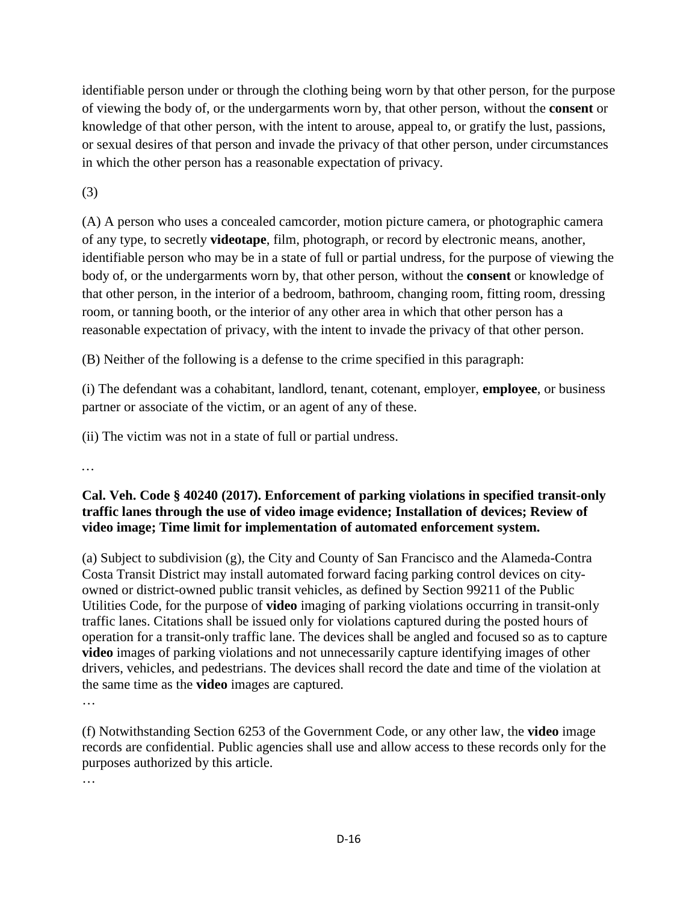identifiable person under or through the clothing being worn by that other person, for the purpose of viewing the body of, or the undergarments worn by, that other person, without the **consent** or knowledge of that other person, with the intent to arouse, appeal to, or gratify the lust, passions, or sexual desires of that person and invade the privacy of that other person, under circumstances in which the other person has a reasonable expectation of privacy.

(3)

(A) A person who uses a concealed camcorder, motion picture camera, or photographic camera of any type, to secretly **videotape**, film, photograph, or record by electronic means, another, identifiable person who may be in a state of full or partial undress, for the purpose of viewing the body of, or the undergarments worn by, that other person, without the **consent** or knowledge of that other person, in the interior of a bedroom, bathroom, changing room, fitting room, dressing room, or tanning booth, or the interior of any other area in which that other person has a reasonable expectation of privacy, with the intent to invade the privacy of that other person.

(B) Neither of the following is a defense to the crime specified in this paragraph:

(i) The defendant was a cohabitant, landlord, tenant, cotenant, employer, **employee**, or business partner or associate of the victim, or an agent of any of these.

(ii) The victim was not in a state of full or partial undress.

*…*

## **Cal. Veh. Code § 40240 (2017). Enforcement of parking violations in specified transit-only traffic lanes through the use of video image evidence; Installation of devices; Review of video image; Time limit for implementation of automated enforcement system.**

(a) Subject to subdivision (g), the City and County of San Francisco and the Alameda-Contra Costa Transit District may install automated forward facing parking control devices on cityowned or district-owned public transit vehicles, as defined by Section 99211 of the Public Utilities Code, for the purpose of **video** imaging of parking violations occurring in transit-only traffic lanes. Citations shall be issued only for violations captured during the posted hours of operation for a transit-only traffic lane. The devices shall be angled and focused so as to capture **video** images of parking violations and not unnecessarily capture identifying images of other drivers, vehicles, and pedestrians. The devices shall record the date and time of the violation at the same time as the **video** images are captured.

…

(f) Notwithstanding Section 6253 of the Government Code, or any other law, the **video** image records are confidential. Public agencies shall use and allow access to these records only for the purposes authorized by this article.

…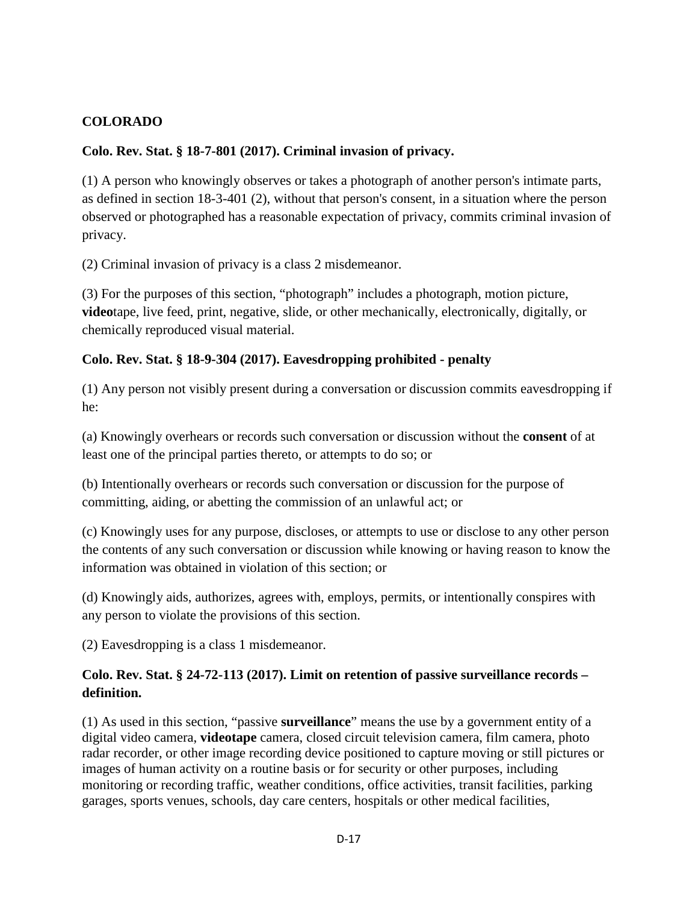# <span id="page-16-0"></span>**COLORADO**

## **Colo. Rev. Stat. § 18-7-801 (2017). Criminal invasion of privacy.**

(1) A person who knowingly observes or takes a photograph of another person's intimate parts, as defined in section 18-3-401 (2), without that person's consent, in a situation where the person observed or photographed has a reasonable expectation of privacy, commits criminal invasion of privacy.

(2) Criminal invasion of privacy is a class 2 misdemeanor.

(3) For the purposes of this section, "photograph" includes a photograph, motion picture, **video**tape, live feed, print, negative, slide, or other mechanically, electronically, digitally, or chemically reproduced visual material.

## **Colo. Rev. Stat. § 18-9-304 (2017). Eavesdropping prohibited - penalty**

(1) Any person not visibly present during a conversation or discussion commits eavesdropping if he:

(a) Knowingly overhears or records such conversation or discussion without the **consent** of at least one of the principal parties thereto, or attempts to do so; or

(b) Intentionally overhears or records such conversation or discussion for the purpose of committing, aiding, or abetting the commission of an unlawful act; or

(c) Knowingly uses for any purpose, discloses, or attempts to use or disclose to any other person the contents of any such conversation or discussion while knowing or having reason to know the information was obtained in violation of this section; or

(d) Knowingly aids, authorizes, agrees with, employs, permits, or intentionally conspires with any person to violate the provisions of this section.

(2) Eavesdropping is a class 1 misdemeanor.

# **Colo. Rev. Stat. § 24-72-113 (2017). Limit on retention of passive surveillance records – definition.**

(1) As used in this section, "passive **surveillance**" means the use by a government entity of a digital video camera, **videotape** camera, closed circuit television camera, film camera, photo radar recorder, or other image recording device positioned to capture moving or still pictures or images of human activity on a routine basis or for security or other purposes, including monitoring or recording traffic, weather conditions, office activities, transit facilities, parking garages, sports venues, schools, day care centers, hospitals or other medical facilities,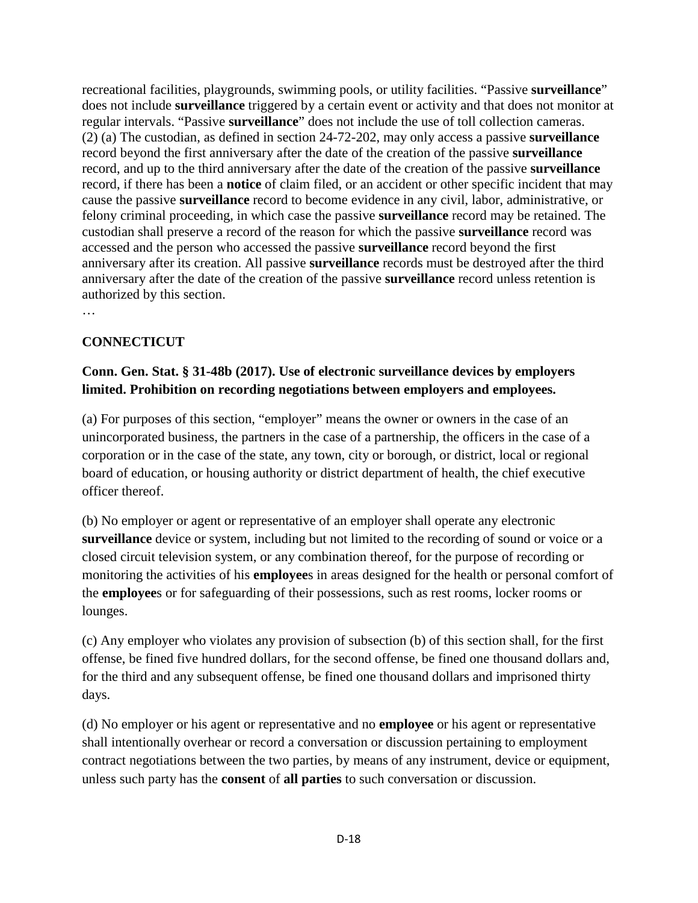<span id="page-17-0"></span>recreational facilities, playgrounds, swimming pools, or utility facilities. "Passive **surveillance**" does not include **surveillance** triggered by a certain event or activity and that does not monitor at regular intervals. "Passive **surveillance**" does not include the use of toll collection cameras. (2) (a) The custodian, as defined in section 24-72-202, may only access a passive **surveillance** record beyond the first anniversary after the date of the creation of the passive **surveillance** record, and up to the third anniversary after the date of the creation of the passive **surveillance** record, if there has been a **notice** of claim filed, or an accident or other specific incident that may cause the passive **surveillance** record to become evidence in any civil, labor, administrative, or felony criminal proceeding, in which case the passive **surveillance** record may be retained. The custodian shall preserve a record of the reason for which the passive **surveillance** record was accessed and the person who accessed the passive **surveillance** record beyond the first anniversary after its creation. All passive **surveillance** records must be destroyed after the third anniversary after the date of the creation of the passive **surveillance** record unless retention is authorized by this section.

…

## **CONNECTICUT**

# **Conn. Gen. Stat. § 31-48b (2017). Use of electronic surveillance devices by employers limited. Prohibition on recording negotiations between employers and employees.**

(a) For purposes of this section, "employer" means the owner or owners in the case of an unincorporated business, the partners in the case of a partnership, the officers in the case of a corporation or in the case of the state, any town, city or borough, or district, local or regional board of education, or housing authority or district department of health, the chief executive officer thereof.

(b) No employer or agent or representative of an employer shall operate any electronic **surveillance** device or system, including but not limited to the recording of sound or voice or a closed circuit television system, or any combination thereof, for the purpose of recording or monitoring the activities of his **employee**s in areas designed for the health or personal comfort of the **employee**s or for safeguarding of their possessions, such as rest rooms, locker rooms or lounges.

(c) Any employer who violates any provision of subsection (b) of this section shall, for the first offense, be fined five hundred dollars, for the second offense, be fined one thousand dollars and, for the third and any subsequent offense, be fined one thousand dollars and imprisoned thirty days.

(d) No employer or his agent or representative and no **employee** or his agent or representative shall intentionally overhear or record a conversation or discussion pertaining to employment contract negotiations between the two parties, by means of any instrument, device or equipment, unless such party has the **consent** of **all parties** to such conversation or discussion.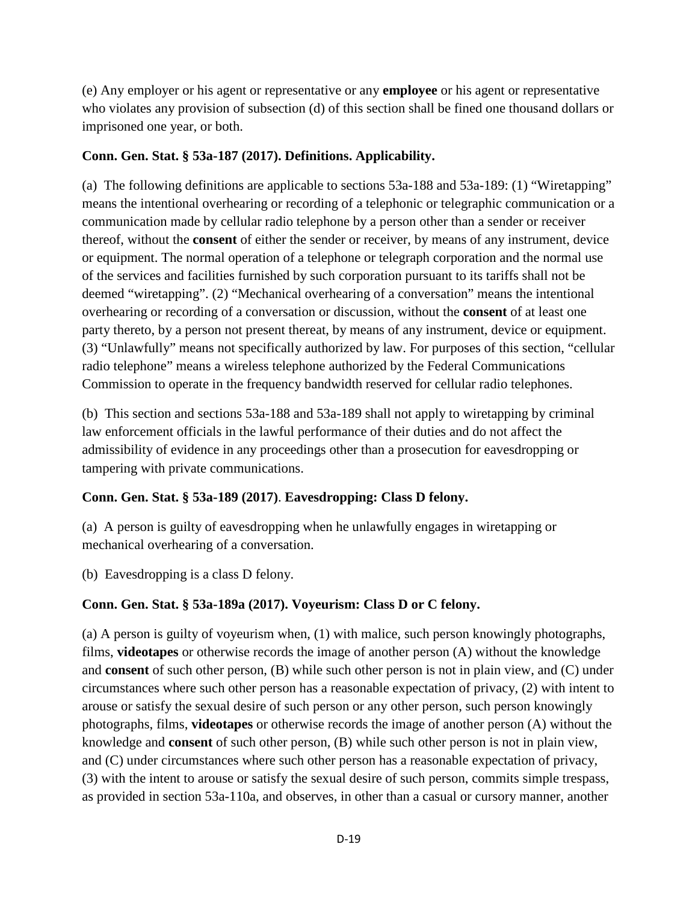(e) Any employer or his agent or representative or any **employee** or his agent or representative who violates any provision of subsection (d) of this section shall be fined one thousand dollars or imprisoned one year, or both.

# **Conn. Gen. Stat. § 53a-187 (2017). Definitions. Applicability.**

(a) The following definitions are applicable to sections 53a-188 and 53a-189: (1) "Wiretapping" means the intentional overhearing or recording of a telephonic or telegraphic communication or a communication made by cellular radio telephone by a person other than a sender or receiver thereof, without the **consent** of either the sender or receiver, by means of any instrument, device or equipment. The normal operation of a telephone or telegraph corporation and the normal use of the services and facilities furnished by such corporation pursuant to its tariffs shall not be deemed "wiretapping". (2) "Mechanical overhearing of a conversation" means the intentional overhearing or recording of a conversation or discussion, without the **consent** of at least one party thereto, by a person not present thereat, by means of any instrument, device or equipment. (3) "Unlawfully" means not specifically authorized by law. For purposes of this section, "cellular radio telephone" means a wireless telephone authorized by the Federal Communications Commission to operate in the frequency bandwidth reserved for cellular radio telephones.

(b) This section and sections 53a-188 and 53a-189 shall not apply to wiretapping by criminal law enforcement officials in the lawful performance of their duties and do not affect the admissibility of evidence in any proceedings other than a prosecution for eavesdropping or tampering with private communications.

# **Conn. Gen. Stat. § 53a-189 (2017)**. **Eavesdropping: Class D felony.**

(a) A person is guilty of eavesdropping when he unlawfully engages in wiretapping or mechanical overhearing of a conversation.

(b) Eavesdropping is a class D felony.

# **Conn. Gen. Stat. § 53a-189a (2017). Voyeurism: Class D or C felony.**

(a) A person is guilty of voyeurism when, (1) with malice, such person knowingly photographs, films, **videotapes** or otherwise records the image of another person (A) without the knowledge and **consent** of such other person, (B) while such other person is not in plain view, and (C) under circumstances where such other person has a reasonable expectation of privacy, (2) with intent to arouse or satisfy the sexual desire of such person or any other person, such person knowingly photographs, films, **videotapes** or otherwise records the image of another person (A) without the knowledge and **consent** of such other person, (B) while such other person is not in plain view, and (C) under circumstances where such other person has a reasonable expectation of privacy, (3) with the intent to arouse or satisfy the sexual desire of such person, commits simple trespass, as provided in section 53a-110a, and observes, in other than a casual or cursory manner, another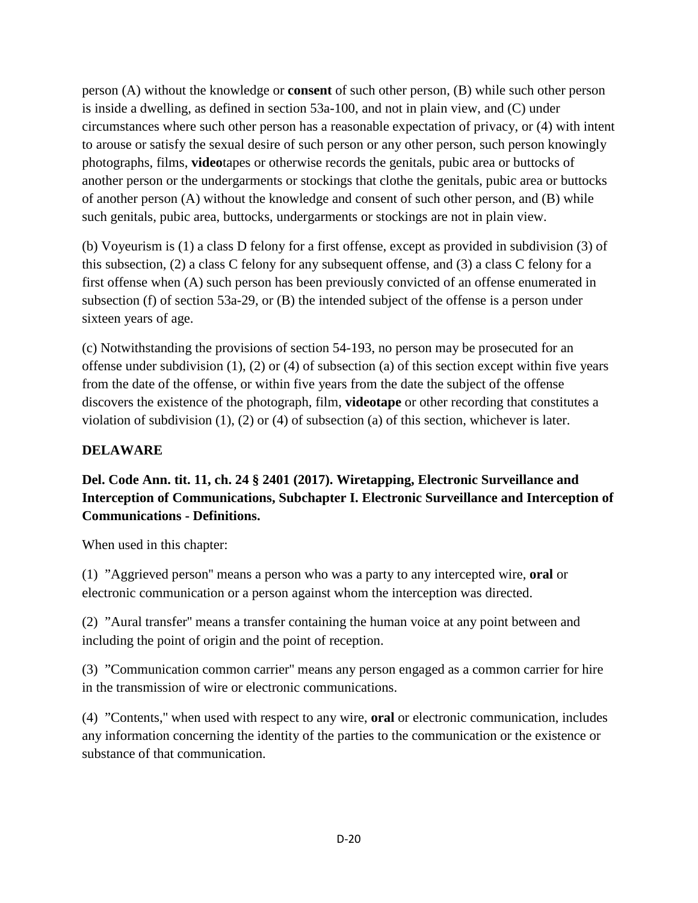<span id="page-19-0"></span>person (A) without the knowledge or **consent** of such other person, (B) while such other person is inside a dwelling, as defined in section 53a-100, and not in plain view, and (C) under circumstances where such other person has a reasonable expectation of privacy, or (4) with intent to arouse or satisfy the sexual desire of such person or any other person, such person knowingly photographs, films, **video**tapes or otherwise records the genitals, pubic area or buttocks of another person or the undergarments or stockings that clothe the genitals, pubic area or buttocks of another person (A) without the knowledge and consent of such other person, and (B) while such genitals, pubic area, buttocks, undergarments or stockings are not in plain view.

(b) Voyeurism is (1) a class D felony for a first offense, except as provided in subdivision (3) of this subsection, (2) a class C felony for any subsequent offense, and (3) a class C felony for a first offense when (A) such person has been previously convicted of an offense enumerated in subsection (f) of section 53a-29, or (B) the intended subject of the offense is a person under sixteen years of age.

(c) Notwithstanding the provisions of section 54-193, no person may be prosecuted for an offense under subdivision (1), (2) or (4) of subsection (a) of this section except within five years from the date of the offense, or within five years from the date the subject of the offense discovers the existence of the photograph, film, **videotape** or other recording that constitutes a violation of subdivision (1), (2) or (4) of subsection (a) of this section, whichever is later.

# **DELAWARE**

# **Del. Code Ann. tit. 11, ch. 24 § 2401 (2017). Wiretapping, Electronic Surveillance and Interception of Communications, Subchapter I. Electronic Surveillance and Interception of Communications - Definitions.**

When used in this chapter:

(1) "Aggrieved person'' means a person who was a party to any intercepted wire, **oral** or electronic communication or a person against whom the interception was directed.

(2) "Aural transfer'' means a transfer containing the human voice at any point between and including the point of origin and the point of reception.

(3) "Communication common carrier'' means any person engaged as a common carrier for hire in the transmission of wire or electronic communications.

(4) "Contents,'' when used with respect to any wire, **oral** or electronic communication, includes any information concerning the identity of the parties to the communication or the existence or substance of that communication.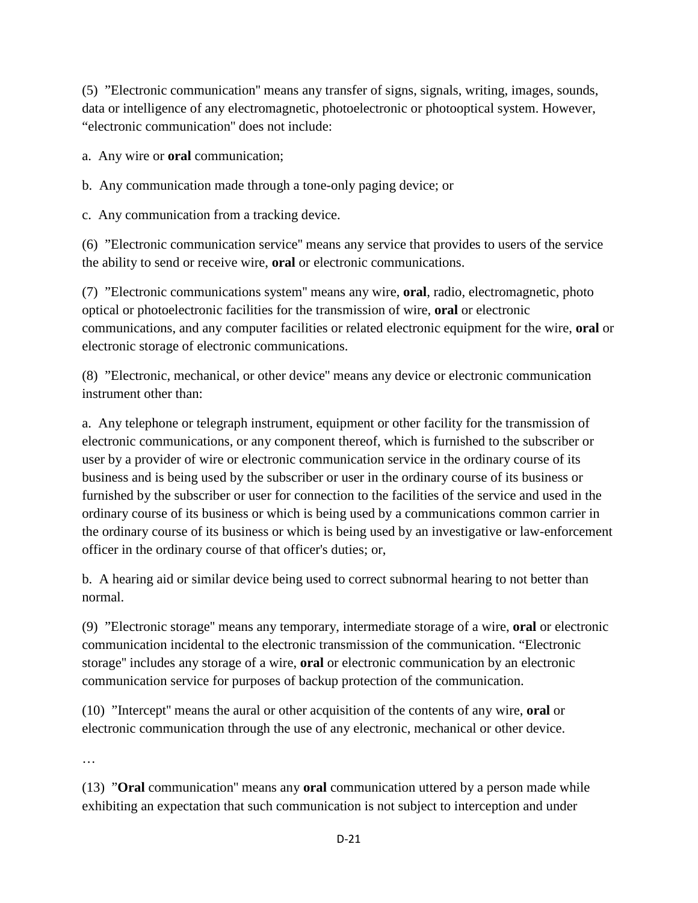(5) "Electronic communication'' means any transfer of signs, signals, writing, images, sounds, data or intelligence of any electromagnetic, photoelectronic or photooptical system. However, "electronic communication'' does not include:

a. Any wire or **oral** communication;

b. Any communication made through a tone-only paging device; or

c. Any communication from a tracking device.

(6) "Electronic communication service'' means any service that provides to users of the service the ability to send or receive wire, **oral** or electronic communications.

(7) "Electronic communications system'' means any wire, **oral**, radio, electromagnetic, photo optical or photoelectronic facilities for the transmission of wire, **oral** or electronic communications, and any computer facilities or related electronic equipment for the wire, **oral** or electronic storage of electronic communications.

(8) "Electronic, mechanical, or other device'' means any device or electronic communication instrument other than:

a. Any telephone or telegraph instrument, equipment or other facility for the transmission of electronic communications, or any component thereof, which is furnished to the subscriber or user by a provider of wire or electronic communication service in the ordinary course of its business and is being used by the subscriber or user in the ordinary course of its business or furnished by the subscriber or user for connection to the facilities of the service and used in the ordinary course of its business or which is being used by a communications common carrier in the ordinary course of its business or which is being used by an investigative or law-enforcement officer in the ordinary course of that officer's duties; or,

b. A hearing aid or similar device being used to correct subnormal hearing to not better than normal.

(9) "Electronic storage'' means any temporary, intermediate storage of a wire, **oral** or electronic communication incidental to the electronic transmission of the communication. "Electronic storage'' includes any storage of a wire, **oral** or electronic communication by an electronic communication service for purposes of backup protection of the communication.

(10) "Intercept'' means the aural or other acquisition of the contents of any wire, **oral** or electronic communication through the use of any electronic, mechanical or other device.

…

(13) "**Oral** communication'' means any **oral** communication uttered by a person made while exhibiting an expectation that such communication is not subject to interception and under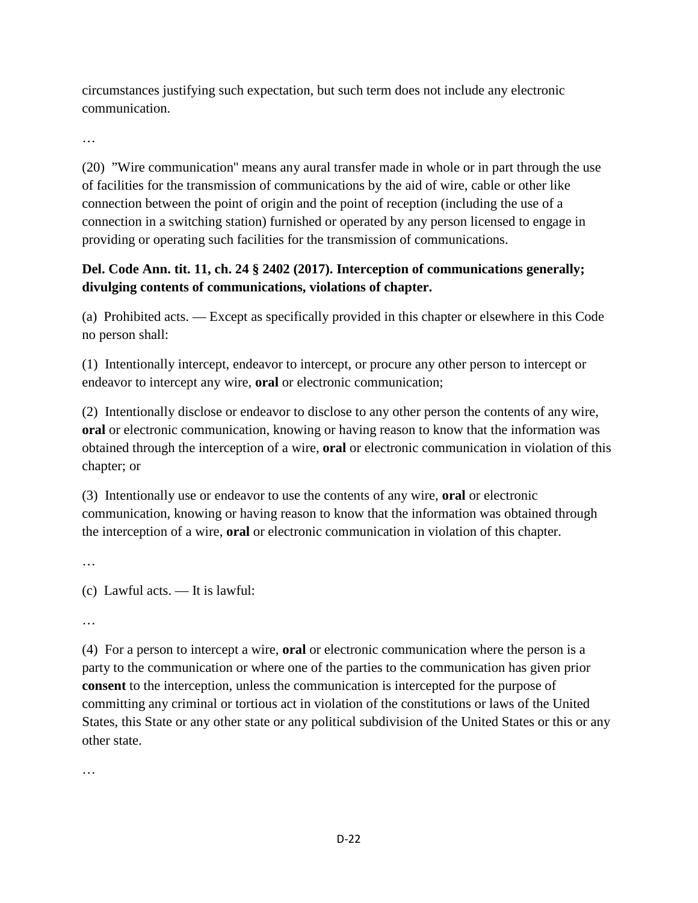circumstances justifying such expectation, but such term does not include any electronic communication.

…

(20) "Wire communication'' means any aural transfer made in whole or in part through the use of facilities for the transmission of communications by the aid of wire, cable or other like connection between the point of origin and the point of reception (including the use of a connection in a switching station) furnished or operated by any person licensed to engage in providing or operating such facilities for the transmission of communications.

# **Del. Code Ann. tit. 11, ch. 24 § 2402 (2017). Interception of communications generally; divulging contents of communications, violations of chapter.**

(a) Prohibited acts. — Except as specifically provided in this chapter or elsewhere in this Code no person shall:

(1) Intentionally intercept, endeavor to intercept, or procure any other person to intercept or endeavor to intercept any wire, **oral** or electronic communication;

(2) Intentionally disclose or endeavor to disclose to any other person the contents of any wire, **oral** or electronic communication, knowing or having reason to know that the information was obtained through the interception of a wire, **oral** or electronic communication in violation of this chapter; or

(3) Intentionally use or endeavor to use the contents of any wire, **oral** or electronic communication, knowing or having reason to know that the information was obtained through the interception of a wire, **oral** or electronic communication in violation of this chapter.

…

(c) Lawful acts. — It is lawful:

…

(4) For a person to intercept a wire, **oral** or electronic communication where the person is a party to the communication or where one of the parties to the communication has given prior **consent** to the interception, unless the communication is intercepted for the purpose of committing any criminal or tortious act in violation of the constitutions or laws of the United States, this State or any other state or any political subdivision of the United States or this or any other state.

…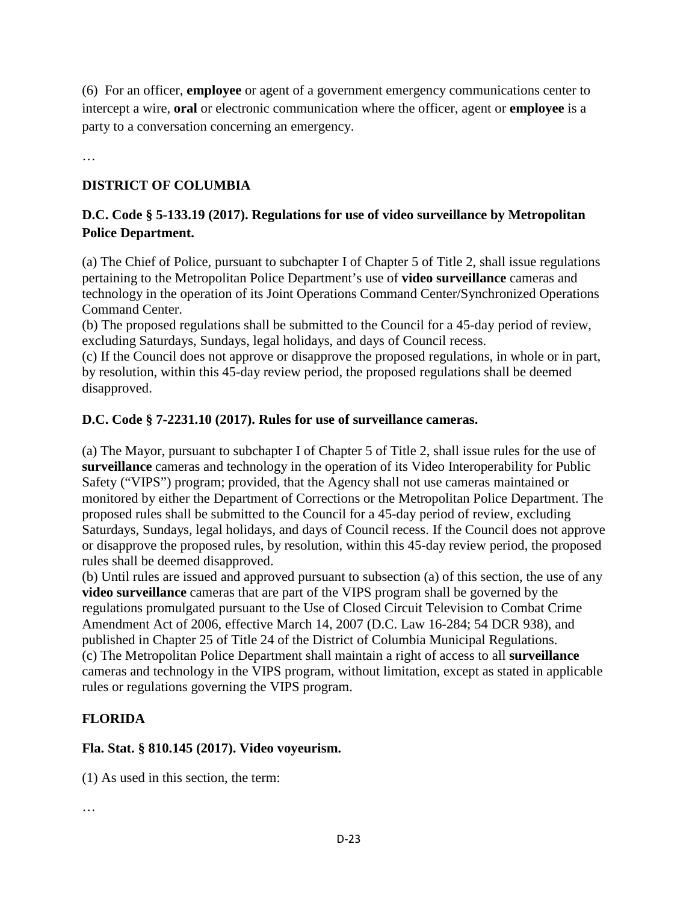<span id="page-22-0"></span>(6) For an officer, **employee** or agent of a government emergency communications center to intercept a wire, **oral** or electronic communication where the officer, agent or **employee** is a party to a conversation concerning an emergency.

…

# **DISTRICT OF COLUMBIA**

# **D.C. Code § 5-133.19 (2017). Regulations for use of video surveillance by Metropolitan Police Department.**

(a) The Chief of Police, pursuant to subchapter I of Chapter 5 of Title 2, shall issue regulations pertaining to the Metropolitan Police Department's use of **video surveillance** cameras and technology in the operation of its Joint Operations Command Center/Synchronized Operations Command Center.

(b) The proposed regulations shall be submitted to the Council for a 45-day period of review, excluding Saturdays, Sundays, legal holidays, and days of Council recess.

(c) If the Council does not approve or disapprove the proposed regulations, in whole or in part, by resolution, within this 45-day review period, the proposed regulations shall be deemed disapproved.

## **D.C. Code § 7-2231.10 (2017). Rules for use of surveillance cameras.**

(a) The Mayor, pursuant to subchapter I of Chapter 5 of Title 2, shall issue rules for the use of **surveillance** cameras and technology in the operation of its Video Interoperability for Public Safety ("VIPS") program; provided, that the Agency shall not use cameras maintained or monitored by either the Department of Corrections or the Metropolitan Police Department. The proposed rules shall be submitted to the Council for a 45-day period of review, excluding Saturdays, Sundays, legal holidays, and days of Council recess. If the Council does not approve or disapprove the proposed rules, by resolution, within this 45-day review period, the proposed rules shall be deemed disapproved.

(b) Until rules are issued and approved pursuant to subsection (a) of this section, the use of any **video surveillance** cameras that are part of the VIPS program shall be governed by the regulations promulgated pursuant to the Use of Closed Circuit Television to Combat Crime Amendment Act of 2006, effective March 14, 2007 (D.C. Law 16-284; 54 DCR 938), and published in Chapter 25 of Title 24 of the District of Columbia Municipal Regulations. (c) The Metropolitan Police Department shall maintain a right of access to all **surveillance** cameras and technology in the VIPS program, without limitation, except as stated in applicable rules or regulations governing the VIPS program.

## **FLORIDA**

## **Fla. Stat. § 810.145 (2017). Video voyeurism.**

(1) As used in this section, the term: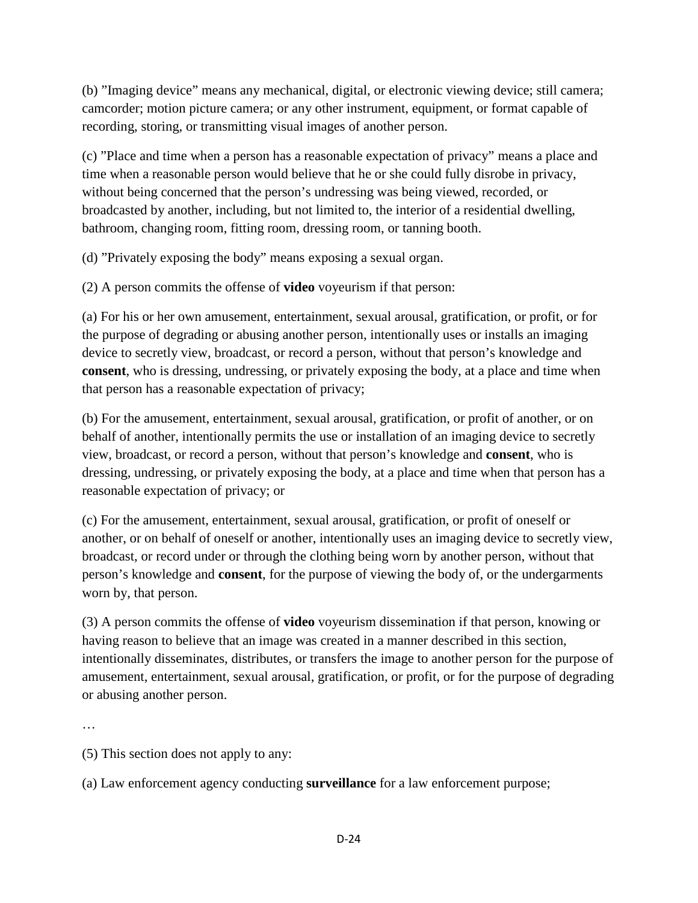(b) "Imaging device" means any mechanical, digital, or electronic viewing device; still camera; camcorder; motion picture camera; or any other instrument, equipment, or format capable of recording, storing, or transmitting visual images of another person.

(c) "Place and time when a person has a reasonable expectation of privacy" means a place and time when a reasonable person would believe that he or she could fully disrobe in privacy, without being concerned that the person's undressing was being viewed, recorded, or broadcasted by another, including, but not limited to, the interior of a residential dwelling, bathroom, changing room, fitting room, dressing room, or tanning booth.

(d) "Privately exposing the body" means exposing a sexual organ.

(2) A person commits the offense of **video** voyeurism if that person:

(a) For his or her own amusement, entertainment, sexual arousal, gratification, or profit, or for the purpose of degrading or abusing another person, intentionally uses or installs an imaging device to secretly view, broadcast, or record a person, without that person's knowledge and **consent**, who is dressing, undressing, or privately exposing the body, at a place and time when that person has a reasonable expectation of privacy;

(b) For the amusement, entertainment, sexual arousal, gratification, or profit of another, or on behalf of another, intentionally permits the use or installation of an imaging device to secretly view, broadcast, or record a person, without that person's knowledge and **consent**, who is dressing, undressing, or privately exposing the body, at a place and time when that person has a reasonable expectation of privacy; or

(c) For the amusement, entertainment, sexual arousal, gratification, or profit of oneself or another, or on behalf of oneself or another, intentionally uses an imaging device to secretly view, broadcast, or record under or through the clothing being worn by another person, without that person's knowledge and **consent**, for the purpose of viewing the body of, or the undergarments worn by, that person.

(3) A person commits the offense of **video** voyeurism dissemination if that person, knowing or having reason to believe that an image was created in a manner described in this section, intentionally disseminates, distributes, or transfers the image to another person for the purpose of amusement, entertainment, sexual arousal, gratification, or profit, or for the purpose of degrading or abusing another person.

…

(5) This section does not apply to any:

(a) Law enforcement agency conducting **surveillance** for a law enforcement purpose;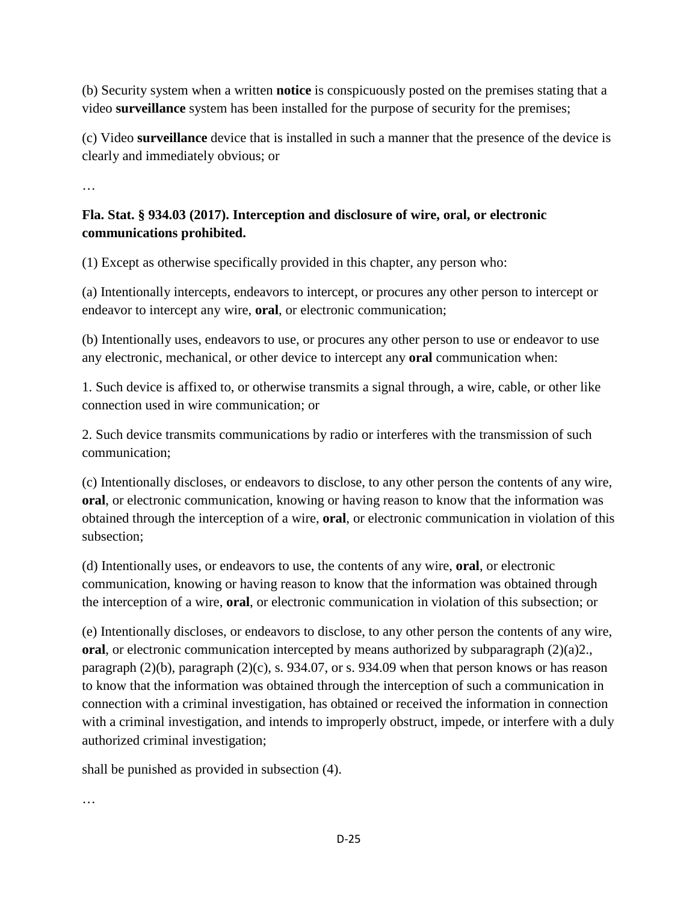(b) Security system when a written **notice** is conspicuously posted on the premises stating that a video **surveillance** system has been installed for the purpose of security for the premises;

(c) Video **surveillance** device that is installed in such a manner that the presence of the device is clearly and immediately obvious; or

…

# **Fla. Stat. § 934.03 (2017). Interception and disclosure of wire, oral, or electronic communications prohibited.**

(1) Except as otherwise specifically provided in this chapter, any person who:

(a) Intentionally intercepts, endeavors to intercept, or procures any other person to intercept or endeavor to intercept any wire, **oral**, or electronic communication;

(b) Intentionally uses, endeavors to use, or procures any other person to use or endeavor to use any electronic, mechanical, or other device to intercept any **oral** communication when:

1. Such device is affixed to, or otherwise transmits a signal through, a wire, cable, or other like connection used in wire communication; or

2. Such device transmits communications by radio or interferes with the transmission of such communication;

(c) Intentionally discloses, or endeavors to disclose, to any other person the contents of any wire, **oral**, or electronic communication, knowing or having reason to know that the information was obtained through the interception of a wire, **oral**, or electronic communication in violation of this subsection;

(d) Intentionally uses, or endeavors to use, the contents of any wire, **oral**, or electronic communication, knowing or having reason to know that the information was obtained through the interception of a wire, **oral**, or electronic communication in violation of this subsection; or

(e) Intentionally discloses, or endeavors to disclose, to any other person the contents of any wire, **oral**, or electronic communication intercepted by means authorized by subparagraph (2)(a)2., paragraph  $(2)(b)$ , paragraph  $(2)(c)$ , s. 934.07, or s. 934.09 when that person knows or has reason to know that the information was obtained through the interception of such a communication in connection with a criminal investigation, has obtained or received the information in connection with a criminal investigation, and intends to improperly obstruct, impede, or interfere with a duly authorized criminal investigation;

shall be punished as provided in subsection (4).

…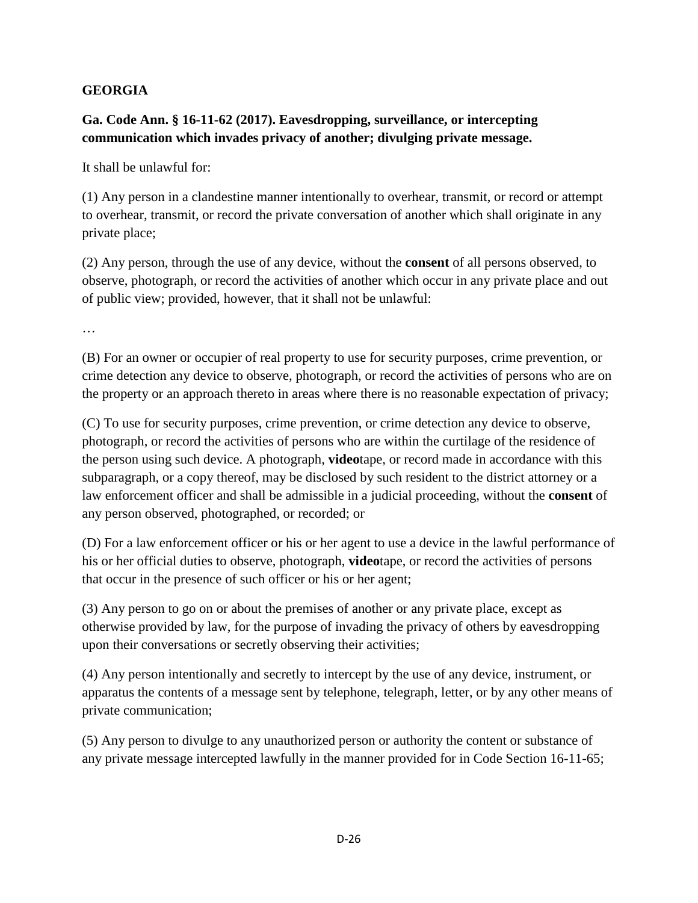# <span id="page-25-0"></span>**GEORGIA**

# **Ga. Code Ann. § 16-11-62 (2017). Eavesdropping, surveillance, or intercepting communication which invades privacy of another; divulging private message.**

It shall be unlawful for:

(1) Any person in a clandestine manner intentionally to overhear, transmit, or record or attempt to overhear, transmit, or record the private conversation of another which shall originate in any private place;

(2) Any person, through the use of any device, without the **consent** of all persons observed, to observe, photograph, or record the activities of another which occur in any private place and out of public view; provided, however, that it shall not be unlawful:

…

(B) For an owner or occupier of real property to use for security purposes, crime prevention, or crime detection any device to observe, photograph, or record the activities of persons who are on the property or an approach thereto in areas where there is no reasonable expectation of privacy;

(C) To use for security purposes, crime prevention, or crime detection any device to observe, photograph, or record the activities of persons who are within the curtilage of the residence of the person using such device. A photograph, **video**tape, or record made in accordance with this subparagraph, or a copy thereof, may be disclosed by such resident to the district attorney or a law enforcement officer and shall be admissible in a judicial proceeding, without the **consent** of any person observed, photographed, or recorded; or

(D) For a law enforcement officer or his or her agent to use a device in the lawful performance of his or her official duties to observe, photograph, **video**tape, or record the activities of persons that occur in the presence of such officer or his or her agent;

(3) Any person to go on or about the premises of another or any private place, except as otherwise provided by law, for the purpose of invading the privacy of others by eavesdropping upon their conversations or secretly observing their activities;

(4) Any person intentionally and secretly to intercept by the use of any device, instrument, or apparatus the contents of a message sent by telephone, telegraph, letter, or by any other means of private communication;

(5) Any person to divulge to any unauthorized person or authority the content or substance of any private message intercepted lawfully in the manner provided for in Code Section 16-11-65;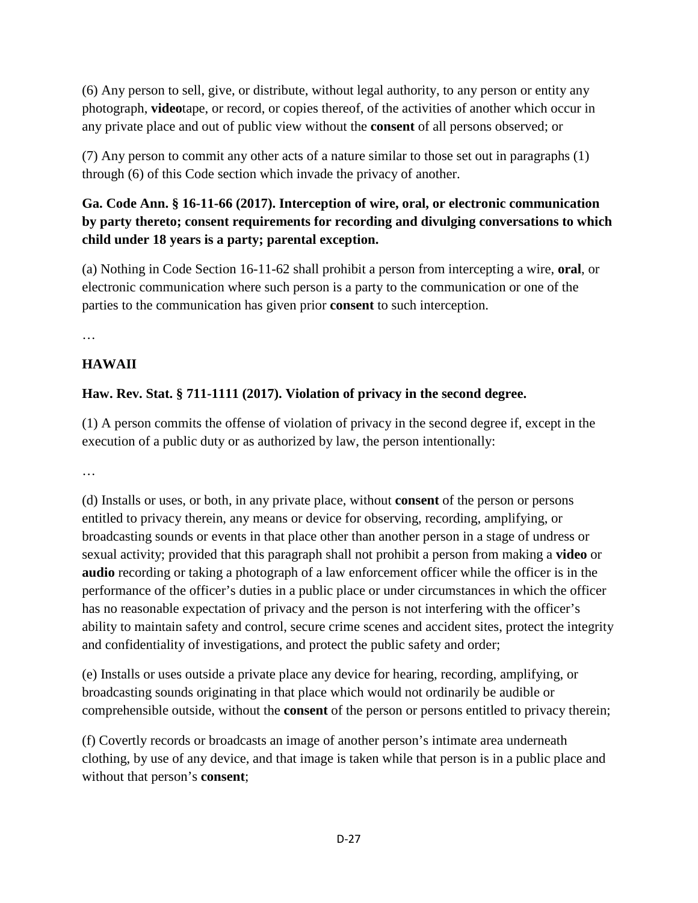<span id="page-26-0"></span>(6) Any person to sell, give, or distribute, without legal authority, to any person or entity any photograph, **video**tape, or record, or copies thereof, of the activities of another which occur in any private place and out of public view without the **consent** of all persons observed; or

(7) Any person to commit any other acts of a nature similar to those set out in paragraphs (1) through (6) of this Code section which invade the privacy of another.

# **Ga. Code Ann. § 16-11-66 (2017). Interception of wire, oral, or electronic communication by party thereto; consent requirements for recording and divulging conversations to which child under 18 years is a party; parental exception.**

(a) Nothing in Code Section 16-11-62 shall prohibit a person from intercepting a wire, **oral**, or electronic communication where such person is a party to the communication or one of the parties to the communication has given prior **consent** to such interception.

…

# **HAWAII**

# **Haw. Rev. Stat. § 711-1111 (2017). Violation of privacy in the second degree.**

(1) A person commits the offense of violation of privacy in the second degree if, except in the execution of a public duty or as authorized by law, the person intentionally:

…

(d) Installs or uses, or both, in any private place, without **consent** of the person or persons entitled to privacy therein, any means or device for observing, recording, amplifying, or broadcasting sounds or events in that place other than another person in a stage of undress or sexual activity; provided that this paragraph shall not prohibit a person from making a **video** or **audio** recording or taking a photograph of a law enforcement officer while the officer is in the performance of the officer's duties in a public place or under circumstances in which the officer has no reasonable expectation of privacy and the person is not interfering with the officer's ability to maintain safety and control, secure crime scenes and accident sites, protect the integrity and confidentiality of investigations, and protect the public safety and order;

(e) Installs or uses outside a private place any device for hearing, recording, amplifying, or broadcasting sounds originating in that place which would not ordinarily be audible or comprehensible outside, without the **consent** of the person or persons entitled to privacy therein;

(f) Covertly records or broadcasts an image of another person's intimate area underneath clothing, by use of any device, and that image is taken while that person is in a public place and without that person's **consent**;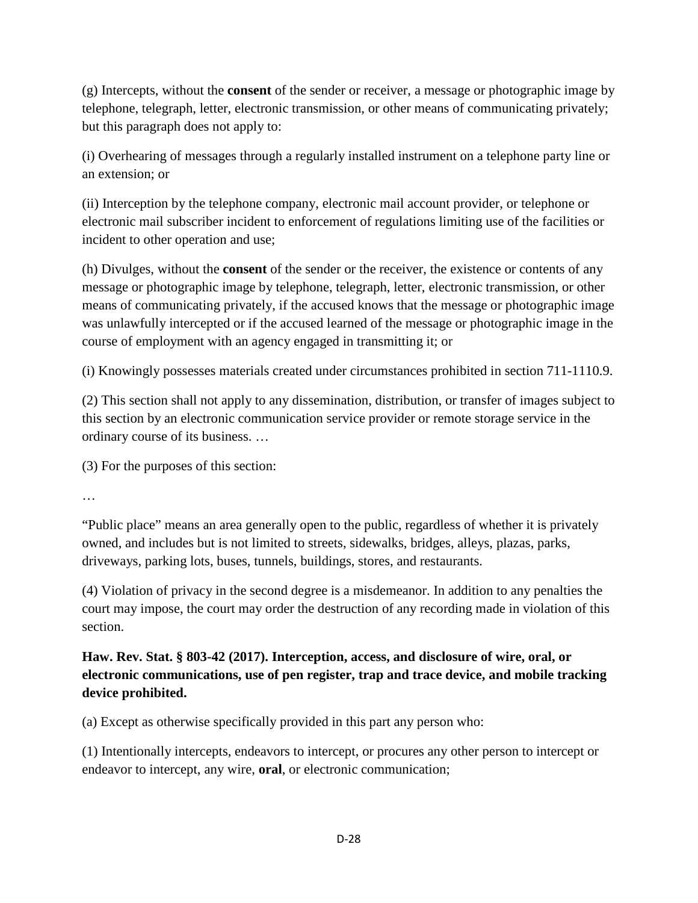(g) Intercepts, without the **consent** of the sender or receiver, a message or photographic image by telephone, telegraph, letter, electronic transmission, or other means of communicating privately; but this paragraph does not apply to:

(i) Overhearing of messages through a regularly installed instrument on a telephone party line or an extension; or

(ii) Interception by the telephone company, electronic mail account provider, or telephone or electronic mail subscriber incident to enforcement of regulations limiting use of the facilities or incident to other operation and use;

(h) Divulges, without the **consent** of the sender or the receiver, the existence or contents of any message or photographic image by telephone, telegraph, letter, electronic transmission, or other means of communicating privately, if the accused knows that the message or photographic image was unlawfully intercepted or if the accused learned of the message or photographic image in the course of employment with an agency engaged in transmitting it; or

(i) Knowingly possesses materials created under circumstances prohibited in section 711-1110.9.

(2) This section shall not apply to any dissemination, distribution, or transfer of images subject to this section by an electronic communication service provider or remote storage service in the ordinary course of its business. …

(3) For the purposes of this section:

…

"Public place" means an area generally open to the public, regardless of whether it is privately owned, and includes but is not limited to streets, sidewalks, bridges, alleys, plazas, parks, driveways, parking lots, buses, tunnels, buildings, stores, and restaurants.

(4) Violation of privacy in the second degree is a misdemeanor. In addition to any penalties the court may impose, the court may order the destruction of any recording made in violation of this section.

**Haw. Rev. Stat. § 803-42 (2017). Interception, access, and disclosure of wire, oral, or electronic communications, use of pen register, trap and trace device, and mobile tracking device prohibited.**

(a) Except as otherwise specifically provided in this part any person who:

(1) Intentionally intercepts, endeavors to intercept, or procures any other person to intercept or endeavor to intercept, any wire, **oral**, or electronic communication;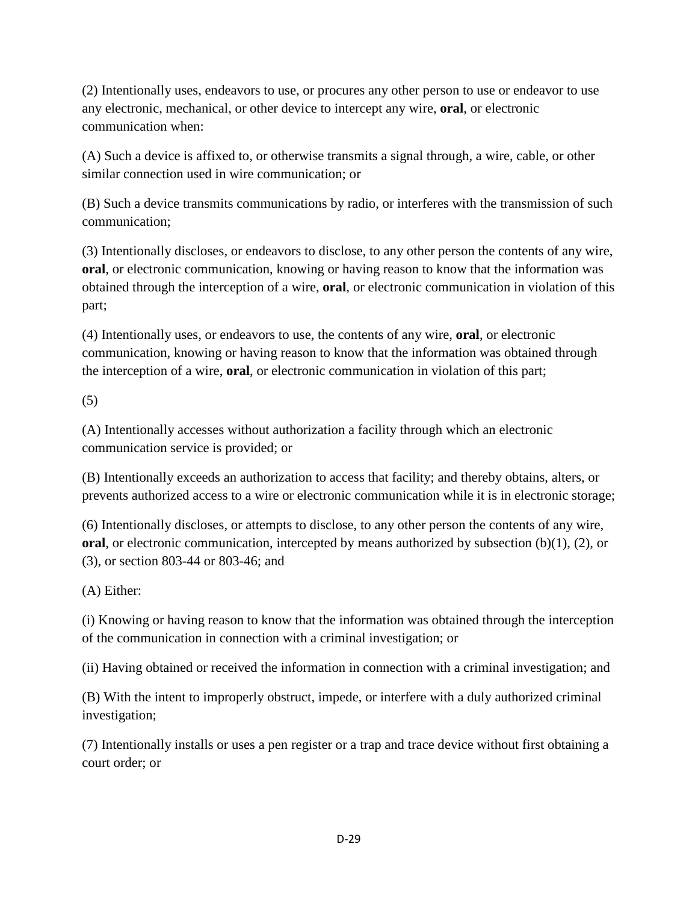(2) Intentionally uses, endeavors to use, or procures any other person to use or endeavor to use any electronic, mechanical, or other device to intercept any wire, **oral**, or electronic communication when:

(A) Such a device is affixed to, or otherwise transmits a signal through, a wire, cable, or other similar connection used in wire communication; or

(B) Such a device transmits communications by radio, or interferes with the transmission of such communication;

(3) Intentionally discloses, or endeavors to disclose, to any other person the contents of any wire, **oral**, or electronic communication, knowing or having reason to know that the information was obtained through the interception of a wire, **oral**, or electronic communication in violation of this part;

(4) Intentionally uses, or endeavors to use, the contents of any wire, **oral**, or electronic communication, knowing or having reason to know that the information was obtained through the interception of a wire, **oral**, or electronic communication in violation of this part;

(5)

(A) Intentionally accesses without authorization a facility through which an electronic communication service is provided; or

(B) Intentionally exceeds an authorization to access that facility; and thereby obtains, alters, or prevents authorized access to a wire or electronic communication while it is in electronic storage;

(6) Intentionally discloses, or attempts to disclose, to any other person the contents of any wire, **oral**, or electronic communication, intercepted by means authorized by subsection (b)(1), (2), or (3), or section 803-44 or 803-46; and

(A) Either:

(i) Knowing or having reason to know that the information was obtained through the interception of the communication in connection with a criminal investigation; or

(ii) Having obtained or received the information in connection with a criminal investigation; and

(B) With the intent to improperly obstruct, impede, or interfere with a duly authorized criminal investigation;

(7) Intentionally installs or uses a pen register or a trap and trace device without first obtaining a court order; or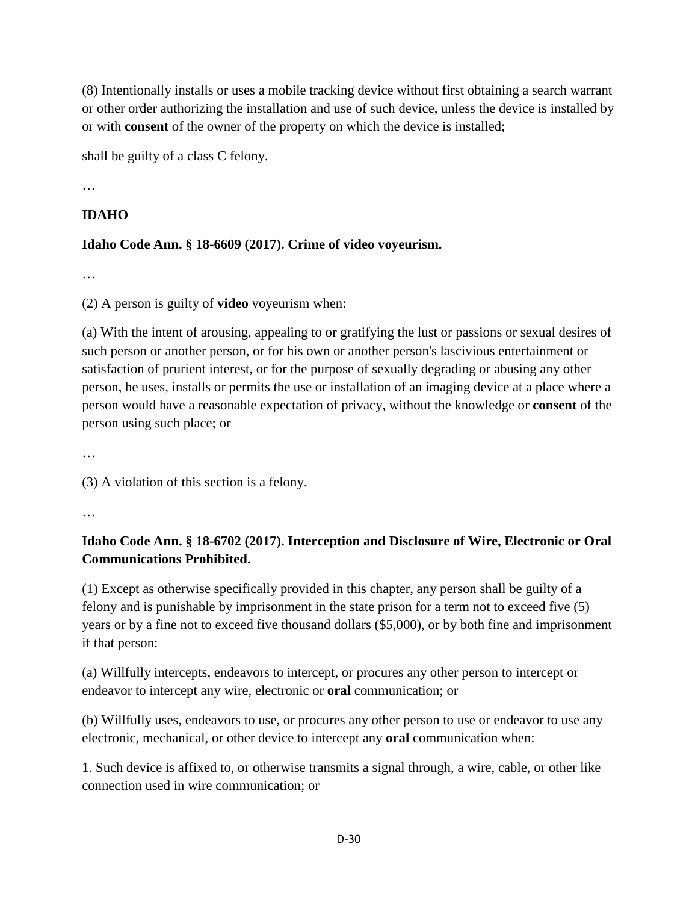<span id="page-29-0"></span>(8) Intentionally installs or uses a mobile tracking device without first obtaining a search warrant or other order authorizing the installation and use of such device, unless the device is installed by or with **consent** of the owner of the property on which the device is installed;

shall be guilty of a class C felony.

…

# **IDAHO**

# **Idaho Code Ann. § 18-6609 (2017). Crime of video voyeurism.**

…

(2) A person is guilty of **video** voyeurism when:

(a) With the intent of arousing, appealing to or gratifying the lust or passions or sexual desires of such person or another person, or for his own or another person's lascivious entertainment or satisfaction of prurient interest, or for the purpose of sexually degrading or abusing any other person, he uses, installs or permits the use or installation of an imaging device at a place where a person would have a reasonable expectation of privacy, without the knowledge or **consent** of the person using such place; or

…

(3) A violation of this section is a felony.

…

# **Idaho Code Ann. § 18-6702 (2017). Interception and Disclosure of Wire, Electronic or Oral Communications Prohibited.**

(1) Except as otherwise specifically provided in this chapter, any person shall be guilty of a felony and is punishable by imprisonment in the state prison for a term not to exceed five (5) years or by a fine not to exceed five thousand dollars (\$5,000), or by both fine and imprisonment if that person:

(a) Willfully intercepts, endeavors to intercept, or procures any other person to intercept or endeavor to intercept any wire, electronic or **oral** communication; or

(b) Willfully uses, endeavors to use, or procures any other person to use or endeavor to use any electronic, mechanical, or other device to intercept any **oral** communication when:

1. Such device is affixed to, or otherwise transmits a signal through, a wire, cable, or other like connection used in wire communication; or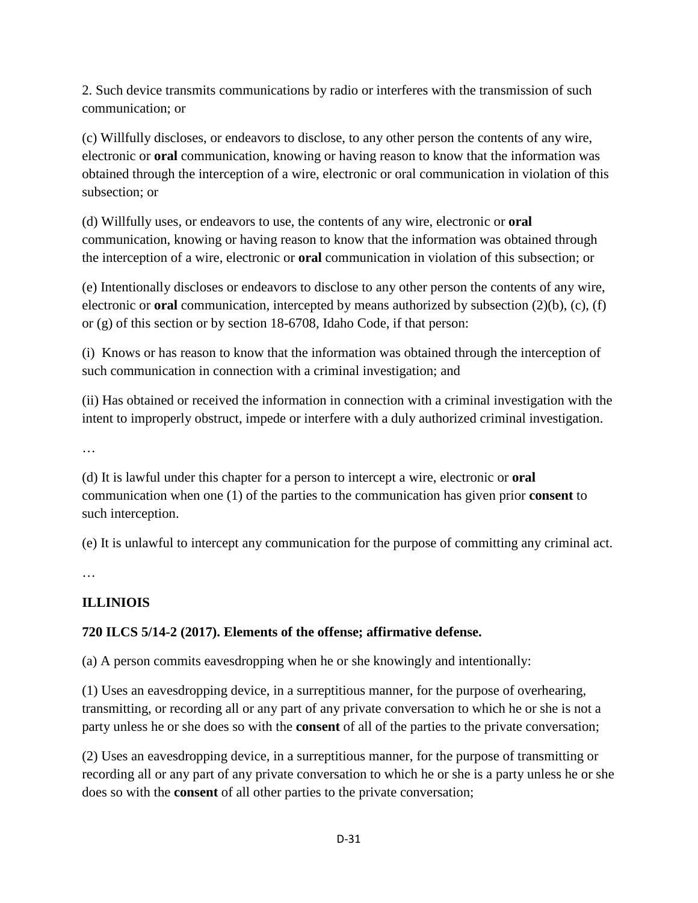<span id="page-30-0"></span>2. Such device transmits communications by radio or interferes with the transmission of such communication; or

(c) Willfully discloses, or endeavors to disclose, to any other person the contents of any wire, electronic or **oral** communication, knowing or having reason to know that the information was obtained through the interception of a wire, electronic or oral communication in violation of this subsection; or

(d) Willfully uses, or endeavors to use, the contents of any wire, electronic or **oral** communication, knowing or having reason to know that the information was obtained through the interception of a wire, electronic or **oral** communication in violation of this subsection; or

(e) Intentionally discloses or endeavors to disclose to any other person the contents of any wire, electronic or **oral** communication, intercepted by means authorized by subsection (2)(b), (c), (f) or (g) of this section or by section 18-6708, Idaho Code, if that person:

(i) Knows or has reason to know that the information was obtained through the interception of such communication in connection with a criminal investigation; and

(ii) Has obtained or received the information in connection with a criminal investigation with the intent to improperly obstruct, impede or interfere with a duly authorized criminal investigation.

…

(d) It is lawful under this chapter for a person to intercept a wire, electronic or **oral** communication when one (1) of the parties to the communication has given prior **consent** to such interception.

(e) It is unlawful to intercept any communication for the purpose of committing any criminal act.

…

# **ILLINIOIS**

# **720 ILCS 5/14-2 (2017). Elements of the offense; affirmative defense.**

(a) A person commits eavesdropping when he or she knowingly and intentionally:

(1) Uses an eavesdropping device, in a surreptitious manner, for the purpose of overhearing, transmitting, or recording all or any part of any private conversation to which he or she is not a party unless he or she does so with the **consent** of all of the parties to the private conversation;

(2) Uses an eavesdropping device, in a surreptitious manner, for the purpose of transmitting or recording all or any part of any private conversation to which he or she is a party unless he or she does so with the **consent** of all other parties to the private conversation;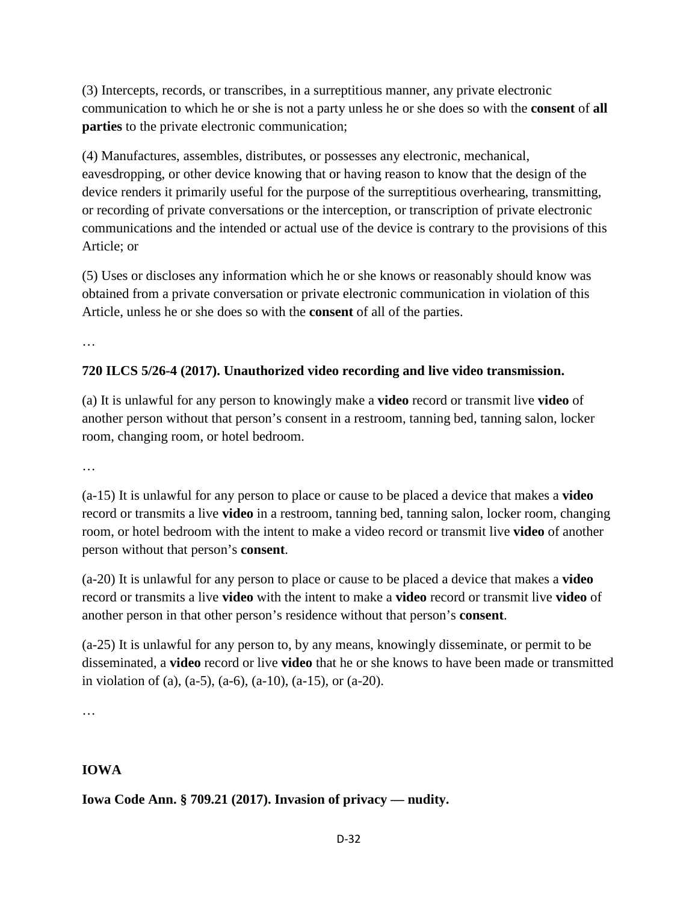<span id="page-31-0"></span>(3) Intercepts, records, or transcribes, in a surreptitious manner, any private electronic communication to which he or she is not a party unless he or she does so with the **consent** of **all parties** to the private electronic communication;

(4) Manufactures, assembles, distributes, or possesses any electronic, mechanical, eavesdropping, or other device knowing that or having reason to know that the design of the device renders it primarily useful for the purpose of the surreptitious overhearing, transmitting, or recording of private conversations or the interception, or transcription of private electronic communications and the intended or actual use of the device is contrary to the provisions of this Article; or

(5) Uses or discloses any information which he or she knows or reasonably should know was obtained from a private conversation or private electronic communication in violation of this Article, unless he or she does so with the **consent** of all of the parties.

…

# **720 ILCS 5/26-4 (2017). Unauthorized video recording and live video transmission.**

(a) It is unlawful for any person to knowingly make a **video** record or transmit live **video** of another person without that person's consent in a restroom, tanning bed, tanning salon, locker room, changing room, or hotel bedroom.

…

(a-15) It is unlawful for any person to place or cause to be placed a device that makes a **video** record or transmits a live **video** in a restroom, tanning bed, tanning salon, locker room, changing room, or hotel bedroom with the intent to make a video record or transmit live **video** of another person without that person's **consent**.

(a-20) It is unlawful for any person to place or cause to be placed a device that makes a **video** record or transmits a live **video** with the intent to make a **video** record or transmit live **video** of another person in that other person's residence without that person's **consent**.

(a-25) It is unlawful for any person to, by any means, knowingly disseminate, or permit to be disseminated, a **video** record or live **video** that he or she knows to have been made or transmitted in violation of (a), (a-5), (a-6), (a-10), (a-15), or (a-20).

…

# **IOWA**

**Iowa Code Ann. § 709.21 (2017). Invasion of privacy — nudity.**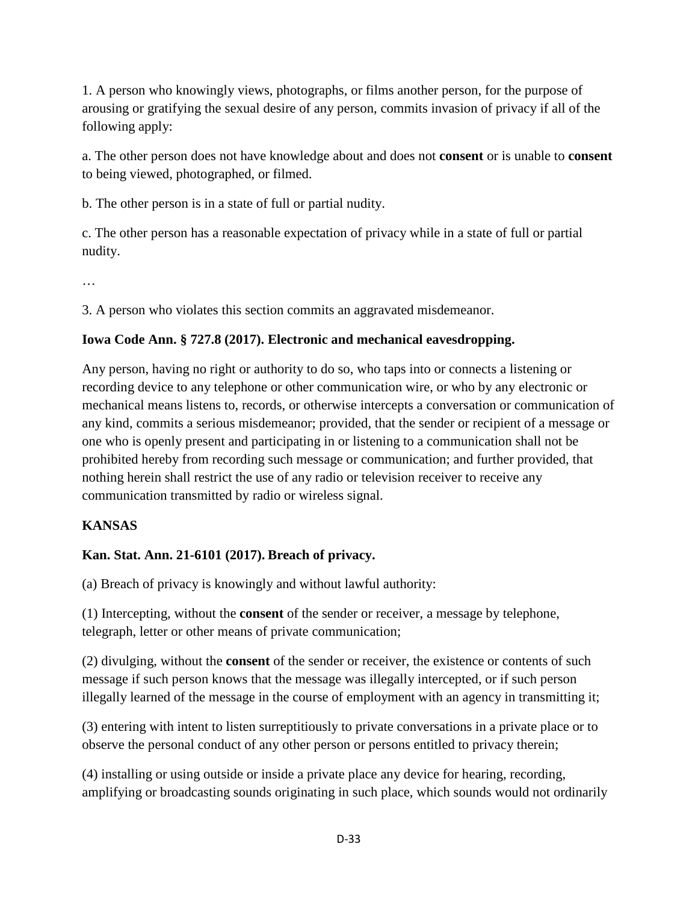<span id="page-32-0"></span>1. A person who knowingly views, photographs, or films another person, for the purpose of arousing or gratifying the sexual desire of any person, commits invasion of privacy if all of the following apply:

a. The other person does not have knowledge about and does not **consent** or is unable to **consent** to being viewed, photographed, or filmed.

b. The other person is in a state of full or partial nudity.

c. The other person has a reasonable expectation of privacy while in a state of full or partial nudity.

…

3. A person who violates this section commits an aggravated misdemeanor.

# **Iowa Code Ann. § 727.8 (2017). Electronic and mechanical eavesdropping.**

Any person, having no right or authority to do so, who taps into or connects a listening or recording device to any telephone or other communication wire, or who by any electronic or mechanical means listens to, records, or otherwise intercepts a conversation or communication of any kind, commits a serious misdemeanor; provided, that the sender or recipient of a message or one who is openly present and participating in or listening to a communication shall not be prohibited hereby from recording such message or communication; and further provided, that nothing herein shall restrict the use of any radio or television receiver to receive any communication transmitted by radio or wireless signal.

## **KANSAS**

# **Kan. Stat. Ann. 21-6101 (2017). Breach of privacy.**

(a) Breach of privacy is knowingly and without lawful authority:

(1) Intercepting, without the **consent** of the sender or receiver, a message by telephone, telegraph, letter or other means of private communication;

(2) divulging, without the **consent** of the sender or receiver, the existence or contents of such message if such person knows that the message was illegally intercepted, or if such person illegally learned of the message in the course of employment with an agency in transmitting it;

(3) entering with intent to listen surreptitiously to private conversations in a private place or to observe the personal conduct of any other person or persons entitled to privacy therein;

(4) installing or using outside or inside a private place any device for hearing, recording, amplifying or broadcasting sounds originating in such place, which sounds would not ordinarily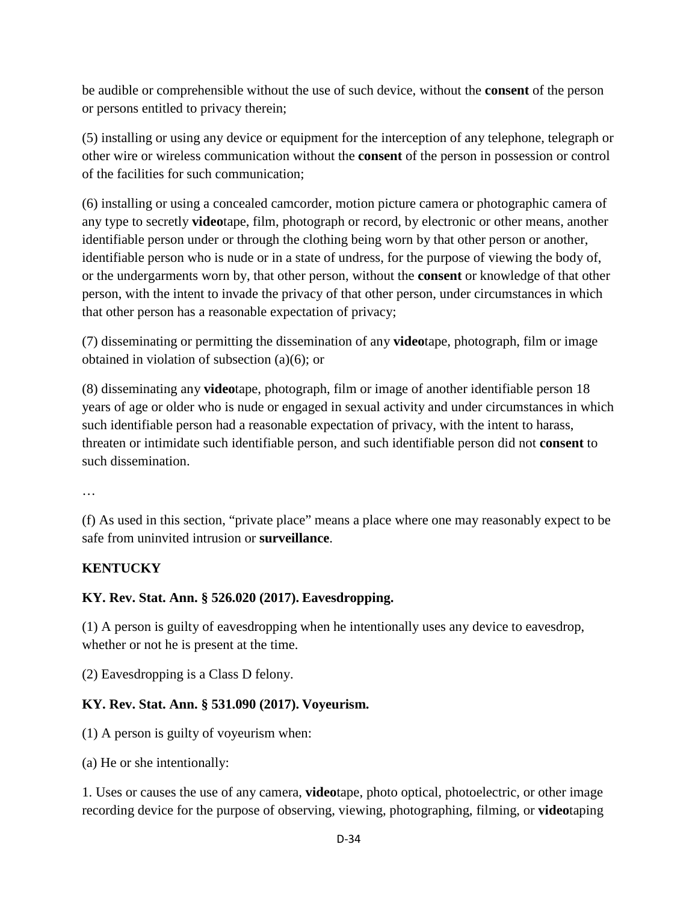<span id="page-33-0"></span>be audible or comprehensible without the use of such device, without the **consent** of the person or persons entitled to privacy therein;

(5) installing or using any device or equipment for the interception of any telephone, telegraph or other wire or wireless communication without the **consent** of the person in possession or control of the facilities for such communication;

(6) installing or using a concealed camcorder, motion picture camera or photographic camera of any type to secretly **video**tape, film, photograph or record, by electronic or other means, another identifiable person under or through the clothing being worn by that other person or another, identifiable person who is nude or in a state of undress, for the purpose of viewing the body of, or the undergarments worn by, that other person, without the **consent** or knowledge of that other person, with the intent to invade the privacy of that other person, under circumstances in which that other person has a reasonable expectation of privacy;

(7) disseminating or permitting the dissemination of any **video**tape, photograph, film or image obtained in violation of subsection (a)(6); or

(8) disseminating any **video**tape, photograph, film or image of another identifiable person 18 years of age or older who is nude or engaged in sexual activity and under circumstances in which such identifiable person had a reasonable expectation of privacy, with the intent to harass, threaten or intimidate such identifiable person, and such identifiable person did not **consent** to such dissemination.

…

(f) As used in this section, "private place" means a place where one may reasonably expect to be safe from uninvited intrusion or **surveillance**.

# **KENTUCKY**

## **KY. Rev. Stat. Ann. § 526.020 (2017). Eavesdropping.**

(1) A person is guilty of eavesdropping when he intentionally uses any device to eavesdrop, whether or not he is present at the time.

(2) Eavesdropping is a Class D felony.

# **KY. Rev. Stat. Ann. § 531.090 (2017). Voyeurism.**

(1) A person is guilty of voyeurism when:

(a) He or she intentionally:

1. Uses or causes the use of any camera, **video**tape, photo optical, photoelectric, or other image recording device for the purpose of observing, viewing, photographing, filming, or **video**taping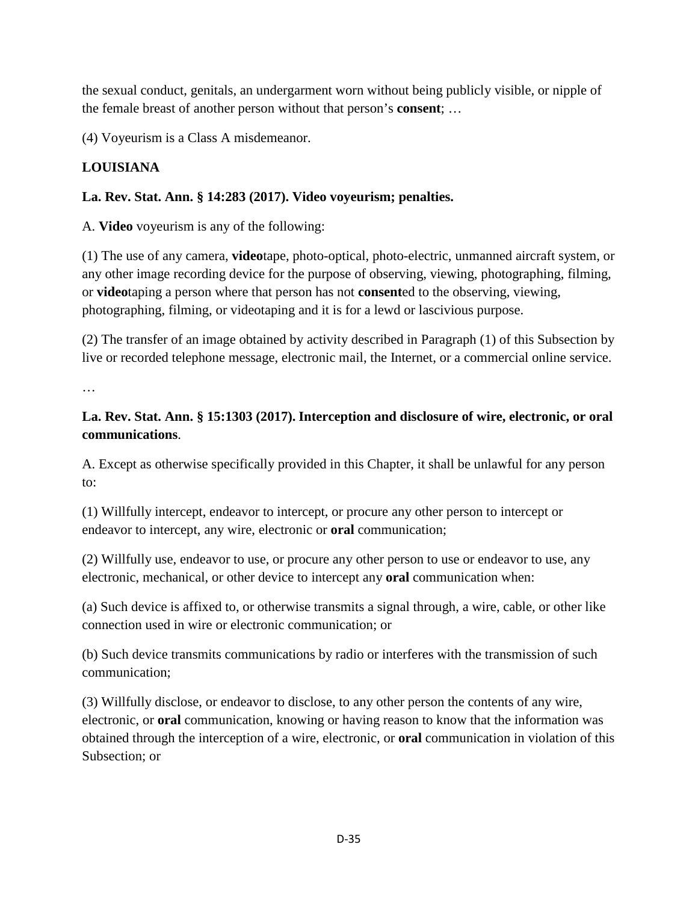<span id="page-34-0"></span>the sexual conduct, genitals, an undergarment worn without being publicly visible, or nipple of the female breast of another person without that person's **consent**; …

(4) Voyeurism is a Class A misdemeanor.

# **LOUISIANA**

# **La. Rev. Stat. Ann. § 14:283 (2017). Video voyeurism; penalties.**

A. **Video** voyeurism is any of the following:

(1) The use of any camera, **video**tape, photo-optical, photo-electric, unmanned aircraft system, or any other image recording device for the purpose of observing, viewing, photographing, filming, or **video**taping a person where that person has not **consent**ed to the observing, viewing, photographing, filming, or videotaping and it is for a lewd or lascivious purpose.

(2) The transfer of an image obtained by activity described in Paragraph (1) of this Subsection by live or recorded telephone message, electronic mail, the Internet, or a commercial online service.

…

# **La. Rev. Stat. Ann. § 15:1303 (2017). Interception and disclosure of wire, electronic, or oral communications**.

A. Except as otherwise specifically provided in this Chapter, it shall be unlawful for any person to:

(1) Willfully intercept, endeavor to intercept, or procure any other person to intercept or endeavor to intercept, any wire, electronic or **oral** communication;

(2) Willfully use, endeavor to use, or procure any other person to use or endeavor to use, any electronic, mechanical, or other device to intercept any **oral** communication when:

(a) Such device is affixed to, or otherwise transmits a signal through, a wire, cable, or other like connection used in wire or electronic communication; or

(b) Such device transmits communications by radio or interferes with the transmission of such communication;

(3) Willfully disclose, or endeavor to disclose, to any other person the contents of any wire, electronic, or **oral** communication, knowing or having reason to know that the information was obtained through the interception of a wire, electronic, or **oral** communication in violation of this Subsection; or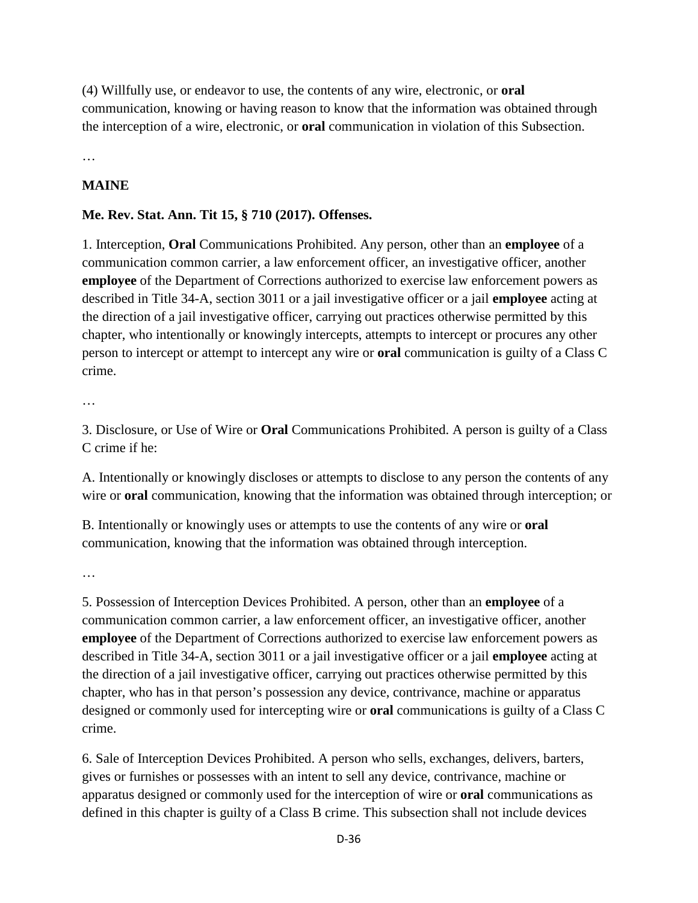<span id="page-35-0"></span>(4) Willfully use, or endeavor to use, the contents of any wire, electronic, or **oral** communication, knowing or having reason to know that the information was obtained through the interception of a wire, electronic, or **oral** communication in violation of this Subsection.

…

# **MAINE**

# **Me. Rev. Stat. Ann. Tit 15, § 710 (2017). Offenses.**

1. Interception, **Oral** Communications Prohibited. Any person, other than an **employee** of a communication common carrier, a law enforcement officer, an investigative officer, another **employee** of the Department of Corrections authorized to exercise law enforcement powers as described in Title 34-A, section 3011 or a jail investigative officer or a jail **employee** acting at the direction of a jail investigative officer, carrying out practices otherwise permitted by this chapter, who intentionally or knowingly intercepts, attempts to intercept or procures any other person to intercept or attempt to intercept any wire or **oral** communication is guilty of a Class C crime.

…

3. Disclosure, or Use of Wire or **Oral** Communications Prohibited. A person is guilty of a Class C crime if he:

A. Intentionally or knowingly discloses or attempts to disclose to any person the contents of any wire or **oral** communication, knowing that the information was obtained through interception; or

B. Intentionally or knowingly uses or attempts to use the contents of any wire or **oral** communication, knowing that the information was obtained through interception.

…

5. Possession of Interception Devices Prohibited. A person, other than an **employee** of a communication common carrier, a law enforcement officer, an investigative officer, another **employee** of the Department of Corrections authorized to exercise law enforcement powers as described in Title 34-A, section 3011 or a jail investigative officer or a jail **employee** acting at the direction of a jail investigative officer, carrying out practices otherwise permitted by this chapter, who has in that person's possession any device, contrivance, machine or apparatus designed or commonly used for intercepting wire or **oral** communications is guilty of a Class C crime.

6. Sale of Interception Devices Prohibited. A person who sells, exchanges, delivers, barters, gives or furnishes or possesses with an intent to sell any device, contrivance, machine or apparatus designed or commonly used for the interception of wire or **oral** communications as defined in this chapter is guilty of a Class B crime. This subsection shall not include devices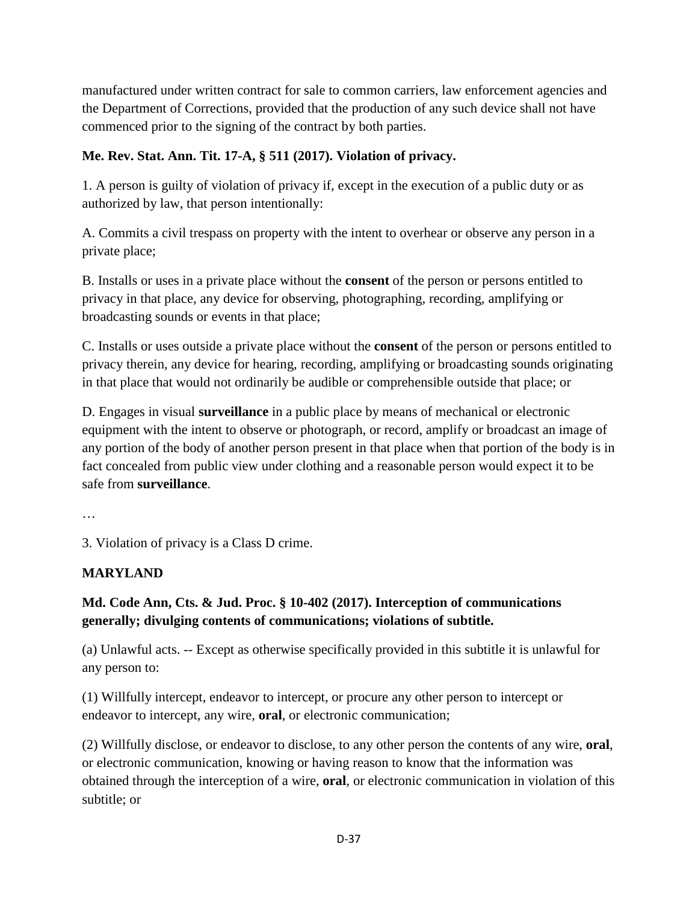manufactured under written contract for sale to common carriers, law enforcement agencies and the Department of Corrections, provided that the production of any such device shall not have commenced prior to the signing of the contract by both parties.

## **Me. Rev. Stat. Ann. Tit. 17-A, § 511 (2017). Violation of privacy.**

1. A person is guilty of violation of privacy if, except in the execution of a public duty or as authorized by law, that person intentionally:

A. Commits a civil trespass on property with the intent to overhear or observe any person in a private place;

B. Installs or uses in a private place without the **consent** of the person or persons entitled to privacy in that place, any device for observing, photographing, recording, amplifying or broadcasting sounds or events in that place;

C. Installs or uses outside a private place without the **consent** of the person or persons entitled to privacy therein, any device for hearing, recording, amplifying or broadcasting sounds originating in that place that would not ordinarily be audible or comprehensible outside that place; or

D. Engages in visual **surveillance** in a public place by means of mechanical or electronic equipment with the intent to observe or photograph, or record, amplify or broadcast an image of any portion of the body of another person present in that place when that portion of the body is in fact concealed from public view under clothing and a reasonable person would expect it to be safe from **surveillance**.

…

3. Violation of privacy is a Class D crime.

# **MARYLAND**

# **Md. Code Ann, Cts. & Jud. Proc. § 10-402 (2017). Interception of communications generally; divulging contents of communications; violations of subtitle.**

(a) Unlawful acts. -- Except as otherwise specifically provided in this subtitle it is unlawful for any person to:

(1) Willfully intercept, endeavor to intercept, or procure any other person to intercept or endeavor to intercept, any wire, **oral**, or electronic communication;

(2) Willfully disclose, or endeavor to disclose, to any other person the contents of any wire, **oral**, or electronic communication, knowing or having reason to know that the information was obtained through the interception of a wire, **oral**, or electronic communication in violation of this subtitle; or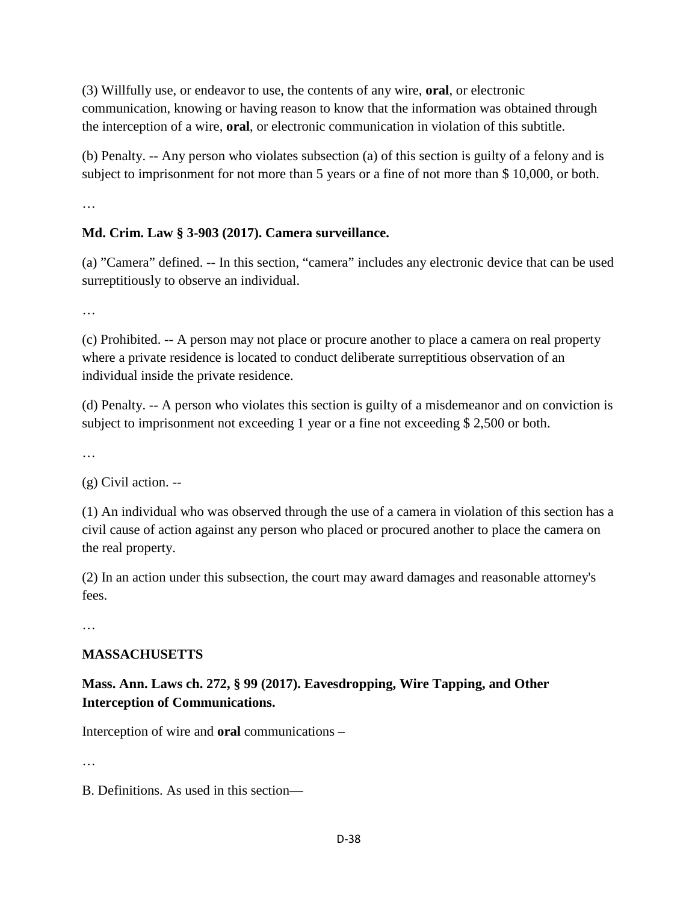(3) Willfully use, or endeavor to use, the contents of any wire, **oral**, or electronic communication, knowing or having reason to know that the information was obtained through the interception of a wire, **oral**, or electronic communication in violation of this subtitle.

(b) Penalty. -- Any person who violates subsection (a) of this section is guilty of a felony and is subject to imprisonment for not more than 5 years or a fine of not more than \$ 10,000, or both.

…

### **Md. Crim. Law § 3-903 (2017). Camera surveillance.**

(a) "Camera" defined. -- In this section, "camera" includes any electronic device that can be used surreptitiously to observe an individual.

…

(c) Prohibited. -- A person may not place or procure another to place a camera on real property where a private residence is located to conduct deliberate surreptitious observation of an individual inside the private residence.

(d) Penalty. -- A person who violates this section is guilty of a misdemeanor and on conviction is subject to imprisonment not exceeding 1 year or a fine not exceeding \$ 2,500 or both.

…

(g) Civil action. --

(1) An individual who was observed through the use of a camera in violation of this section has a civil cause of action against any person who placed or procured another to place the camera on the real property.

(2) In an action under this subsection, the court may award damages and reasonable attorney's fees.

…

#### **MASSACHUSETTS**

# **Mass. Ann. Laws ch. 272, § 99 (2017). Eavesdropping, Wire Tapping, and Other Interception of Communications.**

Interception of wire and **oral** communications –

…

B. Definitions. As used in this section—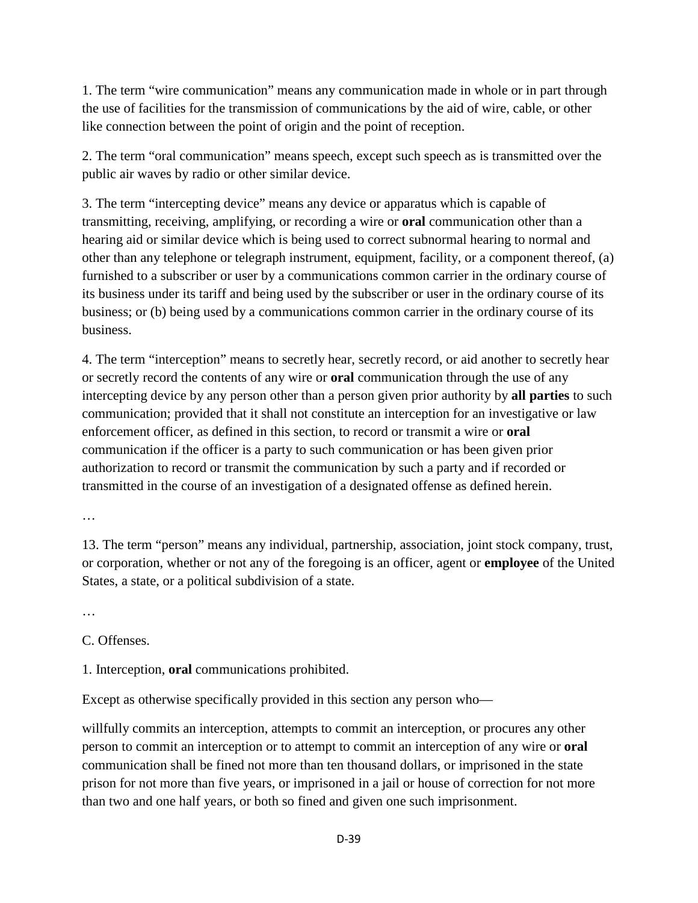1. The term "wire communication" means any communication made in whole or in part through the use of facilities for the transmission of communications by the aid of wire, cable, or other like connection between the point of origin and the point of reception.

2. The term "oral communication" means speech, except such speech as is transmitted over the public air waves by radio or other similar device.

3. The term "intercepting device" means any device or apparatus which is capable of transmitting, receiving, amplifying, or recording a wire or **oral** communication other than a hearing aid or similar device which is being used to correct subnormal hearing to normal and other than any telephone or telegraph instrument, equipment, facility, or a component thereof, (a) furnished to a subscriber or user by a communications common carrier in the ordinary course of its business under its tariff and being used by the subscriber or user in the ordinary course of its business; or (b) being used by a communications common carrier in the ordinary course of its business.

4. The term "interception" means to secretly hear, secretly record, or aid another to secretly hear or secretly record the contents of any wire or **oral** communication through the use of any intercepting device by any person other than a person given prior authority by **all parties** to such communication; provided that it shall not constitute an interception for an investigative or law enforcement officer, as defined in this section, to record or transmit a wire or **oral** communication if the officer is a party to such communication or has been given prior authorization to record or transmit the communication by such a party and if recorded or transmitted in the course of an investigation of a designated offense as defined herein.

…

13. The term "person" means any individual, partnership, association, joint stock company, trust, or corporation, whether or not any of the foregoing is an officer, agent or **employee** of the United States, a state, or a political subdivision of a state.

…

C. Offenses.

1. Interception, **oral** communications prohibited.

Except as otherwise specifically provided in this section any person who—

willfully commits an interception, attempts to commit an interception, or procures any other person to commit an interception or to attempt to commit an interception of any wire or **oral** communication shall be fined not more than ten thousand dollars, or imprisoned in the state prison for not more than five years, or imprisoned in a jail or house of correction for not more than two and one half years, or both so fined and given one such imprisonment.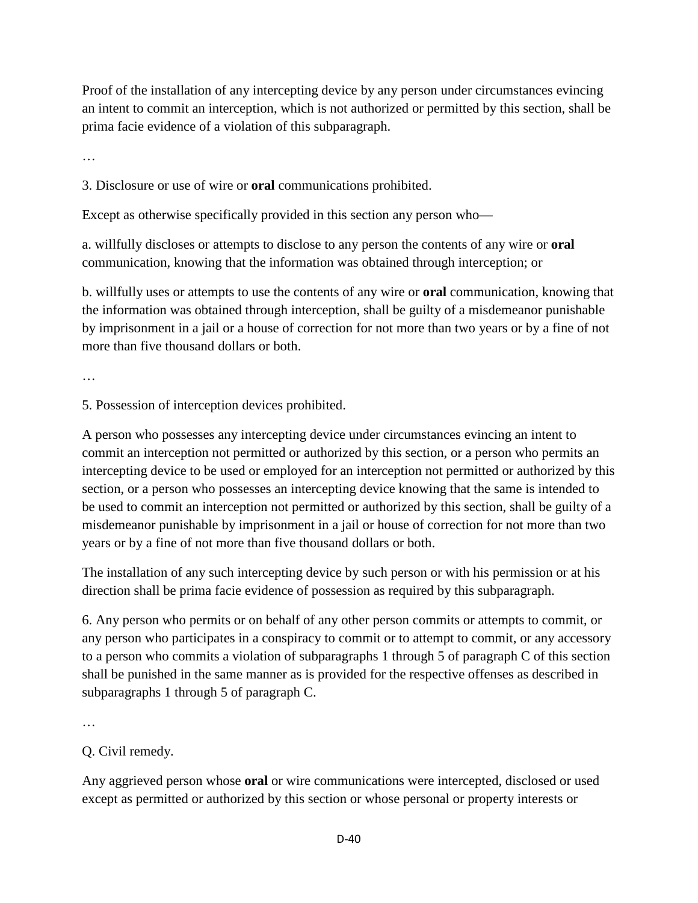Proof of the installation of any intercepting device by any person under circumstances evincing an intent to commit an interception, which is not authorized or permitted by this section, shall be prima facie evidence of a violation of this subparagraph.

…

3. Disclosure or use of wire or **oral** communications prohibited.

Except as otherwise specifically provided in this section any person who—

a. willfully discloses or attempts to disclose to any person the contents of any wire or **oral** communication, knowing that the information was obtained through interception; or

b. willfully uses or attempts to use the contents of any wire or **oral** communication, knowing that the information was obtained through interception, shall be guilty of a misdemeanor punishable by imprisonment in a jail or a house of correction for not more than two years or by a fine of not more than five thousand dollars or both.

…

5. Possession of interception devices prohibited.

A person who possesses any intercepting device under circumstances evincing an intent to commit an interception not permitted or authorized by this section, or a person who permits an intercepting device to be used or employed for an interception not permitted or authorized by this section, or a person who possesses an intercepting device knowing that the same is intended to be used to commit an interception not permitted or authorized by this section, shall be guilty of a misdemeanor punishable by imprisonment in a jail or house of correction for not more than two years or by a fine of not more than five thousand dollars or both.

The installation of any such intercepting device by such person or with his permission or at his direction shall be prima facie evidence of possession as required by this subparagraph.

6. Any person who permits or on behalf of any other person commits or attempts to commit, or any person who participates in a conspiracy to commit or to attempt to commit, or any accessory to a person who commits a violation of subparagraphs 1 through 5 of paragraph C of this section shall be punished in the same manner as is provided for the respective offenses as described in subparagraphs 1 through 5 of paragraph C.

…

## Q. Civil remedy.

Any aggrieved person whose **oral** or wire communications were intercepted, disclosed or used except as permitted or authorized by this section or whose personal or property interests or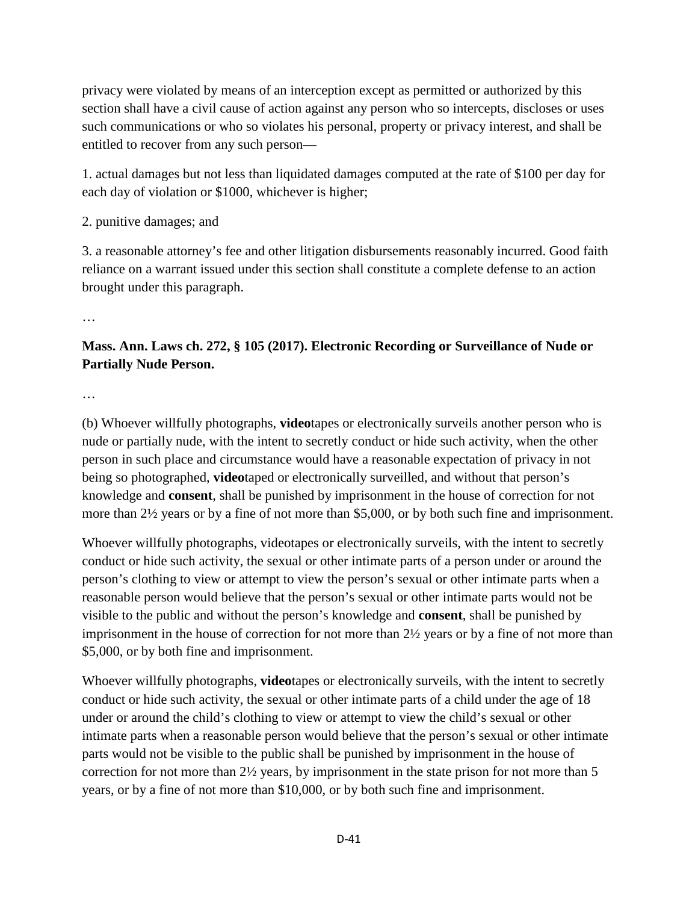privacy were violated by means of an interception except as permitted or authorized by this section shall have a civil cause of action against any person who so intercepts, discloses or uses such communications or who so violates his personal, property or privacy interest, and shall be entitled to recover from any such person—

1. actual damages but not less than liquidated damages computed at the rate of \$100 per day for each day of violation or \$1000, whichever is higher;

2. punitive damages; and

3. a reasonable attorney's fee and other litigation disbursements reasonably incurred. Good faith reliance on a warrant issued under this section shall constitute a complete defense to an action brought under this paragraph.

…

# **Mass. Ann. Laws ch. 272, § 105 (2017). Electronic Recording or Surveillance of Nude or Partially Nude Person.**

…

(b) Whoever willfully photographs, **video**tapes or electronically surveils another person who is nude or partially nude, with the intent to secretly conduct or hide such activity, when the other person in such place and circumstance would have a reasonable expectation of privacy in not being so photographed, **video**taped or electronically surveilled, and without that person's knowledge and **consent**, shall be punished by imprisonment in the house of correction for not more than 2½ years or by a fine of not more than \$5,000, or by both such fine and imprisonment.

Whoever willfully photographs, videotapes or electronically surveils, with the intent to secretly conduct or hide such activity, the sexual or other intimate parts of a person under or around the person's clothing to view or attempt to view the person's sexual or other intimate parts when a reasonable person would believe that the person's sexual or other intimate parts would not be visible to the public and without the person's knowledge and **consent**, shall be punished by imprisonment in the house of correction for not more than 2½ years or by a fine of not more than \$5,000, or by both fine and imprisonment.

Whoever willfully photographs, **video**tapes or electronically surveils, with the intent to secretly conduct or hide such activity, the sexual or other intimate parts of a child under the age of 18 under or around the child's clothing to view or attempt to view the child's sexual or other intimate parts when a reasonable person would believe that the person's sexual or other intimate parts would not be visible to the public shall be punished by imprisonment in the house of correction for not more than  $2\frac{1}{2}$  years, by imprisonment in the state prison for not more than 5 years, or by a fine of not more than \$10,000, or by both such fine and imprisonment.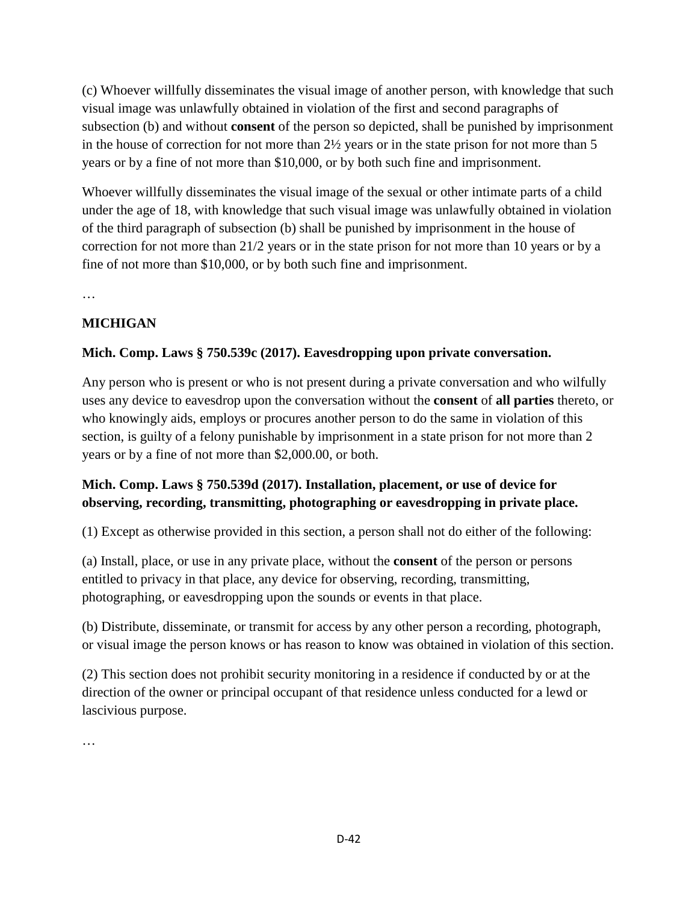(c) Whoever willfully disseminates the visual image of another person, with knowledge that such visual image was unlawfully obtained in violation of the first and second paragraphs of subsection (b) and without **consent** of the person so depicted, shall be punished by imprisonment in the house of correction for not more than 2½ years or in the state prison for not more than 5 years or by a fine of not more than \$10,000, or by both such fine and imprisonment.

Whoever willfully disseminates the visual image of the sexual or other intimate parts of a child under the age of 18, with knowledge that such visual image was unlawfully obtained in violation of the third paragraph of subsection (b) shall be punished by imprisonment in the house of correction for not more than 21/2 years or in the state prison for not more than 10 years or by a fine of not more than \$10,000, or by both such fine and imprisonment.

…

## **MICHIGAN**

## **Mich. Comp. Laws § 750.539c (2017). Eavesdropping upon private conversation.**

Any person who is present or who is not present during a private conversation and who wilfully uses any device to eavesdrop upon the conversation without the **consent** of **all parties** thereto, or who knowingly aids, employs or procures another person to do the same in violation of this section, is guilty of a felony punishable by imprisonment in a state prison for not more than 2 years or by a fine of not more than \$2,000.00, or both.

## **Mich. Comp. Laws § 750.539d (2017). Installation, placement, or use of device for observing, recording, transmitting, photographing or eavesdropping in private place.**

(1) Except as otherwise provided in this section, a person shall not do either of the following:

(a) Install, place, or use in any private place, without the **consent** of the person or persons entitled to privacy in that place, any device for observing, recording, transmitting, photographing, or eavesdropping upon the sounds or events in that place.

(b) Distribute, disseminate, or transmit for access by any other person a recording, photograph, or visual image the person knows or has reason to know was obtained in violation of this section.

(2) This section does not prohibit security monitoring in a residence if conducted by or at the direction of the owner or principal occupant of that residence unless conducted for a lewd or lascivious purpose.

…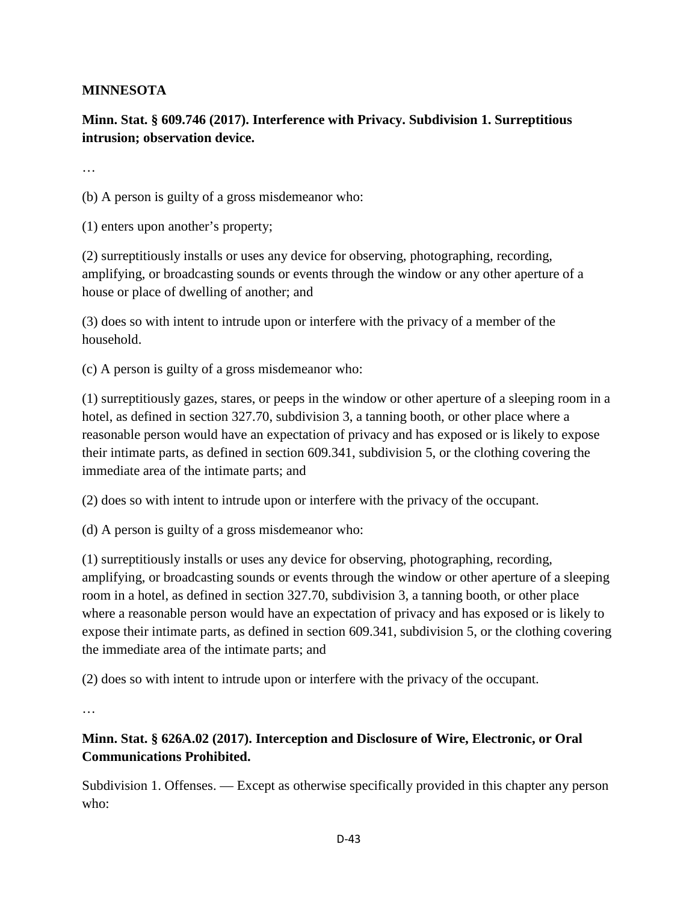### **MINNESOTA**

**Minn. Stat. § 609.746 (2017). Interference with Privacy. Subdivision 1. Surreptitious intrusion; observation device.** 

…

(b) A person is guilty of a gross misdemeanor who:

(1) enters upon another's property;

(2) surreptitiously installs or uses any device for observing, photographing, recording, amplifying, or broadcasting sounds or events through the window or any other aperture of a house or place of dwelling of another; and

(3) does so with intent to intrude upon or interfere with the privacy of a member of the household.

(c) A person is guilty of a gross misdemeanor who:

(1) surreptitiously gazes, stares, or peeps in the window or other aperture of a sleeping room in a hotel, as defined in section 327.70, subdivision 3, a tanning booth, or other place where a reasonable person would have an expectation of privacy and has exposed or is likely to expose their intimate parts, as defined in section 609.341, subdivision 5, or the clothing covering the immediate area of the intimate parts; and

(2) does so with intent to intrude upon or interfere with the privacy of the occupant.

(d) A person is guilty of a gross misdemeanor who:

(1) surreptitiously installs or uses any device for observing, photographing, recording, amplifying, or broadcasting sounds or events through the window or other aperture of a sleeping room in a hotel, as defined in section 327.70, subdivision 3, a tanning booth, or other place where a reasonable person would have an expectation of privacy and has exposed or is likely to expose their intimate parts, as defined in section 609.341, subdivision 5, or the clothing covering the immediate area of the intimate parts; and

(2) does so with intent to intrude upon or interfere with the privacy of the occupant.

…

## **Minn. Stat. § 626A.02 (2017). Interception and Disclosure of Wire, Electronic, or Oral Communications Prohibited.**

Subdivision 1. Offenses. — Except as otherwise specifically provided in this chapter any person who: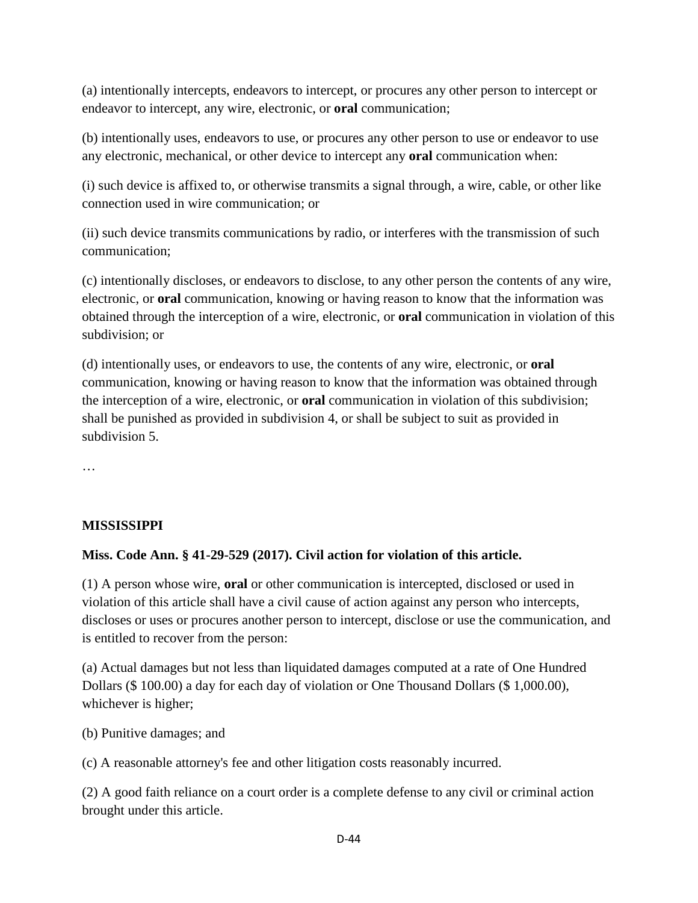(a) intentionally intercepts, endeavors to intercept, or procures any other person to intercept or endeavor to intercept, any wire, electronic, or **oral** communication;

(b) intentionally uses, endeavors to use, or procures any other person to use or endeavor to use any electronic, mechanical, or other device to intercept any **oral** communication when:

(i) such device is affixed to, or otherwise transmits a signal through, a wire, cable, or other like connection used in wire communication; or

(ii) such device transmits communications by radio, or interferes with the transmission of such communication;

(c) intentionally discloses, or endeavors to disclose, to any other person the contents of any wire, electronic, or **oral** communication, knowing or having reason to know that the information was obtained through the interception of a wire, electronic, or **oral** communication in violation of this subdivision; or

(d) intentionally uses, or endeavors to use, the contents of any wire, electronic, or **oral** communication, knowing or having reason to know that the information was obtained through the interception of a wire, electronic, or **oral** communication in violation of this subdivision; shall be punished as provided in subdivision 4, or shall be subject to suit as provided in subdivision 5.

…

#### **MISSISSIPPI**

#### **Miss. Code Ann. § 41-29-529 (2017). Civil action for violation of this article.**

(1) A person whose wire, **oral** or other communication is intercepted, disclosed or used in violation of this article shall have a civil cause of action against any person who intercepts, discloses or uses or procures another person to intercept, disclose or use the communication, and is entitled to recover from the person:

(a) Actual damages but not less than liquidated damages computed at a rate of One Hundred Dollars (\$ 100.00) a day for each day of violation or One Thousand Dollars (\$ 1,000.00), whichever is higher;

(b) Punitive damages; and

(c) A reasonable attorney's fee and other litigation costs reasonably incurred.

(2) A good faith reliance on a court order is a complete defense to any civil or criminal action brought under this article.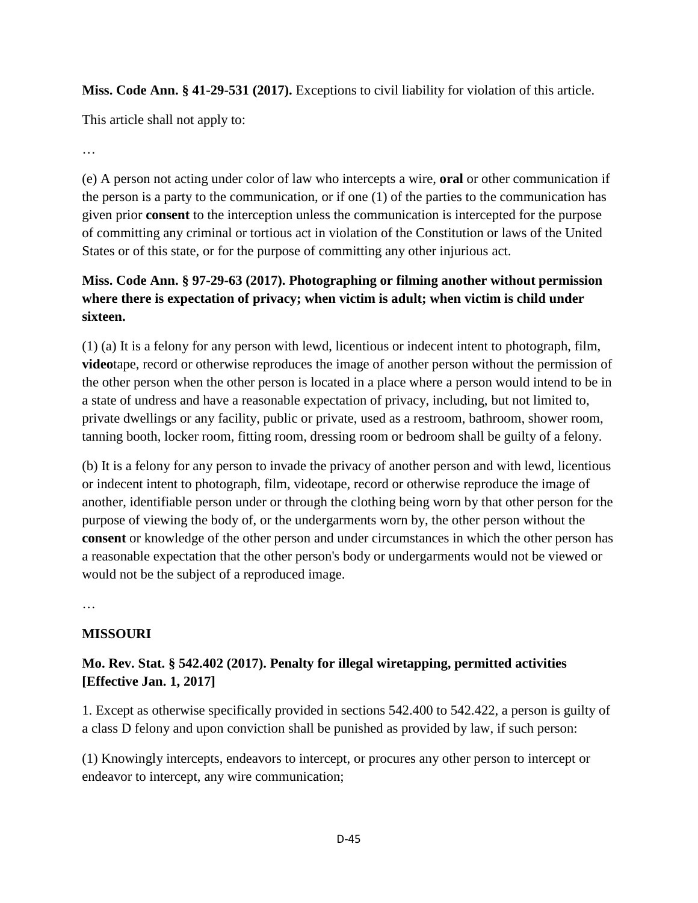**Miss. Code Ann. § 41-29-531 (2017).** Exceptions to civil liability for violation of this article.

This article shall not apply to:

…

(e) A person not acting under color of law who intercepts a wire, **oral** or other communication if the person is a party to the communication, or if one (1) of the parties to the communication has given prior **consent** to the interception unless the communication is intercepted for the purpose of committing any criminal or tortious act in violation of the Constitution or laws of the United States or of this state, or for the purpose of committing any other injurious act.

# **Miss. Code Ann. § 97-29-63 (2017). Photographing or filming another without permission where there is expectation of privacy; when victim is adult; when victim is child under sixteen.**

(1) (a) It is a felony for any person with lewd, licentious or indecent intent to photograph, film, **video**tape, record or otherwise reproduces the image of another person without the permission of the other person when the other person is located in a place where a person would intend to be in a state of undress and have a reasonable expectation of privacy, including, but not limited to, private dwellings or any facility, public or private, used as a restroom, bathroom, shower room, tanning booth, locker room, fitting room, dressing room or bedroom shall be guilty of a felony.

(b) It is a felony for any person to invade the privacy of another person and with lewd, licentious or indecent intent to photograph, film, videotape, record or otherwise reproduce the image of another, identifiable person under or through the clothing being worn by that other person for the purpose of viewing the body of, or the undergarments worn by, the other person without the **consent** or knowledge of the other person and under circumstances in which the other person has a reasonable expectation that the other person's body or undergarments would not be viewed or would not be the subject of a reproduced image.

…

# **MISSOURI**

# **Mo. Rev. Stat. § 542.402 (2017). Penalty for illegal wiretapping, permitted activities [Effective Jan. 1, 2017]**

1. Except as otherwise specifically provided in sections 542.400 to 542.422, a person is guilty of a class D felony and upon conviction shall be punished as provided by law, if such person:

(1) Knowingly intercepts, endeavors to intercept, or procures any other person to intercept or endeavor to intercept, any wire communication;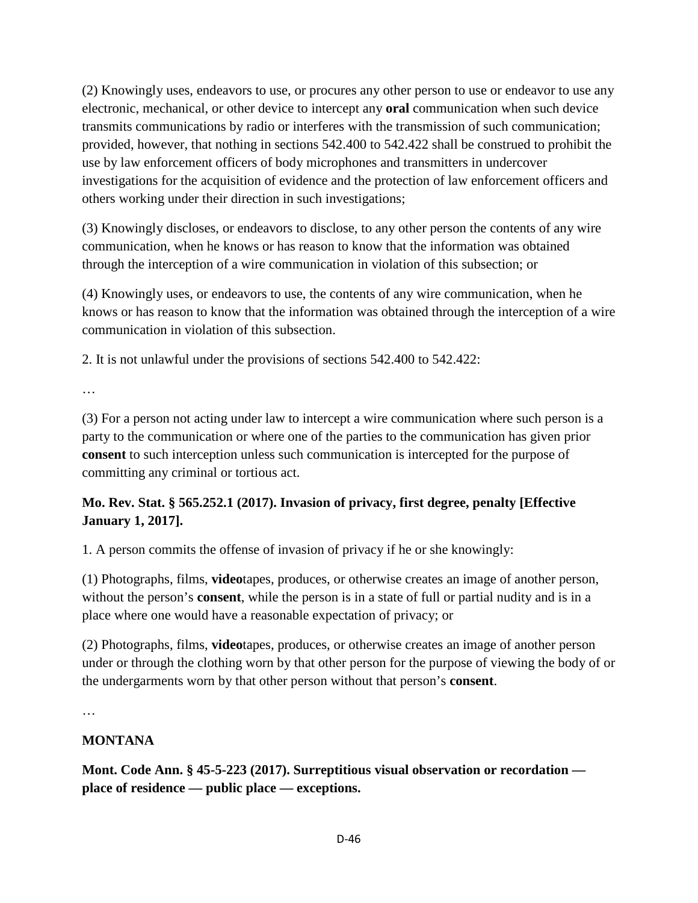(2) Knowingly uses, endeavors to use, or procures any other person to use or endeavor to use any electronic, mechanical, or other device to intercept any **oral** communication when such device transmits communications by radio or interferes with the transmission of such communication; provided, however, that nothing in sections 542.400 to 542.422 shall be construed to prohibit the use by law enforcement officers of body microphones and transmitters in undercover investigations for the acquisition of evidence and the protection of law enforcement officers and others working under their direction in such investigations;

(3) Knowingly discloses, or endeavors to disclose, to any other person the contents of any wire communication, when he knows or has reason to know that the information was obtained through the interception of a wire communication in violation of this subsection; or

(4) Knowingly uses, or endeavors to use, the contents of any wire communication, when he knows or has reason to know that the information was obtained through the interception of a wire communication in violation of this subsection.

2. It is not unlawful under the provisions of sections 542.400 to 542.422:

…

(3) For a person not acting under law to intercept a wire communication where such person is a party to the communication or where one of the parties to the communication has given prior **consent** to such interception unless such communication is intercepted for the purpose of committing any criminal or tortious act.

# **Mo. Rev. Stat. § 565.252.1 (2017). Invasion of privacy, first degree, penalty [Effective January 1, 2017].**

1. A person commits the offense of invasion of privacy if he or she knowingly:

(1) Photographs, films, **video**tapes, produces, or otherwise creates an image of another person, without the person's **consent**, while the person is in a state of full or partial nudity and is in a place where one would have a reasonable expectation of privacy; or

(2) Photographs, films, **video**tapes, produces, or otherwise creates an image of another person under or through the clothing worn by that other person for the purpose of viewing the body of or the undergarments worn by that other person without that person's **consent**.

…

# **MONTANA**

**Mont. Code Ann. § 45-5-223 (2017). Surreptitious visual observation or recordation place of residence — public place — exceptions.**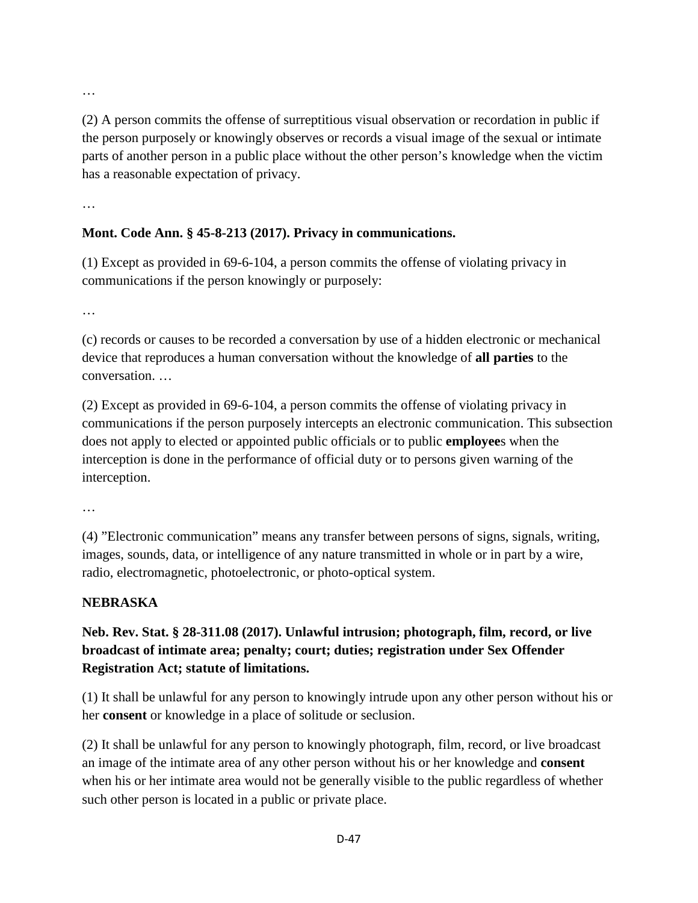…

(2) A person commits the offense of surreptitious visual observation or recordation in public if the person purposely or knowingly observes or records a visual image of the sexual or intimate parts of another person in a public place without the other person's knowledge when the victim has a reasonable expectation of privacy.

…

## **Mont. Code Ann. § 45-8-213 (2017). Privacy in communications.**

(1) Except as provided in 69-6-104, a person commits the offense of violating privacy in communications if the person knowingly or purposely:

…

(c) records or causes to be recorded a conversation by use of a hidden electronic or mechanical device that reproduces a human conversation without the knowledge of **all parties** to the conversation. …

(2) Except as provided in 69-6-104, a person commits the offense of violating privacy in communications if the person purposely intercepts an electronic communication. This subsection does not apply to elected or appointed public officials or to public **employee**s when the interception is done in the performance of official duty or to persons given warning of the interception.

…

(4) "Electronic communication" means any transfer between persons of signs, signals, writing, images, sounds, data, or intelligence of any nature transmitted in whole or in part by a wire, radio, electromagnetic, photoelectronic, or photo-optical system.

## **NEBRASKA**

# **Neb. Rev. Stat. § 28-311.08 (2017). Unlawful intrusion; photograph, film, record, or live broadcast of intimate area; penalty; court; duties; registration under Sex Offender Registration Act; statute of limitations.**

(1) It shall be unlawful for any person to knowingly intrude upon any other person without his or her **consent** or knowledge in a place of solitude or seclusion.

(2) It shall be unlawful for any person to knowingly photograph, film, record, or live broadcast an image of the intimate area of any other person without his or her knowledge and **consent** when his or her intimate area would not be generally visible to the public regardless of whether such other person is located in a public or private place.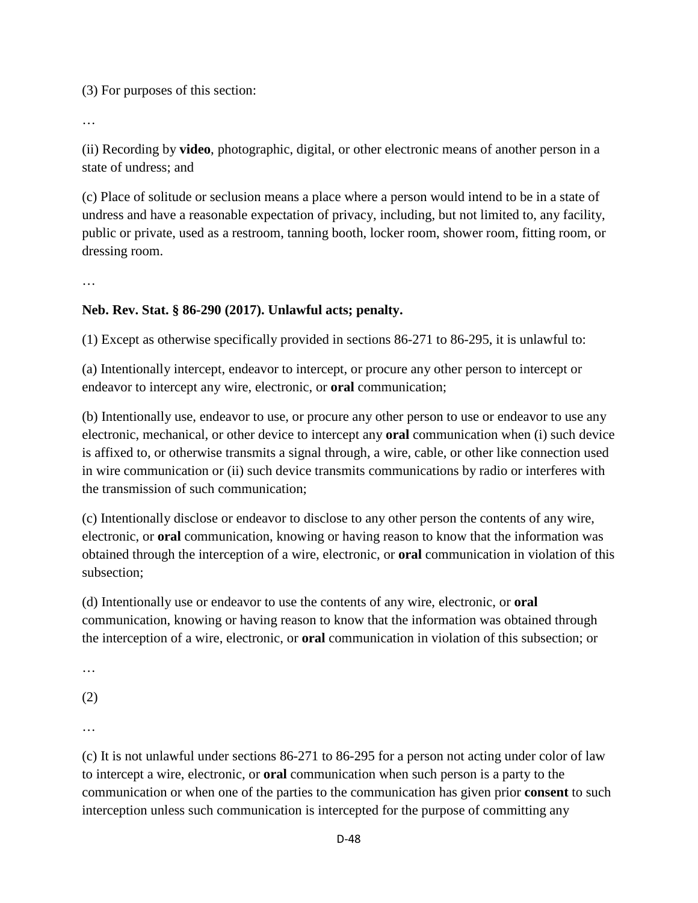(3) For purposes of this section:

…

(ii) Recording by **video**, photographic, digital, or other electronic means of another person in a state of undress; and

(c) Place of solitude or seclusion means a place where a person would intend to be in a state of undress and have a reasonable expectation of privacy, including, but not limited to, any facility, public or private, used as a restroom, tanning booth, locker room, shower room, fitting room, or dressing room.

…

## **Neb. Rev. Stat. § 86-290 (2017). Unlawful acts; penalty.**

(1) Except as otherwise specifically provided in sections 86-271 to 86-295, it is unlawful to:

(a) Intentionally intercept, endeavor to intercept, or procure any other person to intercept or endeavor to intercept any wire, electronic, or **oral** communication;

(b) Intentionally use, endeavor to use, or procure any other person to use or endeavor to use any electronic, mechanical, or other device to intercept any **oral** communication when (i) such device is affixed to, or otherwise transmits a signal through, a wire, cable, or other like connection used in wire communication or (ii) such device transmits communications by radio or interferes with the transmission of such communication;

(c) Intentionally disclose or endeavor to disclose to any other person the contents of any wire, electronic, or **oral** communication, knowing or having reason to know that the information was obtained through the interception of a wire, electronic, or **oral** communication in violation of this subsection;

(d) Intentionally use or endeavor to use the contents of any wire, electronic, or **oral** communication, knowing or having reason to know that the information was obtained through the interception of a wire, electronic, or **oral** communication in violation of this subsection; or

…

(2)

…

(c) It is not unlawful under sections 86-271 to 86-295 for a person not acting under color of law to intercept a wire, electronic, or **oral** communication when such person is a party to the communication or when one of the parties to the communication has given prior **consent** to such interception unless such communication is intercepted for the purpose of committing any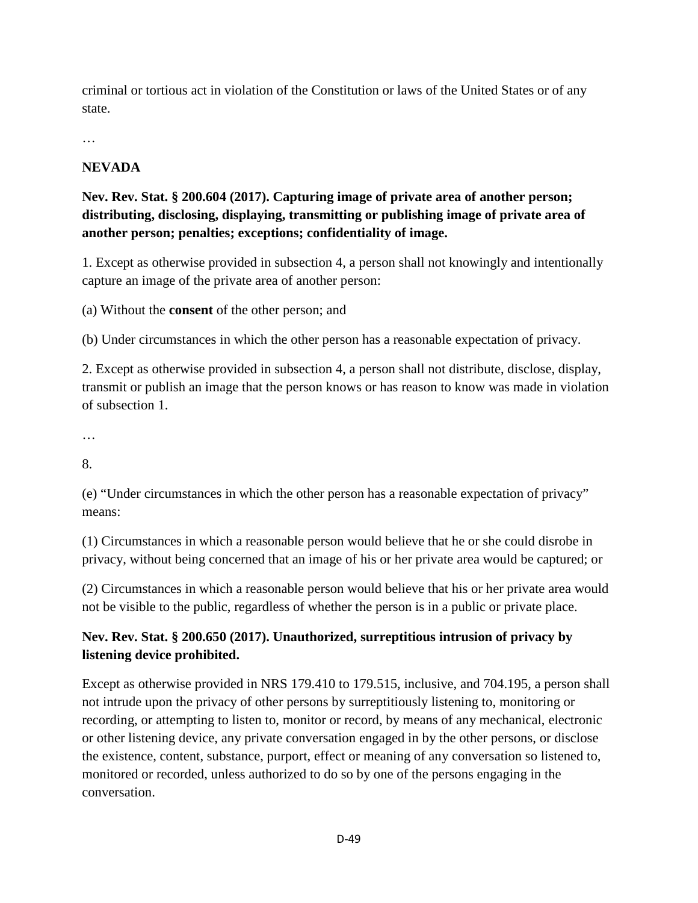criminal or tortious act in violation of the Constitution or laws of the United States or of any state.

…

### **NEVADA**

## **Nev. Rev. Stat. § 200.604 (2017). Capturing image of private area of another person; distributing, disclosing, displaying, transmitting or publishing image of private area of another person; penalties; exceptions; confidentiality of image.**

1. Except as otherwise provided in subsection 4, a person shall not knowingly and intentionally capture an image of the private area of another person:

(a) Without the **consent** of the other person; and

(b) Under circumstances in which the other person has a reasonable expectation of privacy.

2. Except as otherwise provided in subsection 4, a person shall not distribute, disclose, display, transmit or publish an image that the person knows or has reason to know was made in violation of subsection 1.

…

8.

(e) "Under circumstances in which the other person has a reasonable expectation of privacy" means:

(1) Circumstances in which a reasonable person would believe that he or she could disrobe in privacy, without being concerned that an image of his or her private area would be captured; or

(2) Circumstances in which a reasonable person would believe that his or her private area would not be visible to the public, regardless of whether the person is in a public or private place.

## **Nev. Rev. Stat. § 200.650 (2017). Unauthorized, surreptitious intrusion of privacy by listening device prohibited.**

Except as otherwise provided in NRS 179.410 to 179.515, inclusive, and 704.195, a person shall not intrude upon the privacy of other persons by surreptitiously listening to, monitoring or recording, or attempting to listen to, monitor or record, by means of any mechanical, electronic or other listening device, any private conversation engaged in by the other persons, or disclose the existence, content, substance, purport, effect or meaning of any conversation so listened to, monitored or recorded, unless authorized to do so by one of the persons engaging in the conversation.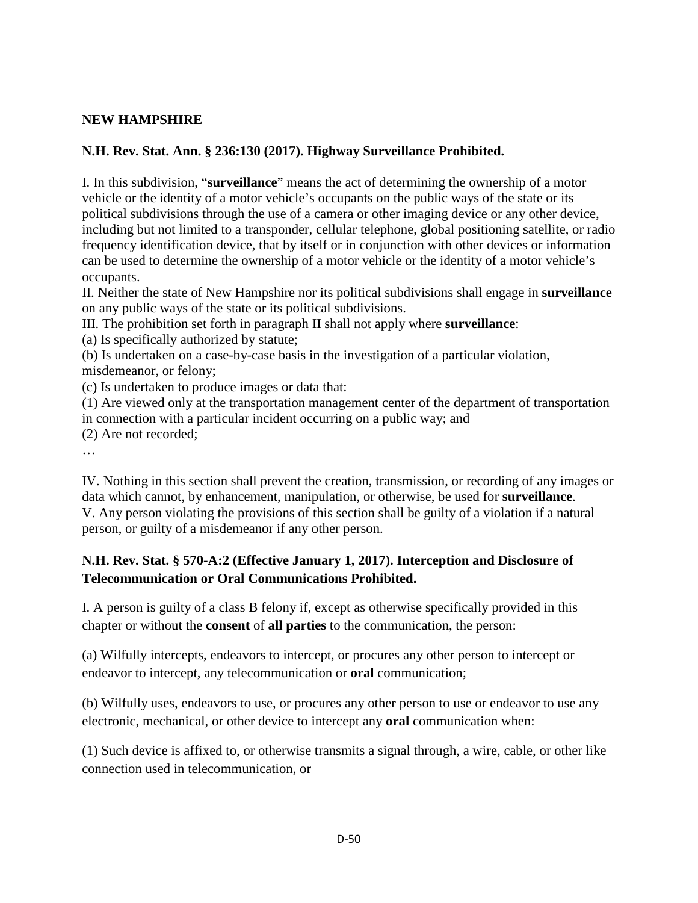#### **NEW HAMPSHIRE**

#### **N.H. Rev. Stat. Ann. § 236:130 (2017). Highway Surveillance Prohibited.**

I. In this subdivision, "**surveillance**" means the act of determining the ownership of a motor vehicle or the identity of a motor vehicle's occupants on the public ways of the state or its political subdivisions through the use of a camera or other imaging device or any other device, including but not limited to a transponder, cellular telephone, global positioning satellite, or radio frequency identification device, that by itself or in conjunction with other devices or information can be used to determine the ownership of a motor vehicle or the identity of a motor vehicle's occupants.

II. Neither the state of New Hampshire nor its political subdivisions shall engage in **surveillance** on any public ways of the state or its political subdivisions.

III. The prohibition set forth in paragraph II shall not apply where **surveillance**:

(a) Is specifically authorized by statute;

(b) Is undertaken on a case-by-case basis in the investigation of a particular violation, misdemeanor, or felony;

(c) Is undertaken to produce images or data that:

(1) Are viewed only at the transportation management center of the department of transportation in connection with a particular incident occurring on a public way; and

(2) Are not recorded;

…

IV. Nothing in this section shall prevent the creation, transmission, or recording of any images or data which cannot, by enhancement, manipulation, or otherwise, be used for **surveillance**. V. Any person violating the provisions of this section shall be guilty of a violation if a natural person, or guilty of a misdemeanor if any other person.

# **N.H. Rev. Stat. § 570-A:2 (Effective January 1, 2017). Interception and Disclosure of Telecommunication or Oral Communications Prohibited.**

I. A person is guilty of a class B felony if, except as otherwise specifically provided in this chapter or without the **consent** of **all parties** to the communication, the person:

(a) Wilfully intercepts, endeavors to intercept, or procures any other person to intercept or endeavor to intercept, any telecommunication or **oral** communication;

(b) Wilfully uses, endeavors to use, or procures any other person to use or endeavor to use any electronic, mechanical, or other device to intercept any **oral** communication when:

(1) Such device is affixed to, or otherwise transmits a signal through, a wire, cable, or other like connection used in telecommunication, or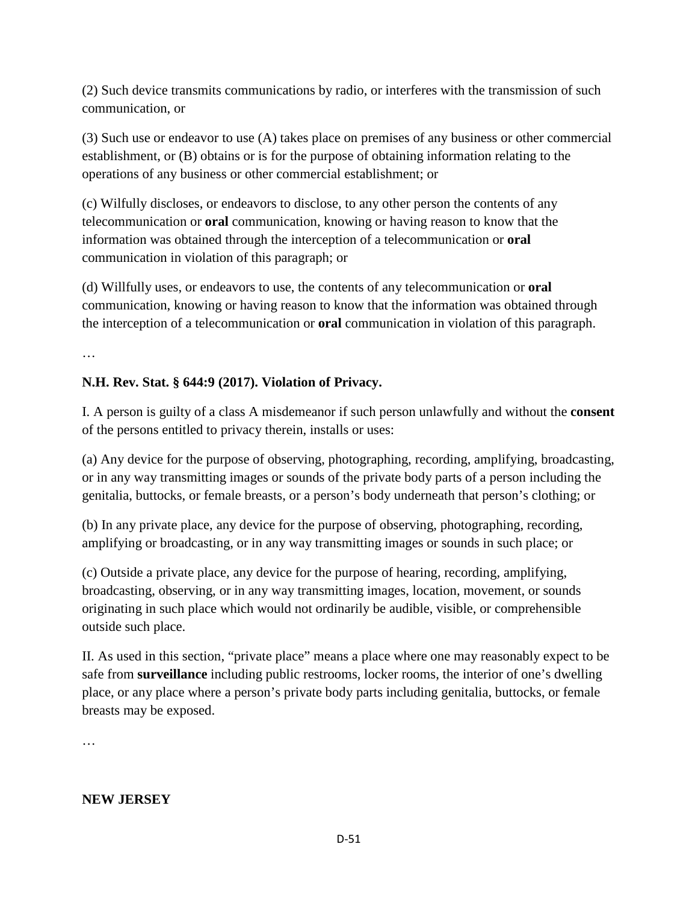(2) Such device transmits communications by radio, or interferes with the transmission of such communication, or

(3) Such use or endeavor to use (A) takes place on premises of any business or other commercial establishment, or (B) obtains or is for the purpose of obtaining information relating to the operations of any business or other commercial establishment; or

(c) Wilfully discloses, or endeavors to disclose, to any other person the contents of any telecommunication or **oral** communication, knowing or having reason to know that the information was obtained through the interception of a telecommunication or **oral** communication in violation of this paragraph; or

(d) Willfully uses, or endeavors to use, the contents of any telecommunication or **oral** communication, knowing or having reason to know that the information was obtained through the interception of a telecommunication or **oral** communication in violation of this paragraph.

…

## **N.H. Rev. Stat. § 644:9 (2017). Violation of Privacy.**

I. A person is guilty of a class A misdemeanor if such person unlawfully and without the **consent** of the persons entitled to privacy therein, installs or uses:

(a) Any device for the purpose of observing, photographing, recording, amplifying, broadcasting, or in any way transmitting images or sounds of the private body parts of a person including the genitalia, buttocks, or female breasts, or a person's body underneath that person's clothing; or

(b) In any private place, any device for the purpose of observing, photographing, recording, amplifying or broadcasting, or in any way transmitting images or sounds in such place; or

(c) Outside a private place, any device for the purpose of hearing, recording, amplifying, broadcasting, observing, or in any way transmitting images, location, movement, or sounds originating in such place which would not ordinarily be audible, visible, or comprehensible outside such place.

II. As used in this section, "private place" means a place where one may reasonably expect to be safe from **surveillance** including public restrooms, locker rooms, the interior of one's dwelling place, or any place where a person's private body parts including genitalia, buttocks, or female breasts may be exposed.

…

## **NEW JERSEY**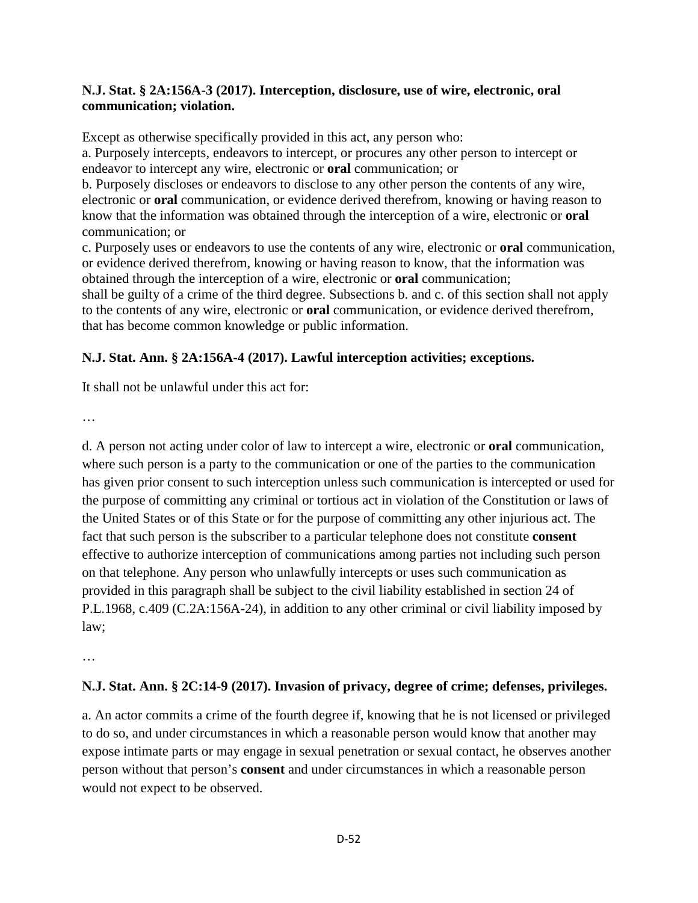#### **N.J. Stat. § 2A:156A-3 (2017). Interception, disclosure, use of wire, electronic, oral communication; violation.**

Except as otherwise specifically provided in this act, any person who:

a. Purposely intercepts, endeavors to intercept, or procures any other person to intercept or endeavor to intercept any wire, electronic or **oral** communication; or

b. Purposely discloses or endeavors to disclose to any other person the contents of any wire, electronic or **oral** communication, or evidence derived therefrom, knowing or having reason to know that the information was obtained through the interception of a wire, electronic or **oral** communication; or

c. Purposely uses or endeavors to use the contents of any wire, electronic or **oral** communication, or evidence derived therefrom, knowing or having reason to know, that the information was obtained through the interception of a wire, electronic or **oral** communication; shall be guilty of a crime of the third degree. Subsections b. and c. of this section shall not apply to the contents of any wire, electronic or **oral** communication, or evidence derived therefrom, that has become common knowledge or public information.

## **N.J. Stat. Ann. § 2A:156A-4 (2017). Lawful interception activities; exceptions.**

It shall not be unlawful under this act for:

…

d. A person not acting under color of law to intercept a wire, electronic or **oral** communication, where such person is a party to the communication or one of the parties to the communication has given prior consent to such interception unless such communication is intercepted or used for the purpose of committing any criminal or tortious act in violation of the Constitution or laws of the United States or of this State or for the purpose of committing any other injurious act. The fact that such person is the subscriber to a particular telephone does not constitute **consent** effective to authorize interception of communications among parties not including such person on that telephone. Any person who unlawfully intercepts or uses such communication as provided in this paragraph shall be subject to the civil liability established in section 24 of P.L.1968, c.409 (C.2A:156A-24), in addition to any other criminal or civil liability imposed by law;

…

## **N.J. Stat. Ann. § 2C:14-9 (2017). Invasion of privacy, degree of crime; defenses, privileges.**

a. An actor commits a crime of the fourth degree if, knowing that he is not licensed or privileged to do so, and under circumstances in which a reasonable person would know that another may expose intimate parts or may engage in sexual penetration or sexual contact, he observes another person without that person's **consent** and under circumstances in which a reasonable person would not expect to be observed.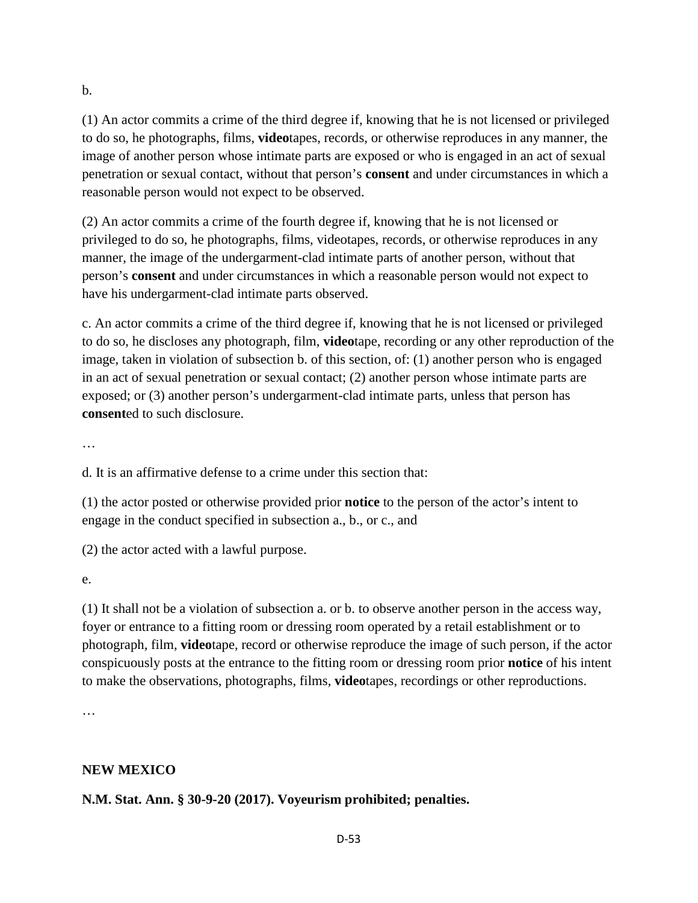b.

(1) An actor commits a crime of the third degree if, knowing that he is not licensed or privileged to do so, he photographs, films, **video**tapes, records, or otherwise reproduces in any manner, the image of another person whose intimate parts are exposed or who is engaged in an act of sexual penetration or sexual contact, without that person's **consent** and under circumstances in which a reasonable person would not expect to be observed.

(2) An actor commits a crime of the fourth degree if, knowing that he is not licensed or privileged to do so, he photographs, films, videotapes, records, or otherwise reproduces in any manner, the image of the undergarment-clad intimate parts of another person, without that person's **consent** and under circumstances in which a reasonable person would not expect to have his undergarment-clad intimate parts observed.

c. An actor commits a crime of the third degree if, knowing that he is not licensed or privileged to do so, he discloses any photograph, film, **video**tape, recording or any other reproduction of the image, taken in violation of subsection b. of this section, of: (1) another person who is engaged in an act of sexual penetration or sexual contact; (2) another person whose intimate parts are exposed; or (3) another person's undergarment-clad intimate parts, unless that person has **consent**ed to such disclosure.

…

d. It is an affirmative defense to a crime under this section that:

(1) the actor posted or otherwise provided prior **notice** to the person of the actor's intent to engage in the conduct specified in subsection a., b., or c., and

(2) the actor acted with a lawful purpose.

e.

(1) It shall not be a violation of subsection a. or b. to observe another person in the access way, foyer or entrance to a fitting room or dressing room operated by a retail establishment or to photograph, film, **video**tape, record or otherwise reproduce the image of such person, if the actor conspicuously posts at the entrance to the fitting room or dressing room prior **notice** of his intent to make the observations, photographs, films, **video**tapes, recordings or other reproductions.

…

## **NEW MEXICO**

**N.M. Stat. Ann. § 30-9-20 (2017). Voyeurism prohibited; penalties.**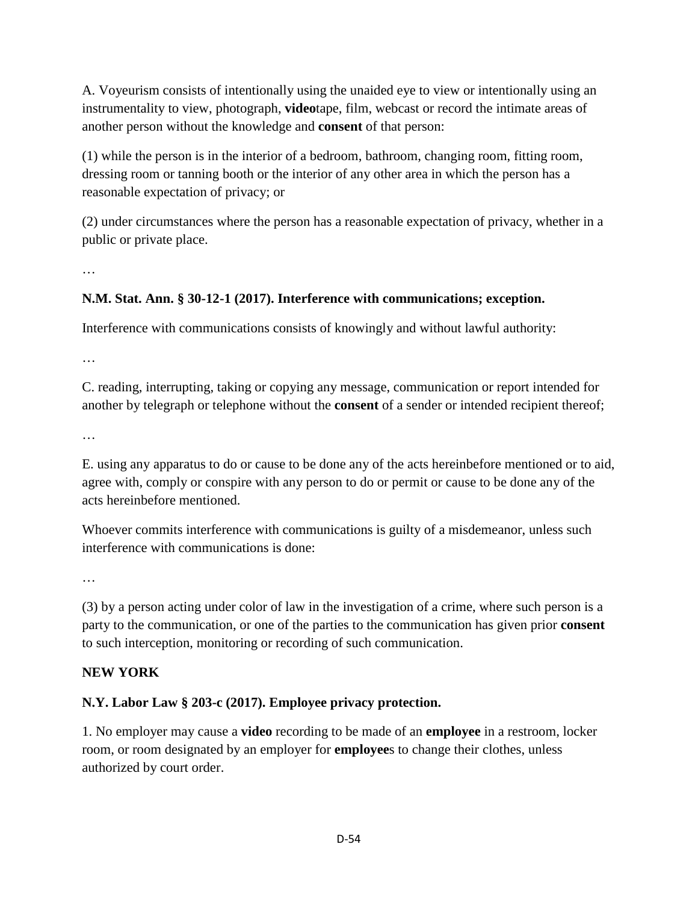A. Voyeurism consists of intentionally using the unaided eye to view or intentionally using an instrumentality to view, photograph, **video**tape, film, webcast or record the intimate areas of another person without the knowledge and **consent** of that person:

(1) while the person is in the interior of a bedroom, bathroom, changing room, fitting room, dressing room or tanning booth or the interior of any other area in which the person has a reasonable expectation of privacy; or

(2) under circumstances where the person has a reasonable expectation of privacy, whether in a public or private place.

…

### **N.M. Stat. Ann. § 30-12-1 (2017). Interference with communications; exception.**

Interference with communications consists of knowingly and without lawful authority:

…

C. reading, interrupting, taking or copying any message, communication or report intended for another by telegraph or telephone without the **consent** of a sender or intended recipient thereof;

…

E. using any apparatus to do or cause to be done any of the acts hereinbefore mentioned or to aid, agree with, comply or conspire with any person to do or permit or cause to be done any of the acts hereinbefore mentioned.

Whoever commits interference with communications is guilty of a misdemeanor, unless such interference with communications is done:

…

(3) by a person acting under color of law in the investigation of a crime, where such person is a party to the communication, or one of the parties to the communication has given prior **consent** to such interception, monitoring or recording of such communication.

#### **NEW YORK**

#### **N.Y. Labor Law § 203-c (2017). Employee privacy protection.**

1. No employer may cause a **video** recording to be made of an **employee** in a restroom, locker room, or room designated by an employer for **employee**s to change their clothes, unless authorized by court order.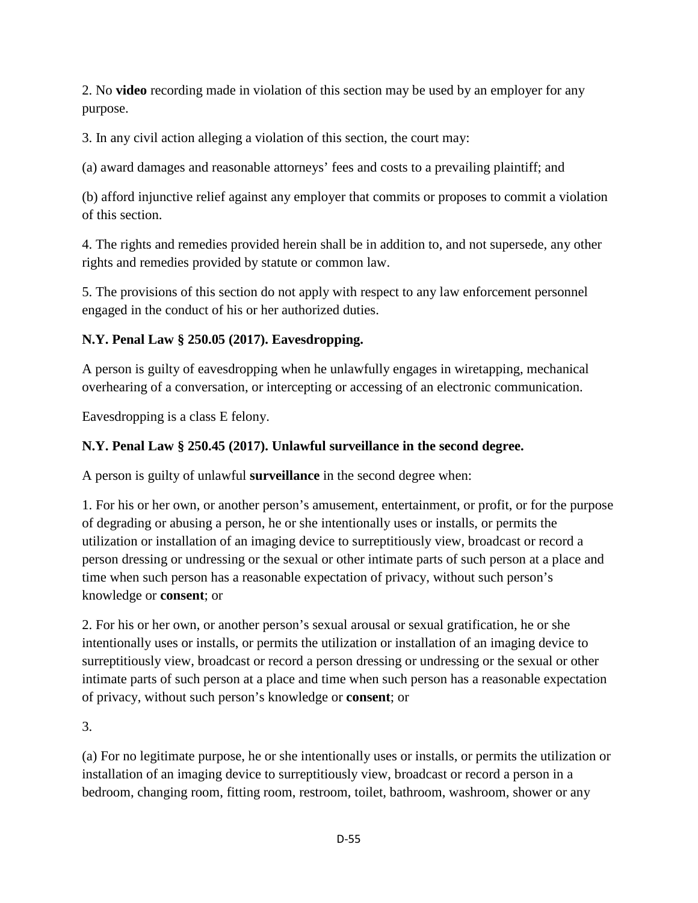2. No **video** recording made in violation of this section may be used by an employer for any purpose.

3. In any civil action alleging a violation of this section, the court may:

(a) award damages and reasonable attorneys' fees and costs to a prevailing plaintiff; and

(b) afford injunctive relief against any employer that commits or proposes to commit a violation of this section.

4. The rights and remedies provided herein shall be in addition to, and not supersede, any other rights and remedies provided by statute or common law.

5. The provisions of this section do not apply with respect to any law enforcement personnel engaged in the conduct of his or her authorized duties.

# **N.Y. Penal Law § 250.05 (2017). Eavesdropping.**

A person is guilty of eavesdropping when he unlawfully engages in wiretapping, mechanical overhearing of a conversation, or intercepting or accessing of an electronic communication.

Eavesdropping is a class E felony.

# **N.Y. Penal Law § 250.45 (2017). Unlawful surveillance in the second degree.**

A person is guilty of unlawful **surveillance** in the second degree when:

1. For his or her own, or another person's amusement, entertainment, or profit, or for the purpose of degrading or abusing a person, he or she intentionally uses or installs, or permits the utilization or installation of an imaging device to surreptitiously view, broadcast or record a person dressing or undressing or the sexual or other intimate parts of such person at a place and time when such person has a reasonable expectation of privacy, without such person's knowledge or **consent**; or

2. For his or her own, or another person's sexual arousal or sexual gratification, he or she intentionally uses or installs, or permits the utilization or installation of an imaging device to surreptitiously view, broadcast or record a person dressing or undressing or the sexual or other intimate parts of such person at a place and time when such person has a reasonable expectation of privacy, without such person's knowledge or **consent**; or

3.

(a) For no legitimate purpose, he or she intentionally uses or installs, or permits the utilization or installation of an imaging device to surreptitiously view, broadcast or record a person in a bedroom, changing room, fitting room, restroom, toilet, bathroom, washroom, shower or any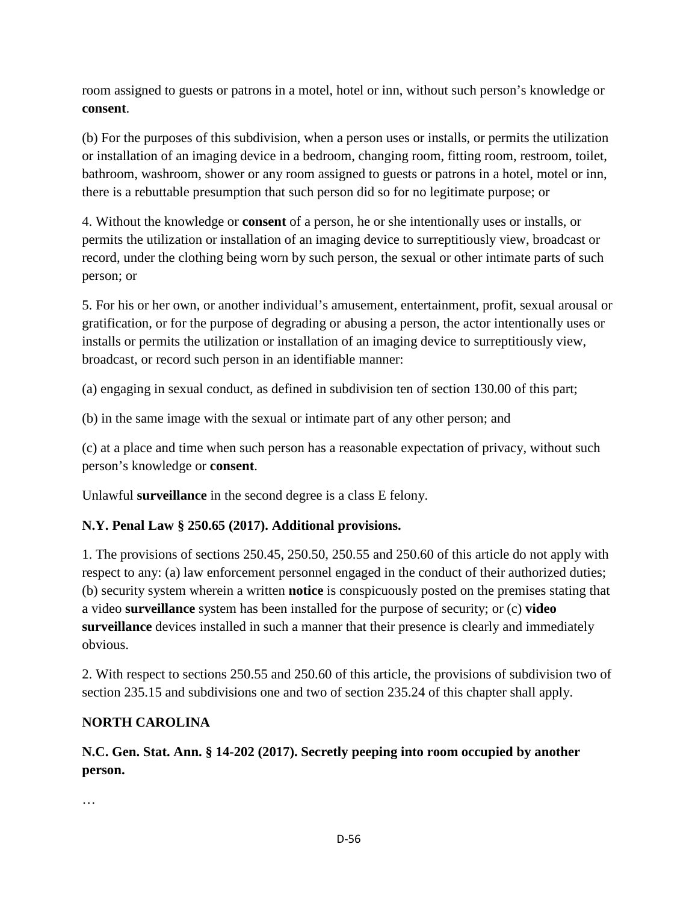room assigned to guests or patrons in a motel, hotel or inn, without such person's knowledge or **consent**.

(b) For the purposes of this subdivision, when a person uses or installs, or permits the utilization or installation of an imaging device in a bedroom, changing room, fitting room, restroom, toilet, bathroom, washroom, shower or any room assigned to guests or patrons in a hotel, motel or inn, there is a rebuttable presumption that such person did so for no legitimate purpose; or

4. Without the knowledge or **consent** of a person, he or she intentionally uses or installs, or permits the utilization or installation of an imaging device to surreptitiously view, broadcast or record, under the clothing being worn by such person, the sexual or other intimate parts of such person; or

5. For his or her own, or another individual's amusement, entertainment, profit, sexual arousal or gratification, or for the purpose of degrading or abusing a person, the actor intentionally uses or installs or permits the utilization or installation of an imaging device to surreptitiously view, broadcast, or record such person in an identifiable manner:

(a) engaging in sexual conduct, as defined in subdivision ten of section 130.00 of this part;

(b) in the same image with the sexual or intimate part of any other person; and

(c) at a place and time when such person has a reasonable expectation of privacy, without such person's knowledge or **consent**.

Unlawful **surveillance** in the second degree is a class E felony.

# **N.Y. Penal Law § 250.65 (2017). Additional provisions.**

1. The provisions of sections 250.45, 250.50, 250.55 and 250.60 of this article do not apply with respect to any: (a) law enforcement personnel engaged in the conduct of their authorized duties; (b) security system wherein a written **notice** is conspicuously posted on the premises stating that a video **surveillance** system has been installed for the purpose of security; or (c) **video surveillance** devices installed in such a manner that their presence is clearly and immediately obvious.

2. With respect to sections 250.55 and 250.60 of this article, the provisions of subdivision two of section 235.15 and subdivisions one and two of section 235.24 of this chapter shall apply.

# **NORTH CAROLINA**

**N.C. Gen. Stat. Ann. § 14-202 (2017). Secretly peeping into room occupied by another person.**

…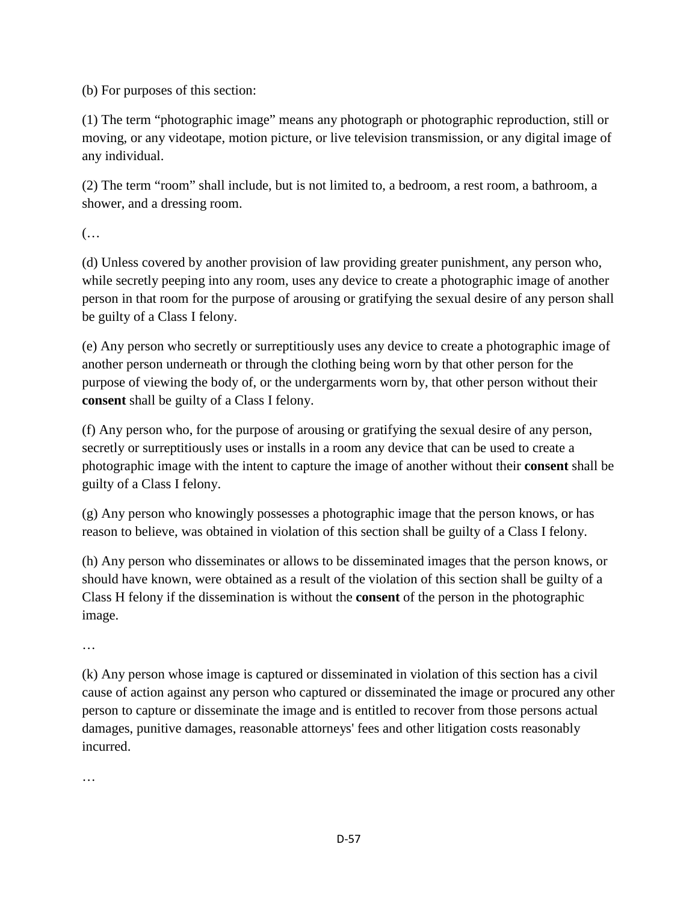(b) For purposes of this section:

(1) The term "photographic image" means any photograph or photographic reproduction, still or moving, or any videotape, motion picture, or live television transmission, or any digital image of any individual.

(2) The term "room" shall include, but is not limited to, a bedroom, a rest room, a bathroom, a shower, and a dressing room.

(…

(d) Unless covered by another provision of law providing greater punishment, any person who, while secretly peeping into any room, uses any device to create a photographic image of another person in that room for the purpose of arousing or gratifying the sexual desire of any person shall be guilty of a Class I felony.

(e) Any person who secretly or surreptitiously uses any device to create a photographic image of another person underneath or through the clothing being worn by that other person for the purpose of viewing the body of, or the undergarments worn by, that other person without their **consent** shall be guilty of a Class I felony.

(f) Any person who, for the purpose of arousing or gratifying the sexual desire of any person, secretly or surreptitiously uses or installs in a room any device that can be used to create a photographic image with the intent to capture the image of another without their **consent** shall be guilty of a Class I felony.

(g) Any person who knowingly possesses a photographic image that the person knows, or has reason to believe, was obtained in violation of this section shall be guilty of a Class I felony.

(h) Any person who disseminates or allows to be disseminated images that the person knows, or should have known, were obtained as a result of the violation of this section shall be guilty of a Class H felony if the dissemination is without the **consent** of the person in the photographic image.

…

(k) Any person whose image is captured or disseminated in violation of this section has a civil cause of action against any person who captured or disseminated the image or procured any other person to capture or disseminate the image and is entitled to recover from those persons actual damages, punitive damages, reasonable attorneys' fees and other litigation costs reasonably incurred.

…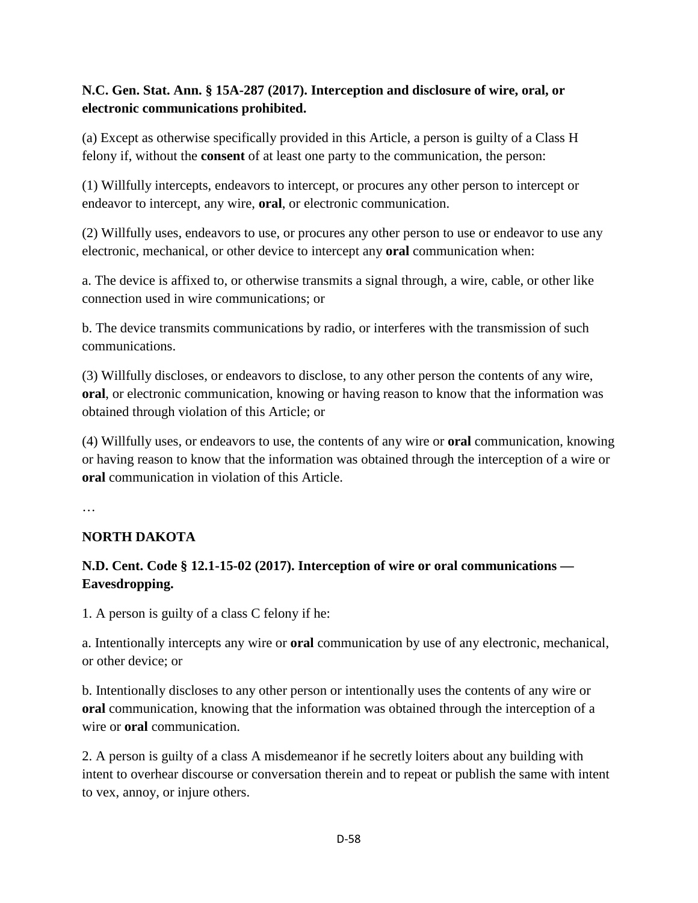## **N.C. Gen. Stat. Ann. § 15A-287 (2017). Interception and disclosure of wire, oral, or electronic communications prohibited.**

(a) Except as otherwise specifically provided in this Article, a person is guilty of a Class H felony if, without the **consent** of at least one party to the communication, the person:

(1) Willfully intercepts, endeavors to intercept, or procures any other person to intercept or endeavor to intercept, any wire, **oral**, or electronic communication.

(2) Willfully uses, endeavors to use, or procures any other person to use or endeavor to use any electronic, mechanical, or other device to intercept any **oral** communication when:

a. The device is affixed to, or otherwise transmits a signal through, a wire, cable, or other like connection used in wire communications; or

b. The device transmits communications by radio, or interferes with the transmission of such communications.

(3) Willfully discloses, or endeavors to disclose, to any other person the contents of any wire, **oral**, or electronic communication, knowing or having reason to know that the information was obtained through violation of this Article; or

(4) Willfully uses, or endeavors to use, the contents of any wire or **oral** communication, knowing or having reason to know that the information was obtained through the interception of a wire or **oral** communication in violation of this Article.

…

## **NORTH DAKOTA**

# **N.D. Cent. Code § 12.1-15-02 (2017). Interception of wire or oral communications — Eavesdropping.**

1. A person is guilty of a class C felony if he:

a. Intentionally intercepts any wire or **oral** communication by use of any electronic, mechanical, or other device; or

b. Intentionally discloses to any other person or intentionally uses the contents of any wire or **oral** communication, knowing that the information was obtained through the interception of a wire or **oral** communication.

2. A person is guilty of a class A misdemeanor if he secretly loiters about any building with intent to overhear discourse or conversation therein and to repeat or publish the same with intent to vex, annoy, or injure others.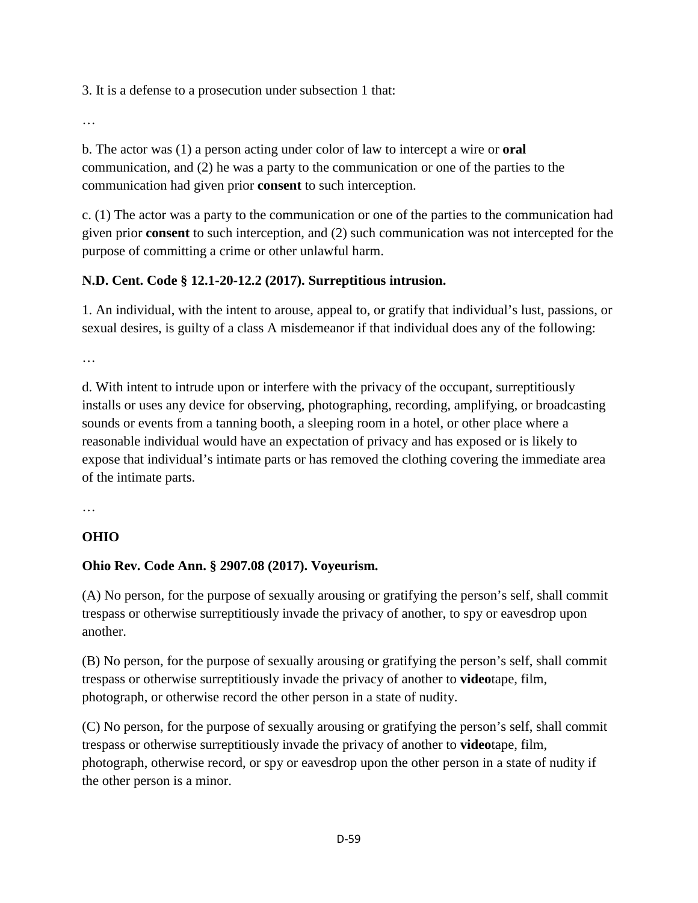3. It is a defense to a prosecution under subsection 1 that:

…

b. The actor was (1) a person acting under color of law to intercept a wire or **oral** communication, and (2) he was a party to the communication or one of the parties to the communication had given prior **consent** to such interception.

c. (1) The actor was a party to the communication or one of the parties to the communication had given prior **consent** to such interception, and (2) such communication was not intercepted for the purpose of committing a crime or other unlawful harm.

## **N.D. Cent. Code § 12.1-20-12.2 (2017). Surreptitious intrusion.**

1. An individual, with the intent to arouse, appeal to, or gratify that individual's lust, passions, or sexual desires, is guilty of a class A misdemeanor if that individual does any of the following:

…

d. With intent to intrude upon or interfere with the privacy of the occupant, surreptitiously installs or uses any device for observing, photographing, recording, amplifying, or broadcasting sounds or events from a tanning booth, a sleeping room in a hotel, or other place where a reasonable individual would have an expectation of privacy and has exposed or is likely to expose that individual's intimate parts or has removed the clothing covering the immediate area of the intimate parts.

…

## **OHIO**

## **Ohio Rev. Code Ann. § 2907.08 (2017). Voyeurism.**

(A) No person, for the purpose of sexually arousing or gratifying the person's self, shall commit trespass or otherwise surreptitiously invade the privacy of another, to spy or eavesdrop upon another.

(B) No person, for the purpose of sexually arousing or gratifying the person's self, shall commit trespass or otherwise surreptitiously invade the privacy of another to **video**tape, film, photograph, or otherwise record the other person in a state of nudity.

(C) No person, for the purpose of sexually arousing or gratifying the person's self, shall commit trespass or otherwise surreptitiously invade the privacy of another to **video**tape, film, photograph, otherwise record, or spy or eavesdrop upon the other person in a state of nudity if the other person is a minor.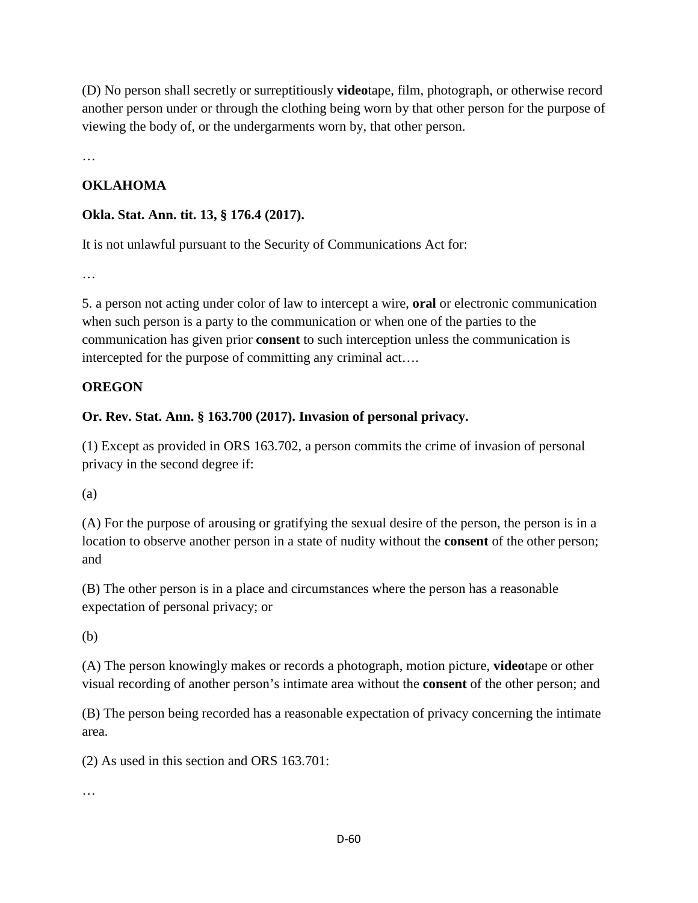(D) No person shall secretly or surreptitiously **video**tape, film, photograph, or otherwise record another person under or through the clothing being worn by that other person for the purpose of viewing the body of, or the undergarments worn by, that other person.

…

#### **OKLAHOMA**

#### **Okla. Stat. Ann. tit. 13, § 176.4 (2017).**

It is not unlawful pursuant to the Security of Communications Act for:

…

5. a person not acting under color of law to intercept a wire, **oral** or electronic communication when such person is a party to the communication or when one of the parties to the communication has given prior **consent** to such interception unless the communication is intercepted for the purpose of committing any criminal act….

#### **OREGON**

#### **Or. Rev. Stat. Ann. § 163.700 (2017). Invasion of personal privacy.**

(1) Except as provided in ORS 163.702, a person commits the crime of invasion of personal privacy in the second degree if:

(a)

(A) For the purpose of arousing or gratifying the sexual desire of the person, the person is in a location to observe another person in a state of nudity without the **consent** of the other person; and

(B) The other person is in a place and circumstances where the person has a reasonable expectation of personal privacy; or

(b)

(A) The person knowingly makes or records a photograph, motion picture, **video**tape or other visual recording of another person's intimate area without the **consent** of the other person; and

(B) The person being recorded has a reasonable expectation of privacy concerning the intimate area.

(2) As used in this section and ORS 163.701:

…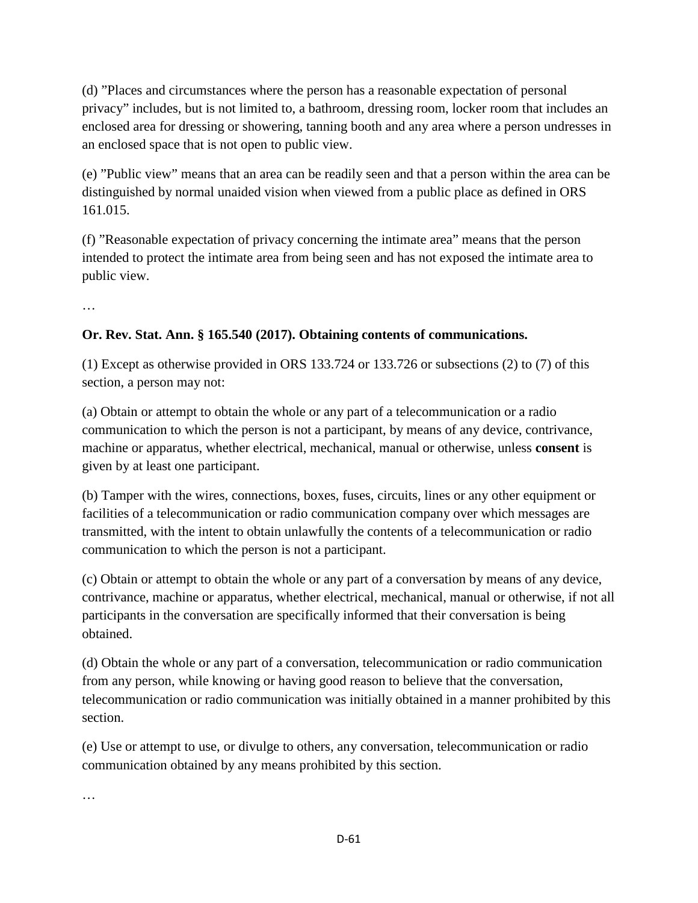(d) "Places and circumstances where the person has a reasonable expectation of personal privacy" includes, but is not limited to, a bathroom, dressing room, locker room that includes an enclosed area for dressing or showering, tanning booth and any area where a person undresses in an enclosed space that is not open to public view.

(e) "Public view" means that an area can be readily seen and that a person within the area can be distinguished by normal unaided vision when viewed from a public place as defined in ORS 161.015.

(f) "Reasonable expectation of privacy concerning the intimate area" means that the person intended to protect the intimate area from being seen and has not exposed the intimate area to public view.

…

## **Or. Rev. Stat. Ann. § 165.540 (2017). Obtaining contents of communications.**

(1) Except as otherwise provided in ORS 133.724 or 133.726 or subsections (2) to (7) of this section, a person may not:

(a) Obtain or attempt to obtain the whole or any part of a telecommunication or a radio communication to which the person is not a participant, by means of any device, contrivance, machine or apparatus, whether electrical, mechanical, manual or otherwise, unless **consent** is given by at least one participant.

(b) Tamper with the wires, connections, boxes, fuses, circuits, lines or any other equipment or facilities of a telecommunication or radio communication company over which messages are transmitted, with the intent to obtain unlawfully the contents of a telecommunication or radio communication to which the person is not a participant.

(c) Obtain or attempt to obtain the whole or any part of a conversation by means of any device, contrivance, machine or apparatus, whether electrical, mechanical, manual or otherwise, if not all participants in the conversation are specifically informed that their conversation is being obtained.

(d) Obtain the whole or any part of a conversation, telecommunication or radio communication from any person, while knowing or having good reason to believe that the conversation, telecommunication or radio communication was initially obtained in a manner prohibited by this section.

(e) Use or attempt to use, or divulge to others, any conversation, telecommunication or radio communication obtained by any means prohibited by this section.

…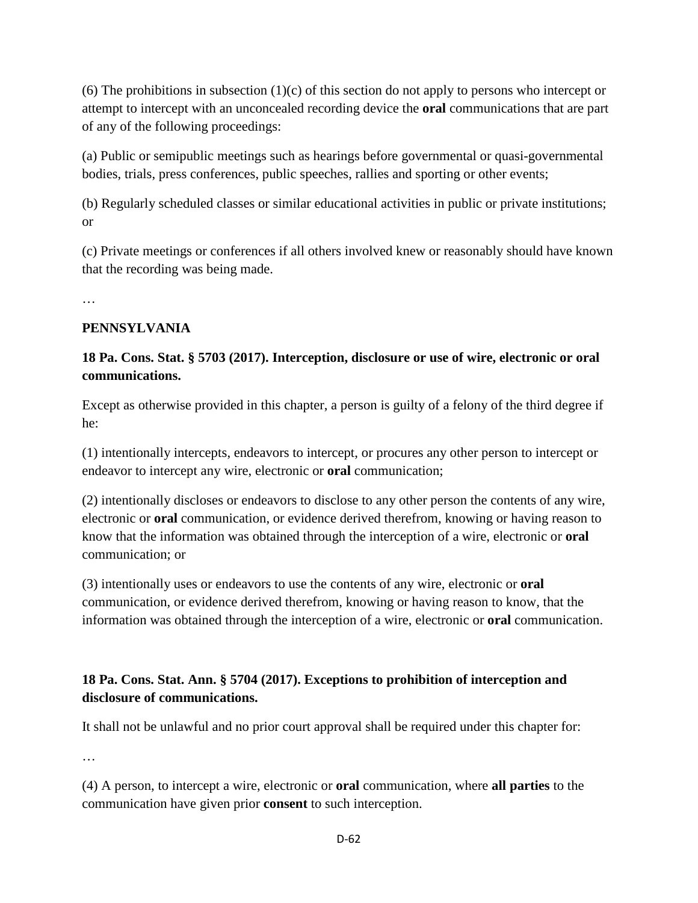(6) The prohibitions in subsection  $(1)(c)$  of this section do not apply to persons who intercept or attempt to intercept with an unconcealed recording device the **oral** communications that are part of any of the following proceedings:

(a) Public or semipublic meetings such as hearings before governmental or quasi-governmental bodies, trials, press conferences, public speeches, rallies and sporting or other events;

(b) Regularly scheduled classes or similar educational activities in public or private institutions; or

(c) Private meetings or conferences if all others involved knew or reasonably should have known that the recording was being made.

…

#### **PENNSYLVANIA**

## **18 Pa. Cons. Stat. § 5703 (2017). Interception, disclosure or use of wire, electronic or oral communications.**

Except as otherwise provided in this chapter, a person is guilty of a felony of the third degree if he:

(1) intentionally intercepts, endeavors to intercept, or procures any other person to intercept or endeavor to intercept any wire, electronic or **oral** communication;

(2) intentionally discloses or endeavors to disclose to any other person the contents of any wire, electronic or **oral** communication, or evidence derived therefrom, knowing or having reason to know that the information was obtained through the interception of a wire, electronic or **oral** communication; or

(3) intentionally uses or endeavors to use the contents of any wire, electronic or **oral** communication, or evidence derived therefrom, knowing or having reason to know, that the information was obtained through the interception of a wire, electronic or **oral** communication.

## **18 Pa. Cons. Stat. Ann. § 5704 (2017). Exceptions to prohibition of interception and disclosure of communications.**

It shall not be unlawful and no prior court approval shall be required under this chapter for:

…

(4) A person, to intercept a wire, electronic or **oral** communication, where **all parties** to the communication have given prior **consent** to such interception.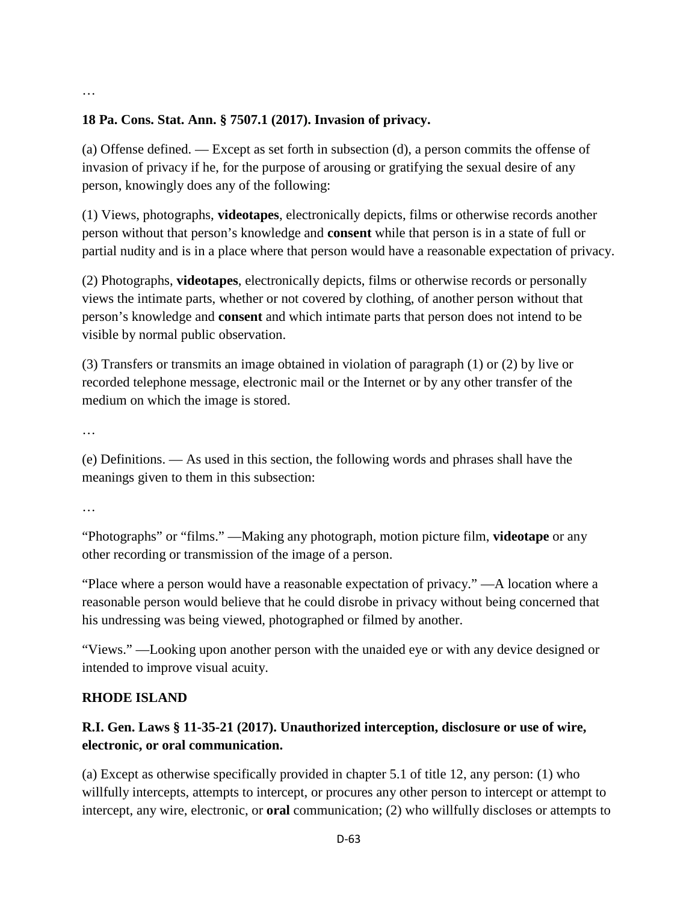#### **18 Pa. Cons. Stat. Ann. § 7507.1 (2017). Invasion of privacy.**

(a) Offense defined. — Except as set forth in subsection (d), a person commits the offense of invasion of privacy if he, for the purpose of arousing or gratifying the sexual desire of any person, knowingly does any of the following:

(1) Views, photographs, **videotapes**, electronically depicts, films or otherwise records another person without that person's knowledge and **consent** while that person is in a state of full or partial nudity and is in a place where that person would have a reasonable expectation of privacy.

(2) Photographs, **videotapes**, electronically depicts, films or otherwise records or personally views the intimate parts, whether or not covered by clothing, of another person without that person's knowledge and **consent** and which intimate parts that person does not intend to be visible by normal public observation.

(3) Transfers or transmits an image obtained in violation of paragraph (1) or (2) by live or recorded telephone message, electronic mail or the Internet or by any other transfer of the medium on which the image is stored.

…

…

(e) Definitions. — As used in this section, the following words and phrases shall have the meanings given to them in this subsection:

…

"Photographs" or "films." —Making any photograph, motion picture film, **videotape** or any other recording or transmission of the image of a person.

"Place where a person would have a reasonable expectation of privacy." —A location where a reasonable person would believe that he could disrobe in privacy without being concerned that his undressing was being viewed, photographed or filmed by another.

"Views." —Looking upon another person with the unaided eye or with any device designed or intended to improve visual acuity.

## **RHODE ISLAND**

# **R.I. Gen. Laws § 11-35-21 (2017). Unauthorized interception, disclosure or use of wire, electronic, or oral communication.**

(a) Except as otherwise specifically provided in chapter 5.1 of title 12, any person: (1) who willfully intercepts, attempts to intercept, or procures any other person to intercept or attempt to intercept, any wire, electronic, or **oral** communication; (2) who willfully discloses or attempts to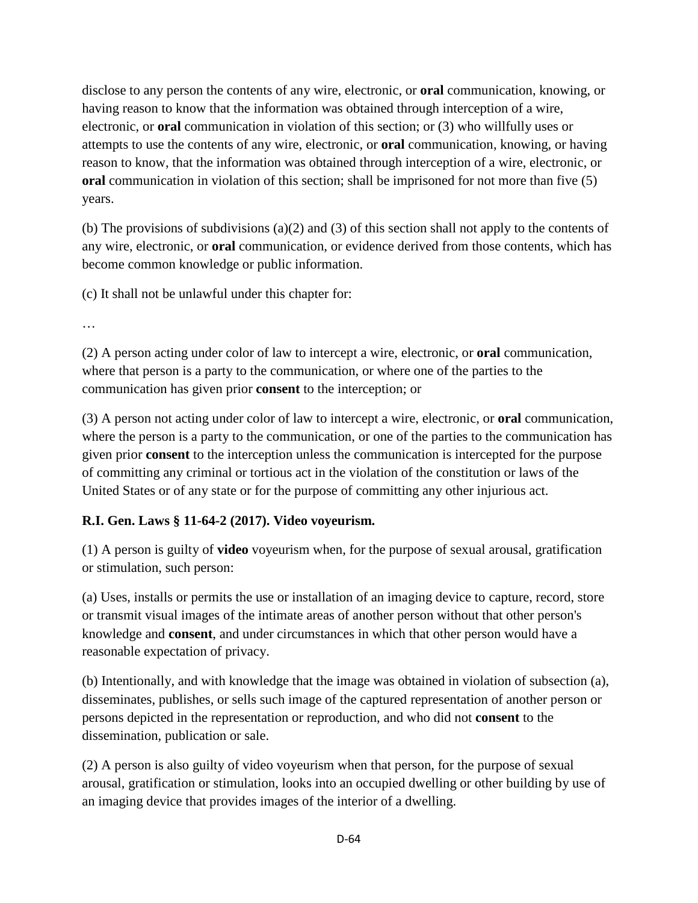disclose to any person the contents of any wire, electronic, or **oral** communication, knowing, or having reason to know that the information was obtained through interception of a wire, electronic, or **oral** communication in violation of this section; or (3) who willfully uses or attempts to use the contents of any wire, electronic, or **oral** communication, knowing, or having reason to know, that the information was obtained through interception of a wire, electronic, or **oral** communication in violation of this section; shall be imprisoned for not more than five (5) years.

(b) The provisions of subdivisions (a)(2) and (3) of this section shall not apply to the contents of any wire, electronic, or **oral** communication, or evidence derived from those contents, which has become common knowledge or public information.

(c) It shall not be unlawful under this chapter for:

…

(2) A person acting under color of law to intercept a wire, electronic, or **oral** communication, where that person is a party to the communication, or where one of the parties to the communication has given prior **consent** to the interception; or

(3) A person not acting under color of law to intercept a wire, electronic, or **oral** communication, where the person is a party to the communication, or one of the parties to the communication has given prior **consent** to the interception unless the communication is intercepted for the purpose of committing any criminal or tortious act in the violation of the constitution or laws of the United States or of any state or for the purpose of committing any other injurious act.

# **R.I. Gen. Laws § 11-64-2 (2017). Video voyeurism.**

(1) A person is guilty of **video** voyeurism when, for the purpose of sexual arousal, gratification or stimulation, such person:

(a) Uses, installs or permits the use or installation of an imaging device to capture, record, store or transmit visual images of the intimate areas of another person without that other person's knowledge and **consent**, and under circumstances in which that other person would have a reasonable expectation of privacy.

(b) Intentionally, and with knowledge that the image was obtained in violation of subsection (a), disseminates, publishes, or sells such image of the captured representation of another person or persons depicted in the representation or reproduction, and who did not **consent** to the dissemination, publication or sale.

(2) A person is also guilty of video voyeurism when that person, for the purpose of sexual arousal, gratification or stimulation, looks into an occupied dwelling or other building by use of an imaging device that provides images of the interior of a dwelling.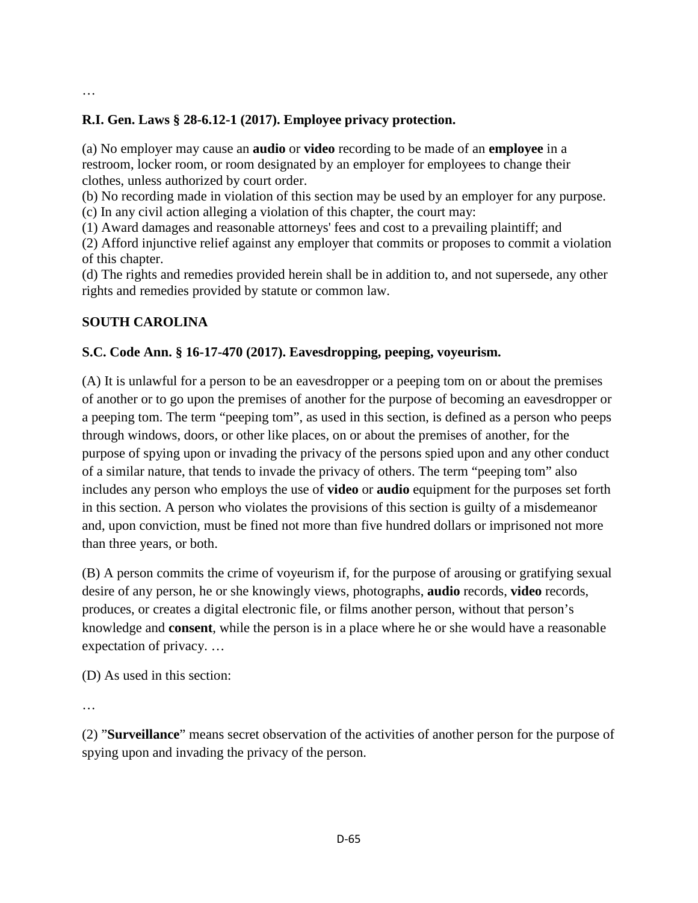#### **R.I. Gen. Laws § 28-6.12-1 (2017). Employee privacy protection.**

(a) No employer may cause an **audio** or **video** recording to be made of an **employee** in a restroom, locker room, or room designated by an employer for employees to change their clothes, unless authorized by court order.

(b) No recording made in violation of this section may be used by an employer for any purpose. (c) In any civil action alleging a violation of this chapter, the court may:

(1) Award damages and reasonable attorneys' fees and cost to a prevailing plaintiff; and

(2) Afford injunctive relief against any employer that commits or proposes to commit a violation of this chapter.

(d) The rights and remedies provided herein shall be in addition to, and not supersede, any other rights and remedies provided by statute or common law.

#### **SOUTH CAROLINA**

…

#### **S.C. Code Ann. § 16-17-470 (2017). Eavesdropping, peeping, voyeurism.**

(A) It is unlawful for a person to be an eavesdropper or a peeping tom on or about the premises of another or to go upon the premises of another for the purpose of becoming an eavesdropper or a peeping tom. The term "peeping tom", as used in this section, is defined as a person who peeps through windows, doors, or other like places, on or about the premises of another, for the purpose of spying upon or invading the privacy of the persons spied upon and any other conduct of a similar nature, that tends to invade the privacy of others. The term "peeping tom" also includes any person who employs the use of **video** or **audio** equipment for the purposes set forth in this section. A person who violates the provisions of this section is guilty of a misdemeanor and, upon conviction, must be fined not more than five hundred dollars or imprisoned not more than three years, or both.

(B) A person commits the crime of voyeurism if, for the purpose of arousing or gratifying sexual desire of any person, he or she knowingly views, photographs, **audio** records, **video** records, produces, or creates a digital electronic file, or films another person, without that person's knowledge and **consent**, while the person is in a place where he or she would have a reasonable expectation of privacy. …

(D) As used in this section:

…

(2) "**Surveillance**" means secret observation of the activities of another person for the purpose of spying upon and invading the privacy of the person.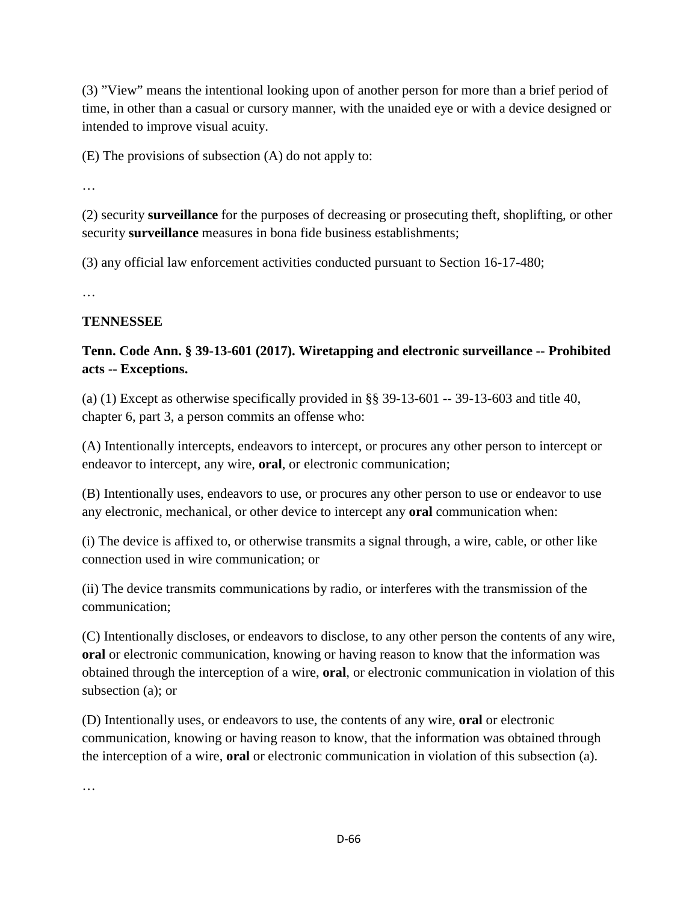(3) "View" means the intentional looking upon of another person for more than a brief period of time, in other than a casual or cursory manner, with the unaided eye or with a device designed or intended to improve visual acuity.

(E) The provisions of subsection (A) do not apply to:

…

(2) security **surveillance** for the purposes of decreasing or prosecuting theft, shoplifting, or other security **surveillance** measures in bona fide business establishments;

(3) any official law enforcement activities conducted pursuant to Section 16-17-480;

…

#### **TENNESSEE**

## **Tenn. Code Ann. § 39-13-601 (2017). Wiretapping and electronic surveillance -- Prohibited acts -- Exceptions.**

(a) (1) Except as otherwise specifically provided in  $\S$ § 39-13-601 -- 39-13-603 and title 40, chapter 6, part 3, a person commits an offense who:

(A) Intentionally intercepts, endeavors to intercept, or procures any other person to intercept or endeavor to intercept, any wire, **oral**, or electronic communication;

(B) Intentionally uses, endeavors to use, or procures any other person to use or endeavor to use any electronic, mechanical, or other device to intercept any **oral** communication when:

(i) The device is affixed to, or otherwise transmits a signal through, a wire, cable, or other like connection used in wire communication; or

(ii) The device transmits communications by radio, or interferes with the transmission of the communication;

(C) Intentionally discloses, or endeavors to disclose, to any other person the contents of any wire, **oral** or electronic communication, knowing or having reason to know that the information was obtained through the interception of a wire, **oral**, or electronic communication in violation of this subsection (a); or

(D) Intentionally uses, or endeavors to use, the contents of any wire, **oral** or electronic communication, knowing or having reason to know, that the information was obtained through the interception of a wire, **oral** or electronic communication in violation of this subsection (a).

…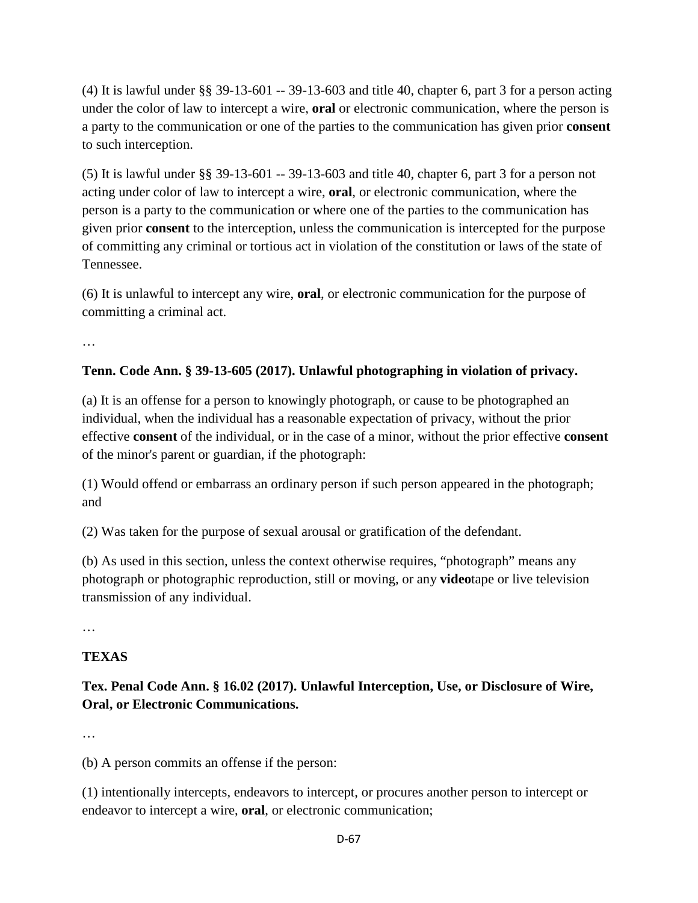(4) It is lawful under §§ 39-13-601 -- 39-13-603 and title 40, chapter 6, part 3 for a person acting under the color of law to intercept a wire, **oral** or electronic communication, where the person is a party to the communication or one of the parties to the communication has given prior **consent** to such interception.

(5) It is lawful under §§ 39-13-601 -- 39-13-603 and title 40, chapter 6, part 3 for a person not acting under color of law to intercept a wire, **oral**, or electronic communication, where the person is a party to the communication or where one of the parties to the communication has given prior **consent** to the interception, unless the communication is intercepted for the purpose of committing any criminal or tortious act in violation of the constitution or laws of the state of Tennessee.

(6) It is unlawful to intercept any wire, **oral**, or electronic communication for the purpose of committing a criminal act.

…

## **Tenn. Code Ann. § 39-13-605 (2017). Unlawful photographing in violation of privacy.**

(a) It is an offense for a person to knowingly photograph, or cause to be photographed an individual, when the individual has a reasonable expectation of privacy, without the prior effective **consent** of the individual, or in the case of a minor, without the prior effective **consent** of the minor's parent or guardian, if the photograph:

(1) Would offend or embarrass an ordinary person if such person appeared in the photograph; and

(2) Was taken for the purpose of sexual arousal or gratification of the defendant.

(b) As used in this section, unless the context otherwise requires, "photograph" means any photograph or photographic reproduction, still or moving, or any **video**tape or live television transmission of any individual.

…

## **TEXAS**

**Tex. Penal Code Ann. § 16.02 (2017). Unlawful Interception, Use, or Disclosure of Wire, Oral, or Electronic Communications.**

…

(b) A person commits an offense if the person:

(1) intentionally intercepts, endeavors to intercept, or procures another person to intercept or endeavor to intercept a wire, **oral**, or electronic communication;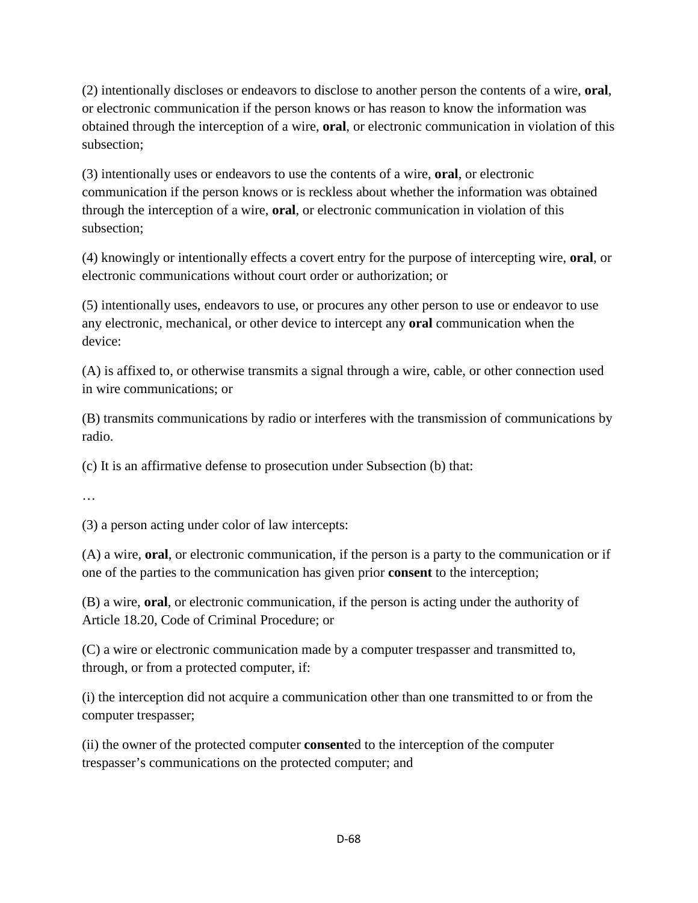(2) intentionally discloses or endeavors to disclose to another person the contents of a wire, **oral**, or electronic communication if the person knows or has reason to know the information was obtained through the interception of a wire, **oral**, or electronic communication in violation of this subsection;

(3) intentionally uses or endeavors to use the contents of a wire, **oral**, or electronic communication if the person knows or is reckless about whether the information was obtained through the interception of a wire, **oral**, or electronic communication in violation of this subsection;

(4) knowingly or intentionally effects a covert entry for the purpose of intercepting wire, **oral**, or electronic communications without court order or authorization; or

(5) intentionally uses, endeavors to use, or procures any other person to use or endeavor to use any electronic, mechanical, or other device to intercept any **oral** communication when the device:

(A) is affixed to, or otherwise transmits a signal through a wire, cable, or other connection used in wire communications; or

(B) transmits communications by radio or interferes with the transmission of communications by radio.

(c) It is an affirmative defense to prosecution under Subsection (b) that:

…

(3) a person acting under color of law intercepts:

(A) a wire, **oral**, or electronic communication, if the person is a party to the communication or if one of the parties to the communication has given prior **consent** to the interception;

(B) a wire, **oral**, or electronic communication, if the person is acting under the authority of Article 18.20, Code of Criminal Procedure; or

(C) a wire or electronic communication made by a computer trespasser and transmitted to, through, or from a protected computer, if:

(i) the interception did not acquire a communication other than one transmitted to or from the computer trespasser;

(ii) the owner of the protected computer **consent**ed to the interception of the computer trespasser's communications on the protected computer; and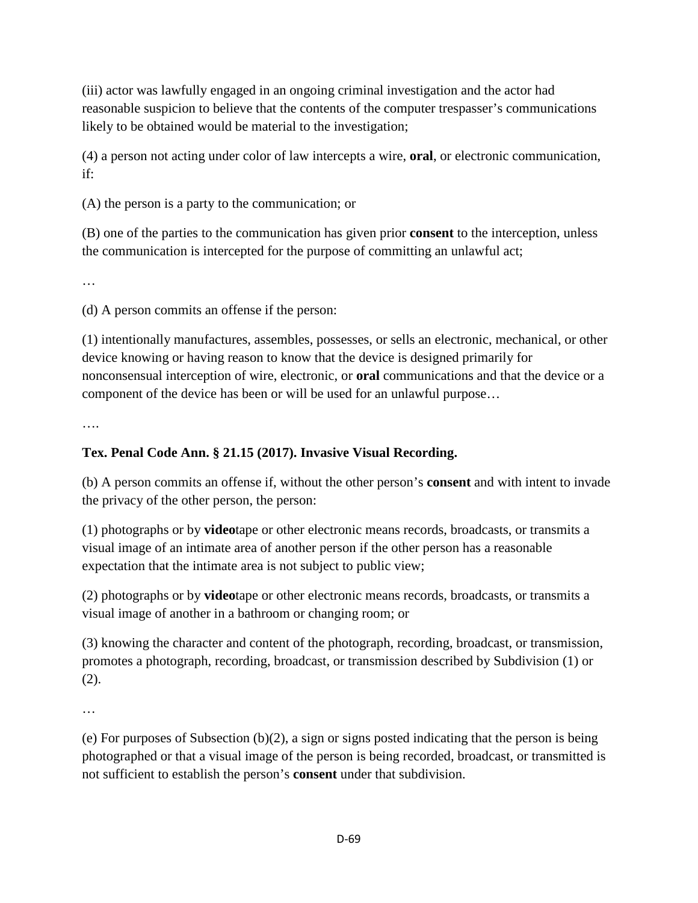(iii) actor was lawfully engaged in an ongoing criminal investigation and the actor had reasonable suspicion to believe that the contents of the computer trespasser's communications likely to be obtained would be material to the investigation;

(4) a person not acting under color of law intercepts a wire, **oral**, or electronic communication, if:

(A) the person is a party to the communication; or

(B) one of the parties to the communication has given prior **consent** to the interception, unless the communication is intercepted for the purpose of committing an unlawful act;

…

(d) A person commits an offense if the person:

(1) intentionally manufactures, assembles, possesses, or sells an electronic, mechanical, or other device knowing or having reason to know that the device is designed primarily for nonconsensual interception of wire, electronic, or **oral** communications and that the device or a component of the device has been or will be used for an unlawful purpose…

….

## **Tex. Penal Code Ann. § 21.15 (2017). Invasive Visual Recording.**

(b) A person commits an offense if, without the other person's **consent** and with intent to invade the privacy of the other person, the person:

(1) photographs or by **video**tape or other electronic means records, broadcasts, or transmits a visual image of an intimate area of another person if the other person has a reasonable expectation that the intimate area is not subject to public view;

(2) photographs or by **video**tape or other electronic means records, broadcasts, or transmits a visual image of another in a bathroom or changing room; or

(3) knowing the character and content of the photograph, recording, broadcast, or transmission, promotes a photograph, recording, broadcast, or transmission described by Subdivision (1) or (2).

…

(e) For purposes of Subsection (b)(2), a sign or signs posted indicating that the person is being photographed or that a visual image of the person is being recorded, broadcast, or transmitted is not sufficient to establish the person's **consent** under that subdivision.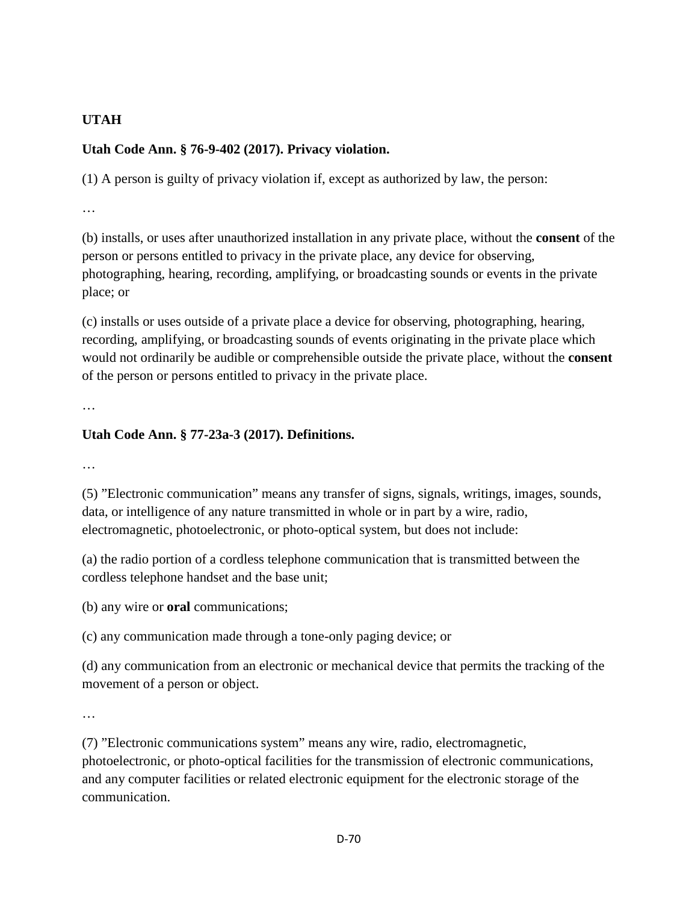## **UTAH**

## **Utah Code Ann. § 76-9-402 (2017). Privacy violation.**

(1) A person is guilty of privacy violation if, except as authorized by law, the person:

…

(b) installs, or uses after unauthorized installation in any private place, without the **consent** of the person or persons entitled to privacy in the private place, any device for observing, photographing, hearing, recording, amplifying, or broadcasting sounds or events in the private place; or

(c) installs or uses outside of a private place a device for observing, photographing, hearing, recording, amplifying, or broadcasting sounds of events originating in the private place which would not ordinarily be audible or comprehensible outside the private place, without the **consent** of the person or persons entitled to privacy in the private place.

…

## **Utah Code Ann. § 77-23a-3 (2017). Definitions.**

…

(5) "Electronic communication" means any transfer of signs, signals, writings, images, sounds, data, or intelligence of any nature transmitted in whole or in part by a wire, radio, electromagnetic, photoelectronic, or photo-optical system, but does not include:

(a) the radio portion of a cordless telephone communication that is transmitted between the cordless telephone handset and the base unit;

(b) any wire or **oral** communications;

(c) any communication made through a tone-only paging device; or

(d) any communication from an electronic or mechanical device that permits the tracking of the movement of a person or object.

…

(7) "Electronic communications system" means any wire, radio, electromagnetic, photoelectronic, or photo-optical facilities for the transmission of electronic communications, and any computer facilities or related electronic equipment for the electronic storage of the communication.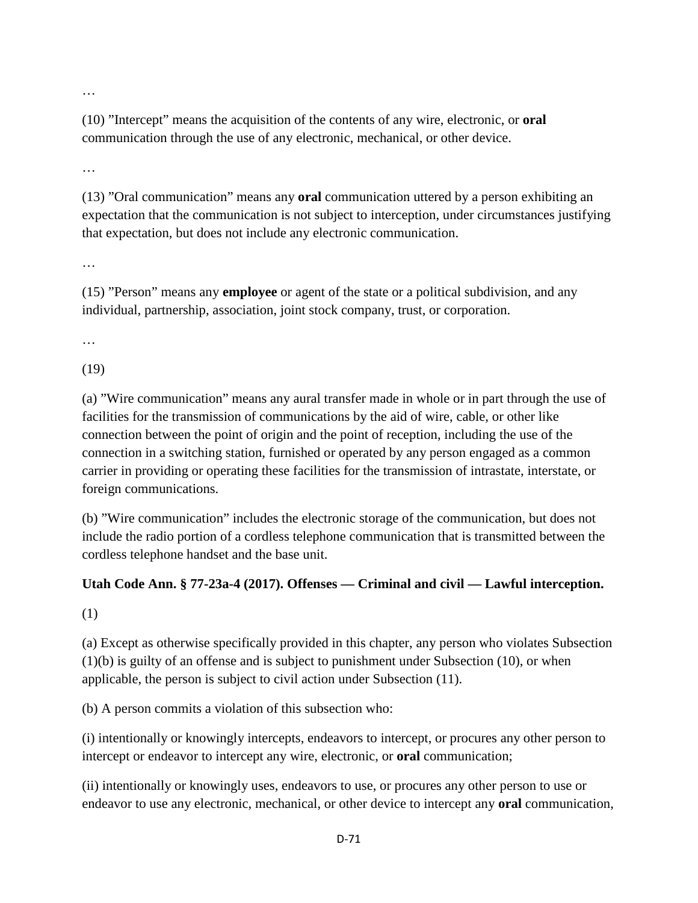…

(10) "Intercept" means the acquisition of the contents of any wire, electronic, or **oral** communication through the use of any electronic, mechanical, or other device.

…

(13) "Oral communication" means any **oral** communication uttered by a person exhibiting an expectation that the communication is not subject to interception, under circumstances justifying that expectation, but does not include any electronic communication.

…

(15) "Person" means any **employee** or agent of the state or a political subdivision, and any individual, partnership, association, joint stock company, trust, or corporation.

…

(19)

(a) "Wire communication" means any aural transfer made in whole or in part through the use of facilities for the transmission of communications by the aid of wire, cable, or other like connection between the point of origin and the point of reception, including the use of the connection in a switching station, furnished or operated by any person engaged as a common carrier in providing or operating these facilities for the transmission of intrastate, interstate, or foreign communications.

(b) "Wire communication" includes the electronic storage of the communication, but does not include the radio portion of a cordless telephone communication that is transmitted between the cordless telephone handset and the base unit.

## **Utah Code Ann. § 77-23a-4 (2017). Offenses — Criminal and civil — Lawful interception.**

(1)

(a) Except as otherwise specifically provided in this chapter, any person who violates Subsection (1)(b) is guilty of an offense and is subject to punishment under Subsection (10), or when applicable, the person is subject to civil action under Subsection (11).

(b) A person commits a violation of this subsection who:

(i) intentionally or knowingly intercepts, endeavors to intercept, or procures any other person to intercept or endeavor to intercept any wire, electronic, or **oral** communication;

(ii) intentionally or knowingly uses, endeavors to use, or procures any other person to use or endeavor to use any electronic, mechanical, or other device to intercept any **oral** communication,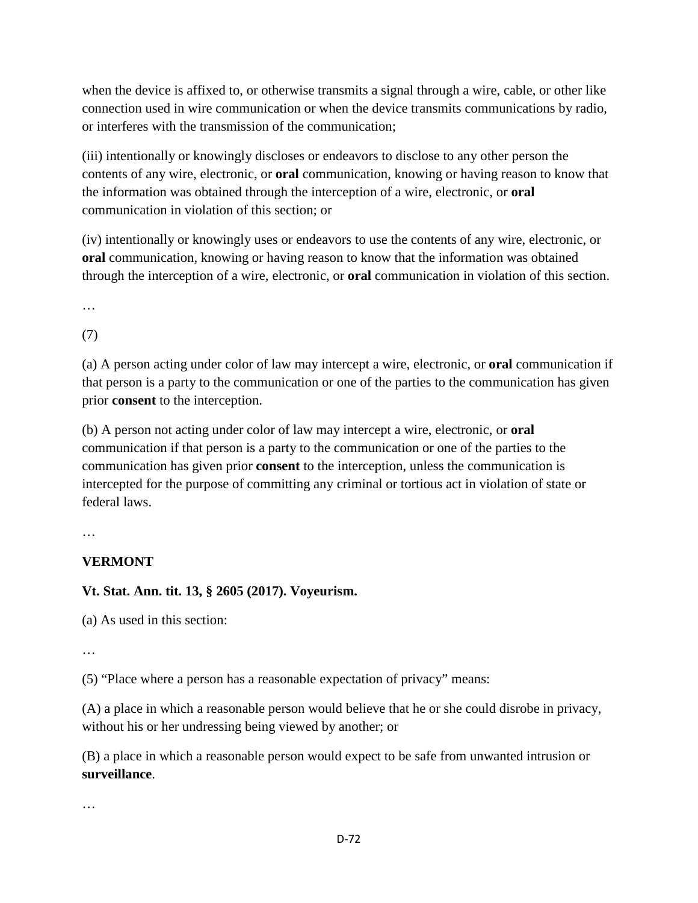when the device is affixed to, or otherwise transmits a signal through a wire, cable, or other like connection used in wire communication or when the device transmits communications by radio, or interferes with the transmission of the communication;

(iii) intentionally or knowingly discloses or endeavors to disclose to any other person the contents of any wire, electronic, or **oral** communication, knowing or having reason to know that the information was obtained through the interception of a wire, electronic, or **oral** communication in violation of this section; or

(iv) intentionally or knowingly uses or endeavors to use the contents of any wire, electronic, or **oral** communication, knowing or having reason to know that the information was obtained through the interception of a wire, electronic, or **oral** communication in violation of this section.

…

(7)

(a) A person acting under color of law may intercept a wire, electronic, or **oral** communication if that person is a party to the communication or one of the parties to the communication has given prior **consent** to the interception.

(b) A person not acting under color of law may intercept a wire, electronic, or **oral** communication if that person is a party to the communication or one of the parties to the communication has given prior **consent** to the interception, unless the communication is intercepted for the purpose of committing any criminal or tortious act in violation of state or federal laws.

…

## **VERMONT**

## **Vt. Stat. Ann. tit. 13, § 2605 (2017). Voyeurism.**

(a) As used in this section:

…

(5) "Place where a person has a reasonable expectation of privacy" means:

(A) a place in which a reasonable person would believe that he or she could disrobe in privacy, without his or her undressing being viewed by another; or

(B) a place in which a reasonable person would expect to be safe from unwanted intrusion or **surveillance**.

…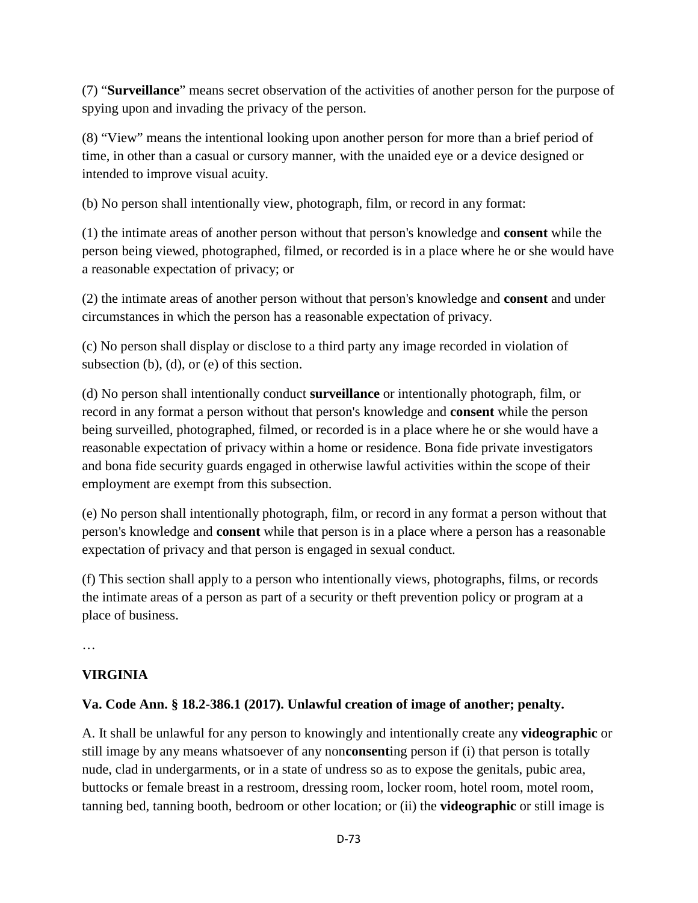(7) "**Surveillance**" means secret observation of the activities of another person for the purpose of spying upon and invading the privacy of the person.

(8) "View" means the intentional looking upon another person for more than a brief period of time, in other than a casual or cursory manner, with the unaided eye or a device designed or intended to improve visual acuity.

(b) No person shall intentionally view, photograph, film, or record in any format:

(1) the intimate areas of another person without that person's knowledge and **consent** while the person being viewed, photographed, filmed, or recorded is in a place where he or she would have a reasonable expectation of privacy; or

(2) the intimate areas of another person without that person's knowledge and **consent** and under circumstances in which the person has a reasonable expectation of privacy.

(c) No person shall display or disclose to a third party any image recorded in violation of subsection (b), (d), or (e) of this section.

(d) No person shall intentionally conduct **surveillance** or intentionally photograph, film, or record in any format a person without that person's knowledge and **consent** while the person being surveilled, photographed, filmed, or recorded is in a place where he or she would have a reasonable expectation of privacy within a home or residence. Bona fide private investigators and bona fide security guards engaged in otherwise lawful activities within the scope of their employment are exempt from this subsection.

(e) No person shall intentionally photograph, film, or record in any format a person without that person's knowledge and **consent** while that person is in a place where a person has a reasonable expectation of privacy and that person is engaged in sexual conduct.

(f) This section shall apply to a person who intentionally views, photographs, films, or records the intimate areas of a person as part of a security or theft prevention policy or program at a place of business.

…

#### **VIRGINIA**

#### **Va. Code Ann. § 18.2-386.1 (2017). Unlawful creation of image of another; penalty.**

A. It shall be unlawful for any person to knowingly and intentionally create any **videographic** or still image by any means whatsoever of any non**consent**ing person if (i) that person is totally nude, clad in undergarments, or in a state of undress so as to expose the genitals, pubic area, buttocks or female breast in a restroom, dressing room, locker room, hotel room, motel room, tanning bed, tanning booth, bedroom or other location; or (ii) the **videographic** or still image is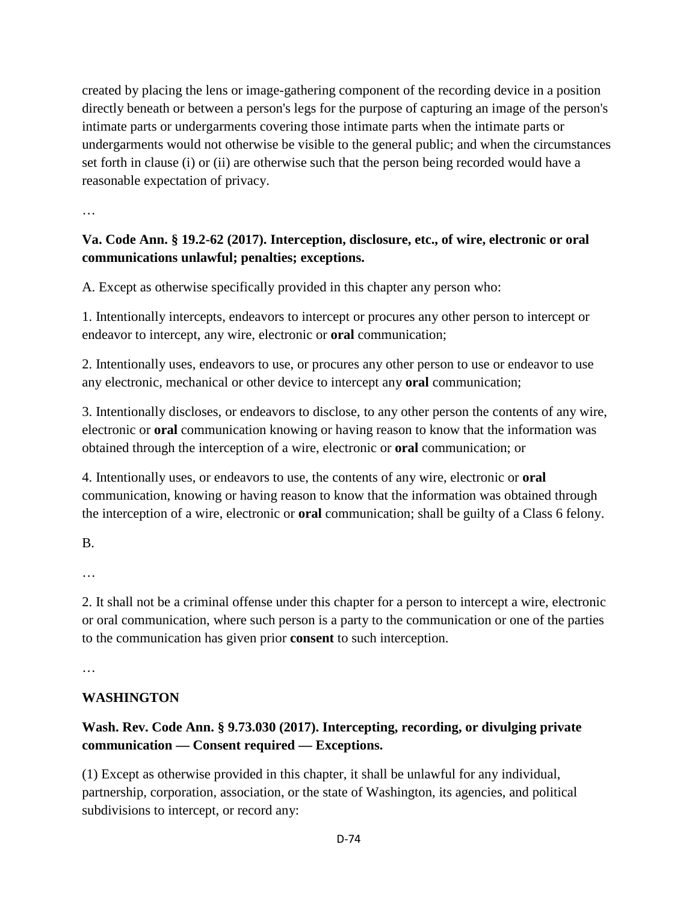created by placing the lens or image-gathering component of the recording device in a position directly beneath or between a person's legs for the purpose of capturing an image of the person's intimate parts or undergarments covering those intimate parts when the intimate parts or undergarments would not otherwise be visible to the general public; and when the circumstances set forth in clause (i) or (ii) are otherwise such that the person being recorded would have a reasonable expectation of privacy.

…

# **Va. Code Ann. § 19.2-62 (2017). Interception, disclosure, etc., of wire, electronic or oral communications unlawful; penalties; exceptions.**

A. Except as otherwise specifically provided in this chapter any person who:

1. Intentionally intercepts, endeavors to intercept or procures any other person to intercept or endeavor to intercept, any wire, electronic or **oral** communication;

2. Intentionally uses, endeavors to use, or procures any other person to use or endeavor to use any electronic, mechanical or other device to intercept any **oral** communication;

3. Intentionally discloses, or endeavors to disclose, to any other person the contents of any wire, electronic or **oral** communication knowing or having reason to know that the information was obtained through the interception of a wire, electronic or **oral** communication; or

4. Intentionally uses, or endeavors to use, the contents of any wire, electronic or **oral** communication, knowing or having reason to know that the information was obtained through the interception of a wire, electronic or **oral** communication; shall be guilty of a Class 6 felony.

B.

…

2. It shall not be a criminal offense under this chapter for a person to intercept a wire, electronic or oral communication, where such person is a party to the communication or one of the parties to the communication has given prior **consent** to such interception.

…

# **WASHINGTON**

# **Wash. Rev. Code Ann. § 9.73.030 (2017). Intercepting, recording, or divulging private communication — Consent required — Exceptions.**

(1) Except as otherwise provided in this chapter, it shall be unlawful for any individual, partnership, corporation, association, or the state of Washington, its agencies, and political subdivisions to intercept, or record any: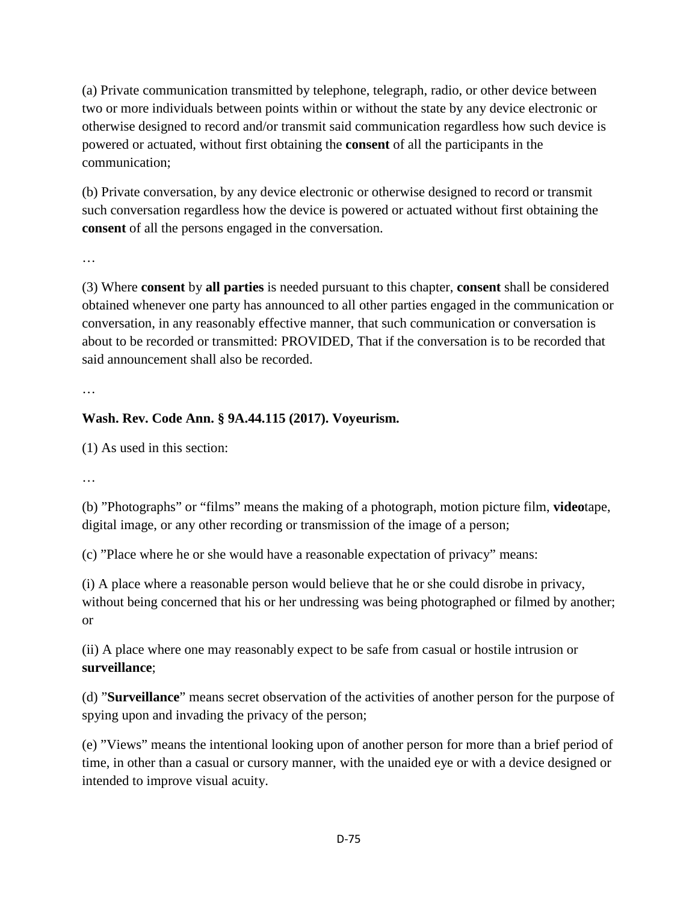(a) Private communication transmitted by telephone, telegraph, radio, or other device between two or more individuals between points within or without the state by any device electronic or otherwise designed to record and/or transmit said communication regardless how such device is powered or actuated, without first obtaining the **consent** of all the participants in the communication;

(b) Private conversation, by any device electronic or otherwise designed to record or transmit such conversation regardless how the device is powered or actuated without first obtaining the **consent** of all the persons engaged in the conversation.

…

(3) Where **consent** by **all parties** is needed pursuant to this chapter, **consent** shall be considered obtained whenever one party has announced to all other parties engaged in the communication or conversation, in any reasonably effective manner, that such communication or conversation is about to be recorded or transmitted: PROVIDED, That if the conversation is to be recorded that said announcement shall also be recorded.

…

#### **Wash. Rev. Code Ann. § 9A.44.115 (2017). Voyeurism.**

(1) As used in this section:

…

(b) "Photographs" or "films" means the making of a photograph, motion picture film, **video**tape, digital image, or any other recording or transmission of the image of a person;

(c) "Place where he or she would have a reasonable expectation of privacy" means:

(i) A place where a reasonable person would believe that he or she could disrobe in privacy, without being concerned that his or her undressing was being photographed or filmed by another; or

(ii) A place where one may reasonably expect to be safe from casual or hostile intrusion or **surveillance**;

(d) "**Surveillance**" means secret observation of the activities of another person for the purpose of spying upon and invading the privacy of the person;

(e) "Views" means the intentional looking upon of another person for more than a brief period of time, in other than a casual or cursory manner, with the unaided eye or with a device designed or intended to improve visual acuity.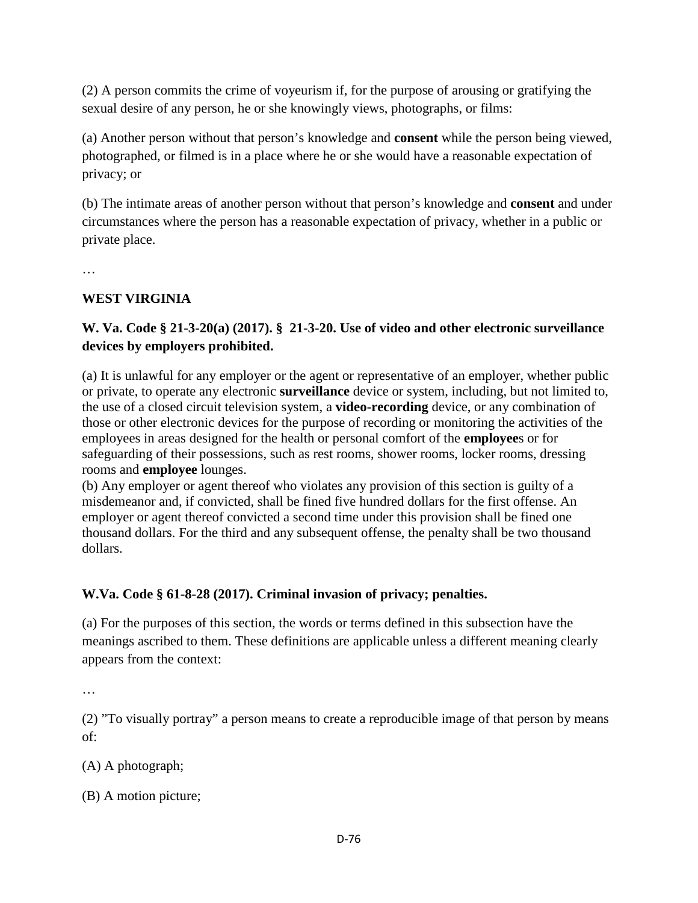(2) A person commits the crime of voyeurism if, for the purpose of arousing or gratifying the sexual desire of any person, he or she knowingly views, photographs, or films:

(a) Another person without that person's knowledge and **consent** while the person being viewed, photographed, or filmed is in a place where he or she would have a reasonable expectation of privacy; or

(b) The intimate areas of another person without that person's knowledge and **consent** and under circumstances where the person has a reasonable expectation of privacy, whether in a public or private place.

…

#### **WEST VIRGINIA**

# **W. Va. Code § 21-3-20(a) (2017). § 21-3-20. Use of video and other electronic surveillance devices by employers prohibited.**

(a) It is unlawful for any employer or the agent or representative of an employer, whether public or private, to operate any electronic **surveillance** device or system, including, but not limited to, the use of a closed circuit television system, a **video-recording** device, or any combination of those or other electronic devices for the purpose of recording or monitoring the activities of the employees in areas designed for the health or personal comfort of the **employee**s or for safeguarding of their possessions, such as rest rooms, shower rooms, locker rooms, dressing rooms and **employee** lounges.

(b) Any employer or agent thereof who violates any provision of this section is guilty of a misdemeanor and, if convicted, shall be fined five hundred dollars for the first offense. An employer or agent thereof convicted a second time under this provision shall be fined one thousand dollars. For the third and any subsequent offense, the penalty shall be two thousand dollars.

## **W.Va. Code § 61-8-28 (2017). Criminal invasion of privacy; penalties.**

(a) For the purposes of this section, the words or terms defined in this subsection have the meanings ascribed to them. These definitions are applicable unless a different meaning clearly appears from the context:

…

(2) "To visually portray" a person means to create a reproducible image of that person by means of:

(A) A photograph;

(B) A motion picture;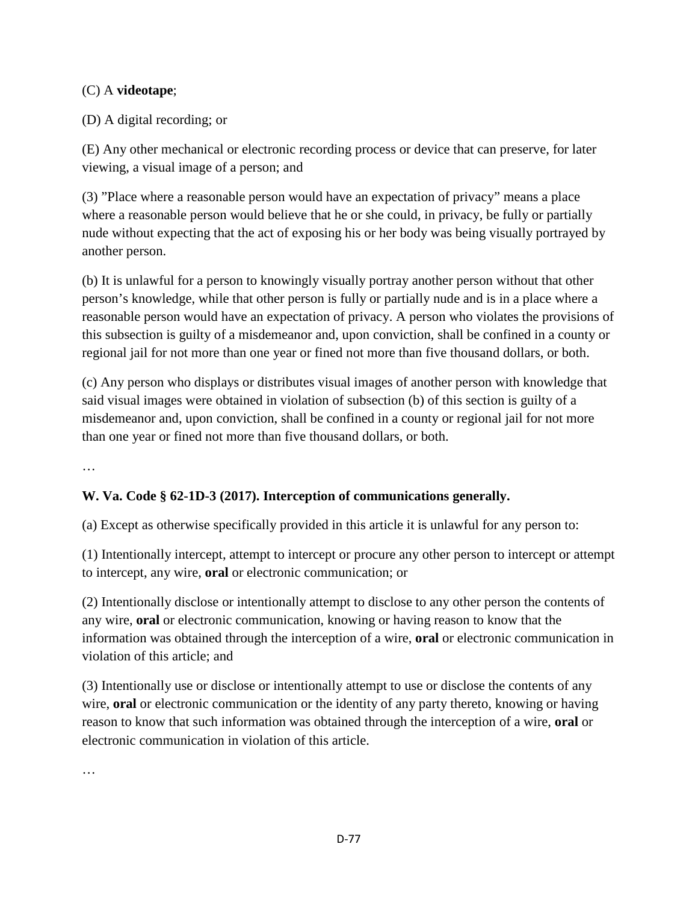#### (C) A **videotape**;

(D) A digital recording; or

(E) Any other mechanical or electronic recording process or device that can preserve, for later viewing, a visual image of a person; and

(3) "Place where a reasonable person would have an expectation of privacy" means a place where a reasonable person would believe that he or she could, in privacy, be fully or partially nude without expecting that the act of exposing his or her body was being visually portrayed by another person.

(b) It is unlawful for a person to knowingly visually portray another person without that other person's knowledge, while that other person is fully or partially nude and is in a place where a reasonable person would have an expectation of privacy. A person who violates the provisions of this subsection is guilty of a misdemeanor and, upon conviction, shall be confined in a county or regional jail for not more than one year or fined not more than five thousand dollars, or both.

(c) Any person who displays or distributes visual images of another person with knowledge that said visual images were obtained in violation of subsection (b) of this section is guilty of a misdemeanor and, upon conviction, shall be confined in a county or regional jail for not more than one year or fined not more than five thousand dollars, or both.

…

## **W. Va. Code § 62-1D-3 (2017). Interception of communications generally.**

(a) Except as otherwise specifically provided in this article it is unlawful for any person to:

(1) Intentionally intercept, attempt to intercept or procure any other person to intercept or attempt to intercept, any wire, **oral** or electronic communication; or

(2) Intentionally disclose or intentionally attempt to disclose to any other person the contents of any wire, **oral** or electronic communication, knowing or having reason to know that the information was obtained through the interception of a wire, **oral** or electronic communication in violation of this article; and

(3) Intentionally use or disclose or intentionally attempt to use or disclose the contents of any wire, **oral** or electronic communication or the identity of any party thereto, knowing or having reason to know that such information was obtained through the interception of a wire, **oral** or electronic communication in violation of this article.

…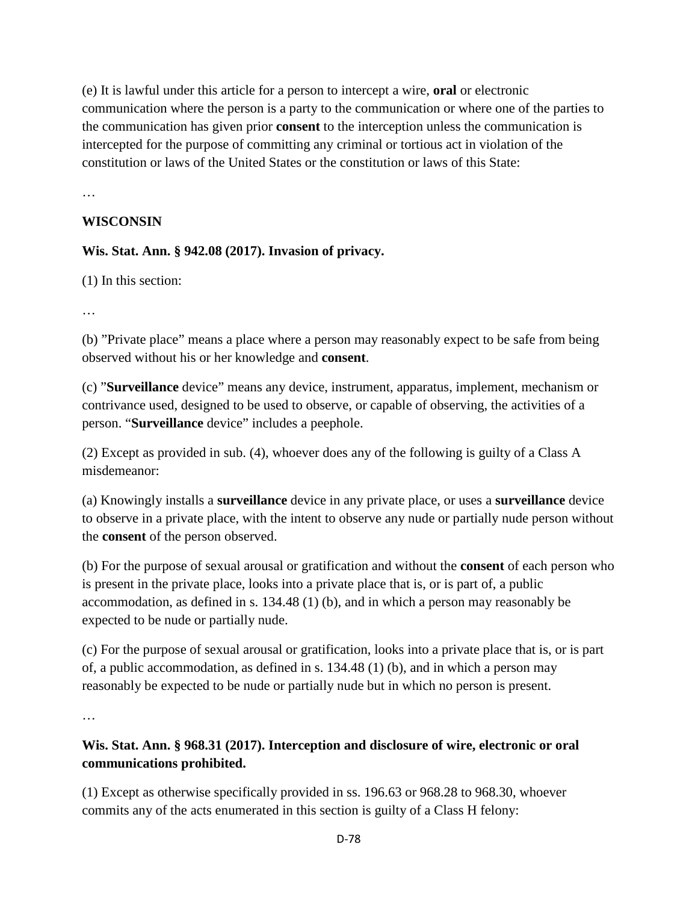(e) It is lawful under this article for a person to intercept a wire, **oral** or electronic communication where the person is a party to the communication or where one of the parties to the communication has given prior **consent** to the interception unless the communication is intercepted for the purpose of committing any criminal or tortious act in violation of the constitution or laws of the United States or the constitution or laws of this State:

…

#### **WISCONSIN**

#### **Wis. Stat. Ann. § 942.08 (2017). Invasion of privacy.**

(1) In this section:

…

(b) "Private place" means a place where a person may reasonably expect to be safe from being observed without his or her knowledge and **consent**.

(c) "**Surveillance** device" means any device, instrument, apparatus, implement, mechanism or contrivance used, designed to be used to observe, or capable of observing, the activities of a person. "**Surveillance** device" includes a peephole.

(2) Except as provided in sub. (4), whoever does any of the following is guilty of a Class A misdemeanor:

(a) Knowingly installs a **surveillance** device in any private place, or uses a **surveillance** device to observe in a private place, with the intent to observe any nude or partially nude person without the **consent** of the person observed.

(b) For the purpose of sexual arousal or gratification and without the **consent** of each person who is present in the private place, looks into a private place that is, or is part of, a public accommodation, as defined in s. 134.48 (1) (b), and in which a person may reasonably be expected to be nude or partially nude.

(c) For the purpose of sexual arousal or gratification, looks into a private place that is, or is part of, a public accommodation, as defined in s. 134.48 (1) (b), and in which a person may reasonably be expected to be nude or partially nude but in which no person is present.

…

# **Wis. Stat. Ann. § 968.31 (2017). Interception and disclosure of wire, electronic or oral communications prohibited.**

(1) Except as otherwise specifically provided in ss. 196.63 or 968.28 to 968.30, whoever commits any of the acts enumerated in this section is guilty of a Class H felony: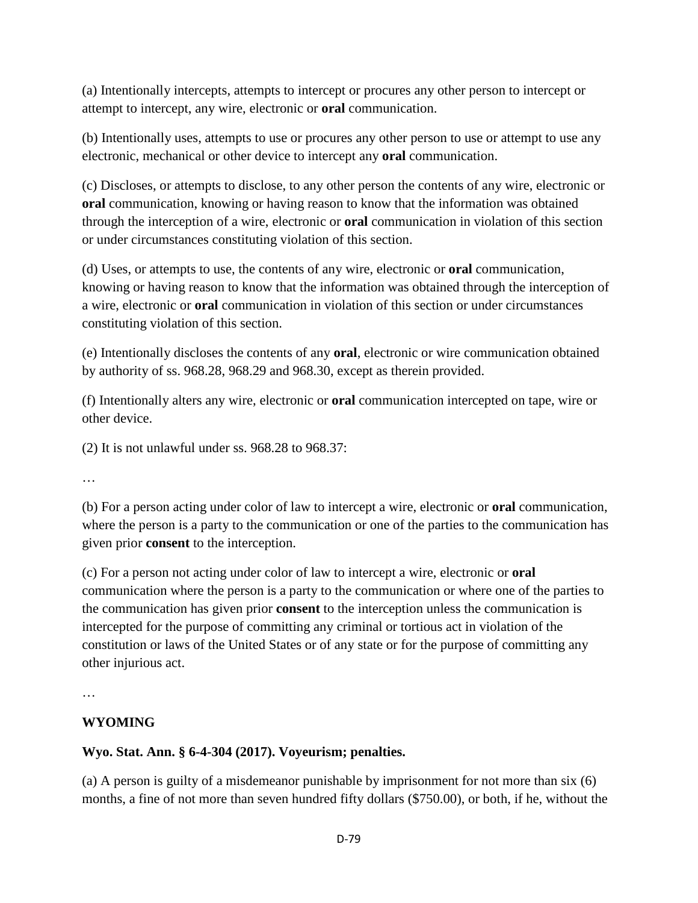(a) Intentionally intercepts, attempts to intercept or procures any other person to intercept or attempt to intercept, any wire, electronic or **oral** communication.

(b) Intentionally uses, attempts to use or procures any other person to use or attempt to use any electronic, mechanical or other device to intercept any **oral** communication.

(c) Discloses, or attempts to disclose, to any other person the contents of any wire, electronic or **oral** communication, knowing or having reason to know that the information was obtained through the interception of a wire, electronic or **oral** communication in violation of this section or under circumstances constituting violation of this section.

(d) Uses, or attempts to use, the contents of any wire, electronic or **oral** communication, knowing or having reason to know that the information was obtained through the interception of a wire, electronic or **oral** communication in violation of this section or under circumstances constituting violation of this section.

(e) Intentionally discloses the contents of any **oral**, electronic or wire communication obtained by authority of ss. 968.28, 968.29 and 968.30, except as therein provided.

(f) Intentionally alters any wire, electronic or **oral** communication intercepted on tape, wire or other device.

(2) It is not unlawful under ss. 968.28 to 968.37:

…

(b) For a person acting under color of law to intercept a wire, electronic or **oral** communication, where the person is a party to the communication or one of the parties to the communication has given prior **consent** to the interception.

(c) For a person not acting under color of law to intercept a wire, electronic or **oral** communication where the person is a party to the communication or where one of the parties to the communication has given prior **consent** to the interception unless the communication is intercepted for the purpose of committing any criminal or tortious act in violation of the constitution or laws of the United States or of any state or for the purpose of committing any other injurious act.

…

## **WYOMING**

## **Wyo. Stat. Ann. § 6-4-304 (2017). Voyeurism; penalties.**

(a) A person is guilty of a misdemeanor punishable by imprisonment for not more than six (6) months, a fine of not more than seven hundred fifty dollars (\$750.00), or both, if he, without the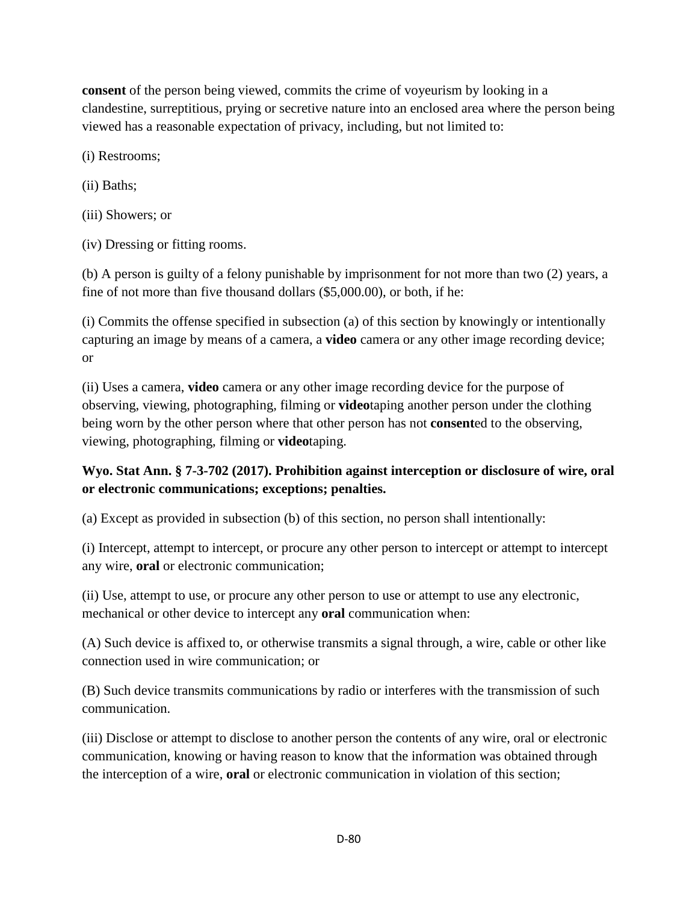**consent** of the person being viewed, commits the crime of voyeurism by looking in a clandestine, surreptitious, prying or secretive nature into an enclosed area where the person being viewed has a reasonable expectation of privacy, including, but not limited to:

(i) Restrooms;

- (ii) Baths;
- (iii) Showers; or
- (iv) Dressing or fitting rooms.

(b) A person is guilty of a felony punishable by imprisonment for not more than two (2) years, a fine of not more than five thousand dollars (\$5,000.00), or both, if he:

(i) Commits the offense specified in subsection (a) of this section by knowingly or intentionally capturing an image by means of a camera, a **video** camera or any other image recording device; or

(ii) Uses a camera, **video** camera or any other image recording device for the purpose of observing, viewing, photographing, filming or **video**taping another person under the clothing being worn by the other person where that other person has not **consent**ed to the observing, viewing, photographing, filming or **video**taping.

## **Wyo. Stat Ann. § 7-3-702 (2017). Prohibition against interception or disclosure of wire, oral or electronic communications; exceptions; penalties.**

(a) Except as provided in subsection (b) of this section, no person shall intentionally:

(i) Intercept, attempt to intercept, or procure any other person to intercept or attempt to intercept any wire, **oral** or electronic communication;

(ii) Use, attempt to use, or procure any other person to use or attempt to use any electronic, mechanical or other device to intercept any **oral** communication when:

(A) Such device is affixed to, or otherwise transmits a signal through, a wire, cable or other like connection used in wire communication; or

(B) Such device transmits communications by radio or interferes with the transmission of such communication.

(iii) Disclose or attempt to disclose to another person the contents of any wire, oral or electronic communication, knowing or having reason to know that the information was obtained through the interception of a wire, **oral** or electronic communication in violation of this section;